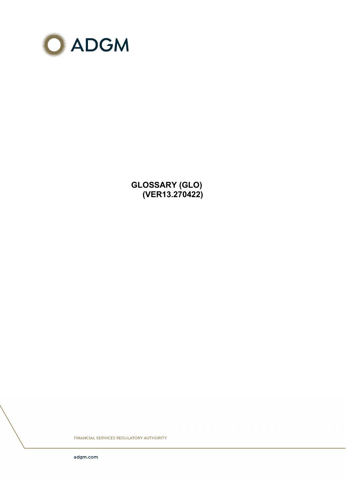

**GLOSSARY (GLO) (VER13.270422)**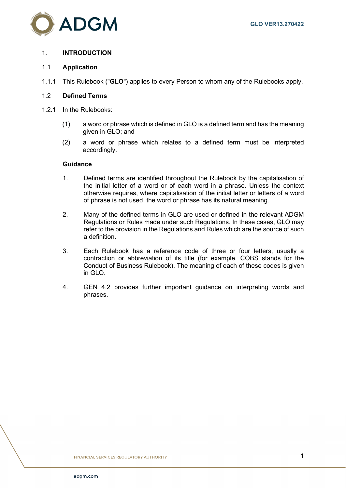

## 1. **INTRODUCTION**

## 1.1 **Application**

1.1.1 This Rulebook ("**GLO**") applies to every Person to whom any of the Rulebooks apply.

## 1.2 **Defined Terms**

- 1.2.1 In the Rulebooks:
	- (1) a word or phrase which is defined in GLO is a defined term and has the meaning given in GLO; and
	- (2) a word or phrase which relates to a defined term must be interpreted accordingly.

## **Guidance**

- 1. Defined terms are identified throughout the Rulebook by the capitalisation of the initial letter of a word or of each word in a phrase. Unless the context otherwise requires, where capitalisation of the initial letter or letters of a word of phrase is not used, the word or phrase has its natural meaning.
- 2. Many of the defined terms in GLO are used or defined in the relevant ADGM Regulations or Rules made under such Regulations. In these cases, GLO may refer to the provision in the Regulations and Rules which are the source of such a definition.
- 3. Each Rulebook has a reference code of three or four letters, usually a contraction or abbreviation of its title (for example, COBS stands for the Conduct of Business Rulebook). The meaning of each of these codes is given in GLO.
- 4. GEN 4.2 provides further important guidance on interpreting words and phrases.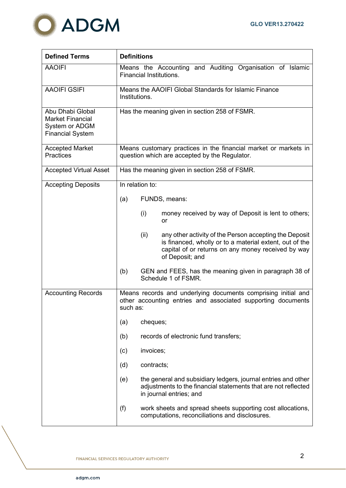

| <b>Defined Terms</b>                                                                     | <b>Definitions</b>                                                                                                                                                                                 |  |  |
|------------------------------------------------------------------------------------------|----------------------------------------------------------------------------------------------------------------------------------------------------------------------------------------------------|--|--|
| <b>AAOIFI</b>                                                                            | Means the Accounting and Auditing Organisation of Islamic<br><b>Financial Institutions.</b>                                                                                                        |  |  |
| <b>AAOIFI GSIFI</b>                                                                      | Means the AAOIFI Global Standards for Islamic Finance<br>Institutions.                                                                                                                             |  |  |
| Abu Dhabi Global<br><b>Market Financial</b><br>System or ADGM<br><b>Financial System</b> | Has the meaning given in section 258 of FSMR.                                                                                                                                                      |  |  |
| <b>Accepted Market</b><br><b>Practices</b>                                               | Means customary practices in the financial market or markets in<br>question which are accepted by the Regulator.                                                                                   |  |  |
| <b>Accepted Virtual Asset</b>                                                            | Has the meaning given in section 258 of FSMR.                                                                                                                                                      |  |  |
| <b>Accepting Deposits</b>                                                                | In relation to:                                                                                                                                                                                    |  |  |
|                                                                                          | FUNDS, means:<br>(a)                                                                                                                                                                               |  |  |
|                                                                                          | (i)<br>money received by way of Deposit is lent to others;<br>or                                                                                                                                   |  |  |
|                                                                                          | (ii)<br>any other activity of the Person accepting the Deposit<br>is financed, wholly or to a material extent, out of the<br>capital of or returns on any money received by way<br>of Deposit; and |  |  |
|                                                                                          | (b)<br>GEN and FEES, has the meaning given in paragraph 38 of<br>Schedule 1 of FSMR.                                                                                                               |  |  |
| <b>Accounting Records</b>                                                                | Means records and underlying documents comprising initial and<br>other accounting entries and associated supporting documents<br>such as:                                                          |  |  |
|                                                                                          | cheques;<br>(a)                                                                                                                                                                                    |  |  |
|                                                                                          | (b)<br>records of electronic fund transfers;                                                                                                                                                       |  |  |
|                                                                                          | invoices;<br>(c)                                                                                                                                                                                   |  |  |
|                                                                                          | contracts;<br>(d)                                                                                                                                                                                  |  |  |
|                                                                                          | the general and subsidiary ledgers, journal entries and other<br>(e)<br>adjustments to the financial statements that are not reflected<br>in journal entries; and                                  |  |  |
|                                                                                          | (f)<br>work sheets and spread sheets supporting cost allocations,<br>computations, reconciliations and disclosures.                                                                                |  |  |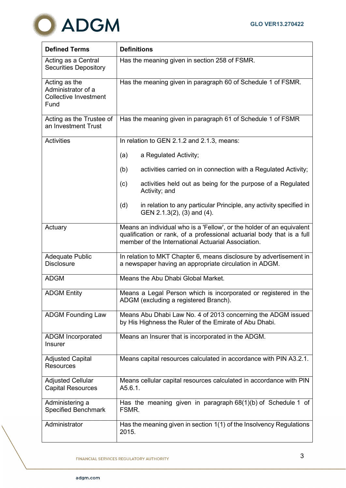

| <b>Defined Terms</b>                                                        | <b>Definitions</b>                                                                                                                                                                                    |  |  |
|-----------------------------------------------------------------------------|-------------------------------------------------------------------------------------------------------------------------------------------------------------------------------------------------------|--|--|
| Acting as a Central<br><b>Securities Depository</b>                         | Has the meaning given in section 258 of FSMR.                                                                                                                                                         |  |  |
| Acting as the<br>Administrator of a<br><b>Collective Investment</b><br>Fund | Has the meaning given in paragraph 60 of Schedule 1 of FSMR.                                                                                                                                          |  |  |
| Acting as the Trustee of<br>an Investment Trust                             | Has the meaning given in paragraph 61 of Schedule 1 of FSMR                                                                                                                                           |  |  |
| <b>Activities</b>                                                           | In relation to GEN 2.1.2 and 2.1.3, means:                                                                                                                                                            |  |  |
|                                                                             | a Regulated Activity;<br>(a)                                                                                                                                                                          |  |  |
|                                                                             | activities carried on in connection with a Regulated Activity;<br>(b)                                                                                                                                 |  |  |
|                                                                             | activities held out as being for the purpose of a Regulated<br>(c)<br>Activity; and                                                                                                                   |  |  |
|                                                                             | in relation to any particular Principle, any activity specified in<br>(d)<br>GEN 2.1.3(2), (3) and (4).                                                                                               |  |  |
| Actuary                                                                     | Means an individual who is a 'Fellow', or the holder of an equivalent<br>qualification or rank, of a professional actuarial body that is a full<br>member of the International Actuarial Association. |  |  |
| <b>Adequate Public</b><br><b>Disclosure</b>                                 | In relation to MKT Chapter 6, means disclosure by advertisement in<br>a newspaper having an appropriate circulation in ADGM.                                                                          |  |  |
| <b>ADGM</b>                                                                 | Means the Abu Dhabi Global Market.                                                                                                                                                                    |  |  |
| <b>ADGM Entity</b>                                                          | Means a Legal Person which is incorporated or registered in the<br>ADGM (excluding a registered Branch).                                                                                              |  |  |
| <b>ADGM Founding Law</b>                                                    | Means Abu Dhabi Law No. 4 of 2013 concerning the ADGM issued<br>by His Highness the Ruler of the Emirate of Abu Dhabi.                                                                                |  |  |
| <b>ADGM Incorporated</b><br><b>Insurer</b>                                  | Means an Insurer that is incorporated in the ADGM.                                                                                                                                                    |  |  |
| <b>Adjusted Capital</b><br>Resources                                        | Means capital resources calculated in accordance with PIN A3.2.1.                                                                                                                                     |  |  |
| <b>Adjusted Cellular</b><br><b>Capital Resources</b>                        | Means cellular capital resources calculated in accordance with PIN<br>A5.6.1.                                                                                                                         |  |  |
| Administering a<br><b>Specified Benchmark</b>                               | Has the meaning given in paragraph $68(1)(b)$ of Schedule 1 of<br>FSMR.                                                                                                                               |  |  |
| Administrator                                                               | Has the meaning given in section 1(1) of the Insolvency Regulations<br>2015.                                                                                                                          |  |  |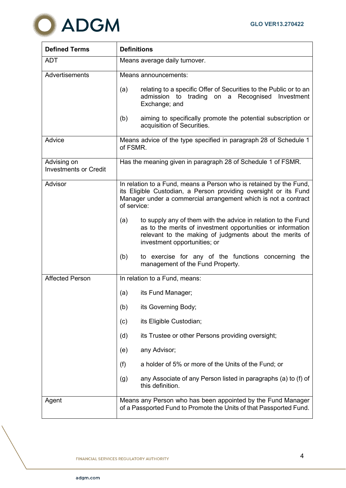

| <b>Defined Terms</b>                        | <b>Definitions</b>                                                                                                                                                                                                             |  |  |
|---------------------------------------------|--------------------------------------------------------------------------------------------------------------------------------------------------------------------------------------------------------------------------------|--|--|
| <b>ADT</b>                                  | Means average daily turnover.                                                                                                                                                                                                  |  |  |
| Advertisements                              | Means announcements:                                                                                                                                                                                                           |  |  |
|                                             | relating to a specific Offer of Securities to the Public or to an<br>(a)<br>admission to trading on a Recognised Investment<br>Exchange; and                                                                                   |  |  |
|                                             | aiming to specifically promote the potential subscription or<br>(b)<br>acquisition of Securities.                                                                                                                              |  |  |
| Advice                                      | Means advice of the type specified in paragraph 28 of Schedule 1<br>of FSMR.                                                                                                                                                   |  |  |
| Advising on<br><b>Investments or Credit</b> | Has the meaning given in paragraph 28 of Schedule 1 of FSMR.                                                                                                                                                                   |  |  |
| Advisor                                     | In relation to a Fund, means a Person who is retained by the Fund,<br>its Eligible Custodian, a Person providing oversight or its Fund<br>Manager under a commercial arrangement which is not a contract<br>of service:        |  |  |
|                                             | (a)<br>to supply any of them with the advice in relation to the Fund<br>as to the merits of investment opportunities or information<br>relevant to the making of judgments about the merits of<br>investment opportunities; or |  |  |
|                                             | (b)<br>to exercise for any of the functions concerning the<br>management of the Fund Property.                                                                                                                                 |  |  |
| <b>Affected Person</b>                      | In relation to a Fund, means:                                                                                                                                                                                                  |  |  |
|                                             | its Fund Manager;<br>(a)                                                                                                                                                                                                       |  |  |
|                                             | (b)<br>its Governing Body;                                                                                                                                                                                                     |  |  |
|                                             | its Eligible Custodian;<br>(c)                                                                                                                                                                                                 |  |  |
|                                             | its Trustee or other Persons providing oversight;<br>(d)                                                                                                                                                                       |  |  |
|                                             | any Advisor;<br>(e)                                                                                                                                                                                                            |  |  |
|                                             | (f)<br>a holder of 5% or more of the Units of the Fund; or                                                                                                                                                                     |  |  |
|                                             | any Associate of any Person listed in paragraphs (a) to (f) of<br>(g)<br>this definition.                                                                                                                                      |  |  |
| Agent                                       | Means any Person who has been appointed by the Fund Manager<br>of a Passported Fund to Promote the Units of that Passported Fund.                                                                                              |  |  |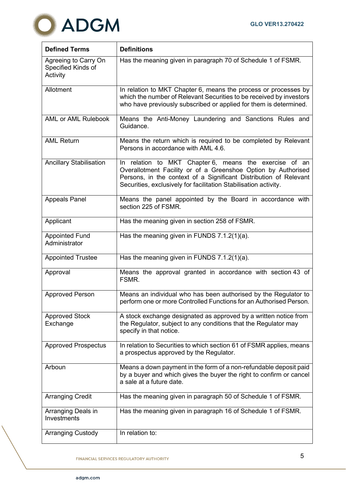

| <b>Defined Terms</b>                                   | <b>Definitions</b>                                                                                                                                                                                                                                               |
|--------------------------------------------------------|------------------------------------------------------------------------------------------------------------------------------------------------------------------------------------------------------------------------------------------------------------------|
| Agreeing to Carry On<br>Specified Kinds of<br>Activity | Has the meaning given in paragraph 70 of Schedule 1 of FSMR.                                                                                                                                                                                                     |
| Allotment                                              | In relation to MKT Chapter 6, means the process or processes by<br>which the number of Relevant Securities to be received by investors<br>who have previously subscribed or applied for them is determined.                                                      |
| <b>AML or AML Rulebook</b>                             | Means the Anti-Money Laundering and Sanctions Rules and<br>Guidance.                                                                                                                                                                                             |
| <b>AML Return</b>                                      | Means the return which is required to be completed by Relevant<br>Persons in accordance with AML 4.6.                                                                                                                                                            |
| <b>Ancillary Stabilisation</b>                         | In relation to MKT Chapter 6, means the exercise of an<br>Overallotment Facility or of a Greenshoe Option by Authorised<br>Persons, in the context of a Significant Distribution of Relevant<br>Securities, exclusively for facilitation Stabilisation activity. |
| <b>Appeals Panel</b>                                   | Means the panel appointed by the Board in accordance with<br>section 225 of FSMR.                                                                                                                                                                                |
| Applicant                                              | Has the meaning given in section 258 of FSMR.                                                                                                                                                                                                                    |
| <b>Appointed Fund</b><br>Administrator                 | Has the meaning given in FUNDS 7.1.2(1)(a).                                                                                                                                                                                                                      |
| <b>Appointed Trustee</b>                               | Has the meaning given in FUNDS 7.1.2(1)(a).                                                                                                                                                                                                                      |
| Approval                                               | Means the approval granted in accordance with section 43 of<br>FSMR.                                                                                                                                                                                             |
| <b>Approved Person</b>                                 | Means an individual who has been authorised by the Regulator to<br>perform one or more Controlled Functions for an Authorised Person.                                                                                                                            |
| <b>Approved Stock</b><br>Exchange                      | A stock exchange designated as approved by a written notice from<br>the Regulator, subject to any conditions that the Regulator may<br>specify in that notice.                                                                                                   |
| <b>Approved Prospectus</b>                             | In relation to Securities to which section 61 of FSMR applies, means<br>a prospectus approved by the Regulator.                                                                                                                                                  |
| Arboun                                                 | Means a down payment in the form of a non-refundable deposit paid<br>by a buyer and which gives the buyer the right to confirm or cancel<br>a sale at a future date.                                                                                             |
| <b>Arranging Credit</b>                                | Has the meaning given in paragraph 50 of Schedule 1 of FSMR.                                                                                                                                                                                                     |
| Arranging Deals in<br>Investments                      | Has the meaning given in paragraph 16 of Schedule 1 of FSMR.                                                                                                                                                                                                     |
| <b>Arranging Custody</b>                               | In relation to:                                                                                                                                                                                                                                                  |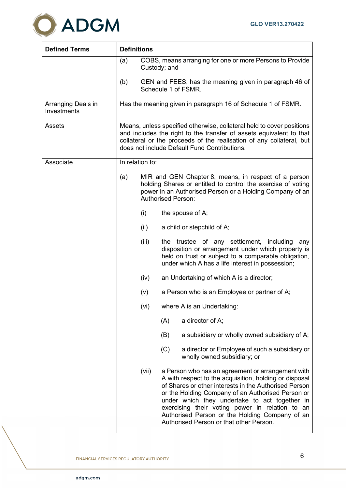

| <b>Defined Terms</b>              | <b>Definitions</b> |       |                                                                                                                                                                                                                                                                                                                                                                                                                            |
|-----------------------------------|--------------------|-------|----------------------------------------------------------------------------------------------------------------------------------------------------------------------------------------------------------------------------------------------------------------------------------------------------------------------------------------------------------------------------------------------------------------------------|
|                                   | (a)                |       | COBS, means arranging for one or more Persons to Provide<br>Custody; and                                                                                                                                                                                                                                                                                                                                                   |
|                                   | (b)                |       | GEN and FEES, has the meaning given in paragraph 46 of<br>Schedule 1 of FSMR.                                                                                                                                                                                                                                                                                                                                              |
| Arranging Deals in<br>Investments |                    |       | Has the meaning given in paragraph 16 of Schedule 1 of FSMR.                                                                                                                                                                                                                                                                                                                                                               |
| Assets                            |                    |       | Means, unless specified otherwise, collateral held to cover positions<br>and includes the right to the transfer of assets equivalent to that<br>collateral or the proceeds of the realisation of any collateral, but<br>does not include Default Fund Contributions.                                                                                                                                                       |
| Associate                         | In relation to:    |       |                                                                                                                                                                                                                                                                                                                                                                                                                            |
|                                   | (a)                |       | MIR and GEN Chapter 8, means, in respect of a person<br>holding Shares or entitled to control the exercise of voting<br>power in an Authorised Person or a Holding Company of an<br><b>Authorised Person:</b>                                                                                                                                                                                                              |
|                                   |                    | (i)   | the spouse of A;                                                                                                                                                                                                                                                                                                                                                                                                           |
|                                   |                    | (ii)  | a child or stepchild of A;                                                                                                                                                                                                                                                                                                                                                                                                 |
|                                   |                    | (iii) | the trustee of any settlement, including<br>any<br>disposition or arrangement under which property is<br>held on trust or subject to a comparable obligation,<br>under which A has a life interest in possession;                                                                                                                                                                                                          |
|                                   |                    | (iv)  | an Undertaking of which A is a director;                                                                                                                                                                                                                                                                                                                                                                                   |
|                                   |                    | (v)   | a Person who is an Employee or partner of A;                                                                                                                                                                                                                                                                                                                                                                               |
|                                   |                    | (vi)  | where A is an Undertaking:                                                                                                                                                                                                                                                                                                                                                                                                 |
|                                   |                    |       | a director of A;<br>(A)                                                                                                                                                                                                                                                                                                                                                                                                    |
|                                   |                    |       | (B)<br>a subsidiary or wholly owned subsidiary of A;                                                                                                                                                                                                                                                                                                                                                                       |
|                                   |                    |       | (C)<br>a director or Employee of such a subsidiary or<br>wholly owned subsidiary; or                                                                                                                                                                                                                                                                                                                                       |
|                                   |                    | (vii) | a Person who has an agreement or arrangement with<br>A with respect to the acquisition, holding or disposal<br>of Shares or other interests in the Authorised Person<br>or the Holding Company of an Authorised Person or<br>under which they undertake to act together in<br>exercising their voting power in relation to an<br>Authorised Person or the Holding Company of an<br>Authorised Person or that other Person. |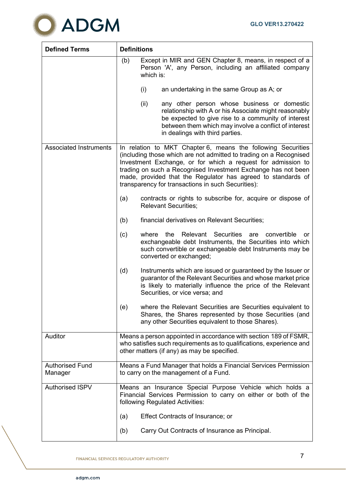

| <b>Defined Terms</b>              | <b>Definitions</b>                                                                                                                                                                                                                                                                                                                                                                        |  |  |
|-----------------------------------|-------------------------------------------------------------------------------------------------------------------------------------------------------------------------------------------------------------------------------------------------------------------------------------------------------------------------------------------------------------------------------------------|--|--|
|                                   | Except in MIR and GEN Chapter 8, means, in respect of a<br>(b)<br>Person 'A', any Person, including an affiliated company<br>which is:                                                                                                                                                                                                                                                    |  |  |
|                                   | (i)<br>an undertaking in the same Group as A; or                                                                                                                                                                                                                                                                                                                                          |  |  |
|                                   | (ii)<br>any other person whose business or domestic<br>relationship with A or his Associate might reasonably<br>be expected to give rise to a community of interest<br>between them which may involve a conflict of interest<br>in dealings with third parties.                                                                                                                           |  |  |
| <b>Associated Instruments</b>     | In relation to MKT Chapter 6, means the following Securities<br>(including those which are not admitted to trading on a Recognised<br>Investment Exchange, or for which a request for admission to<br>trading on such a Recognised Investment Exchange has not been<br>made, provided that the Regulator has agreed to standards of<br>transparency for transactions in such Securities): |  |  |
|                                   | (a)<br>contracts or rights to subscribe for, acquire or dispose of<br><b>Relevant Securities;</b>                                                                                                                                                                                                                                                                                         |  |  |
|                                   | (b)<br>financial derivatives on Relevant Securities;                                                                                                                                                                                                                                                                                                                                      |  |  |
|                                   | Relevant Securities<br>the<br>(c)<br>where<br>are<br>convertible<br>or<br>exchangeable debt Instruments, the Securities into which<br>such convertible or exchangeable debt Instruments may be<br>converted or exchanged;                                                                                                                                                                 |  |  |
|                                   | (d)<br>Instruments which are issued or guaranteed by the Issuer or<br>guarantor of the Relevant Securities and whose market price<br>is likely to materially influence the price of the Relevant<br>Securities, or vice versa; and                                                                                                                                                        |  |  |
|                                   | (e)<br>where the Relevant Securities are Securities equivalent to<br>Shares, the Shares represented by those Securities (and<br>any other Securities equivalent to those Shares).                                                                                                                                                                                                         |  |  |
| Auditor                           | Means a person appointed in accordance with section 189 of FSMR,<br>who satisfies such requirements as to qualifications, experience and<br>other matters (if any) as may be specified.                                                                                                                                                                                                   |  |  |
| <b>Authorised Fund</b><br>Manager | Means a Fund Manager that holds a Financial Services Permission<br>to carry on the management of a Fund.                                                                                                                                                                                                                                                                                  |  |  |
| <b>Authorised ISPV</b>            | Means an Insurance Special Purpose Vehicle which holds a<br>Financial Services Permission to carry on either or both of the<br>following Regulated Activities:                                                                                                                                                                                                                            |  |  |
|                                   | Effect Contracts of Insurance; or<br>(a)                                                                                                                                                                                                                                                                                                                                                  |  |  |
|                                   | Carry Out Contracts of Insurance as Principal.<br>(b)                                                                                                                                                                                                                                                                                                                                     |  |  |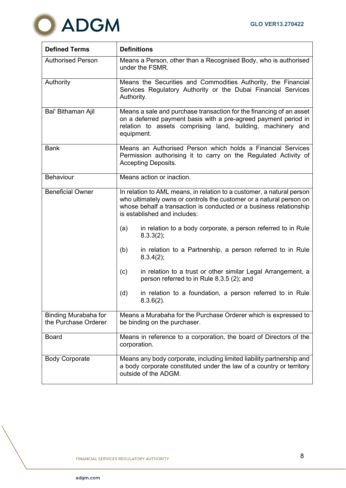

| <b>Defined Terms</b>                         | <b>Definitions</b>                                                                                                                                                                                                                                 |  |  |
|----------------------------------------------|----------------------------------------------------------------------------------------------------------------------------------------------------------------------------------------------------------------------------------------------------|--|--|
| <b>Authorised Person</b>                     | Means a Person, other than a Recognised Body, who is authorised<br>under the FSMR.                                                                                                                                                                 |  |  |
| Authority                                    | Means the Securities and Commodities Authority, the Financial<br>Services Regulatory Authority or the Dubai Financial Services<br>Authority.                                                                                                       |  |  |
| Bai' Bithaman Ajil                           | Means a sale and purchase transaction for the financing of an asset<br>on a deferred payment basis with a pre-agreed payment period in<br>relation to assets comprising land, building, machinery and<br>equipment.                                |  |  |
| <b>Bank</b>                                  | Means an Authorised Person which holds a Financial Services<br>Permission authorising it to carry on the Regulated Activity of<br><b>Accepting Deposits.</b>                                                                                       |  |  |
| Behaviour                                    | Means action or inaction.                                                                                                                                                                                                                          |  |  |
| <b>Beneficial Owner</b>                      | In relation to AML means, in relation to a customer, a natural person<br>who ultimately owns or controls the customer or a natural person on<br>whose behalf a transaction is conducted or a business relationship<br>is established and includes: |  |  |
|                                              | in relation to a body corporate, a person referred to in Rule<br>(a)<br>8.3.3(2);                                                                                                                                                                  |  |  |
|                                              | in relation to a Partnership, a person referred to in Rule<br>(b)<br>8.3.4(2);                                                                                                                                                                     |  |  |
|                                              | (c)<br>in relation to a trust or other similar Legal Arrangement, a<br>person referred to in Rule 8.3.5 (2); and                                                                                                                                   |  |  |
|                                              | (d)<br>in relation to a foundation, a person referred to in Rule<br>$8.3.6(2)$ .                                                                                                                                                                   |  |  |
| Binding Murabaha for<br>the Purchase Orderer | Means a Murabaha for the Purchase Orderer which is expressed to<br>be binding on the purchaser.                                                                                                                                                    |  |  |
| <b>Board</b>                                 | Means in reference to a corporation, the board of Directors of the<br>corporation.                                                                                                                                                                 |  |  |
| <b>Body Corporate</b>                        | Means any body corporate, including limited liability partnership and<br>a body corporate constituted under the law of a country or territory<br>outside of the ADGM.                                                                              |  |  |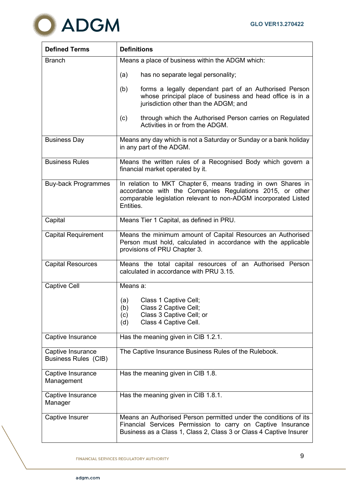

| <b>Defined Terms</b>                             | <b>Definitions</b>                                                                                                                                                                                       |
|--------------------------------------------------|----------------------------------------------------------------------------------------------------------------------------------------------------------------------------------------------------------|
| <b>Branch</b>                                    | Means a place of business within the ADGM which:                                                                                                                                                         |
|                                                  | (a)<br>has no separate legal personality;                                                                                                                                                                |
|                                                  | forms a legally dependant part of an Authorised Person<br>(b)<br>whose principal place of business and head office is in a<br>jurisdiction other than the ADGM; and                                      |
|                                                  | through which the Authorised Person carries on Regulated<br>(c)<br>Activities in or from the ADGM.                                                                                                       |
| <b>Business Day</b>                              | Means any day which is not a Saturday or Sunday or a bank holiday<br>in any part of the ADGM.                                                                                                            |
| <b>Business Rules</b>                            | Means the written rules of a Recognised Body which govern a<br>financial market operated by it.                                                                                                          |
| <b>Buy-back Programmes</b>                       | In relation to MKT Chapter 6, means trading in own Shares in<br>accordance with the Companies Regulations 2015, or other<br>comparable legislation relevant to non-ADGM incorporated Listed<br>Entities. |
| Capital                                          | Means Tier 1 Capital, as defined in PRU.                                                                                                                                                                 |
| <b>Capital Requirement</b>                       | Means the minimum amount of Capital Resources an Authorised<br>Person must hold, calculated in accordance with the applicable<br>provisions of PRU Chapter 3.                                            |
| <b>Capital Resources</b>                         | Means the total capital resources of an Authorised Person<br>calculated in accordance with PRU 3.15.                                                                                                     |
| <b>Captive Cell</b>                              | Means a:                                                                                                                                                                                                 |
|                                                  | Class 1 Captive Cell;<br>(a)<br>(b)<br>Class 2 Captive Cell;<br>Class 3 Captive Cell; or<br>(c)<br>Class 4 Captive Cell.<br>(d)                                                                          |
| Captive Insurance                                | Has the meaning given in CIB 1.2.1.                                                                                                                                                                      |
| Captive Insurance<br><b>Business Rules (CIB)</b> | The Captive Insurance Business Rules of the Rulebook.                                                                                                                                                    |
| Captive Insurance<br>Management                  | Has the meaning given in CIB 1.8.                                                                                                                                                                        |
| Captive Insurance<br>Manager                     | Has the meaning given in CIB 1.8.1.                                                                                                                                                                      |
| Captive Insurer                                  | Means an Authorised Person permitted under the conditions of its<br>Financial Services Permission to carry on Captive Insurance<br>Business as a Class 1, Class 2, Class 3 or Class 4 Captive Insurer    |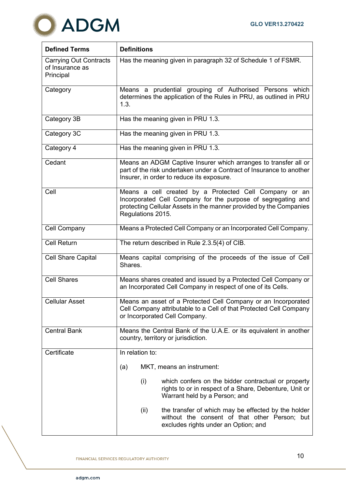

| <b>Defined Terms</b>                                          | <b>Definitions</b>                                                                                                                                                                                                |
|---------------------------------------------------------------|-------------------------------------------------------------------------------------------------------------------------------------------------------------------------------------------------------------------|
| <b>Carrying Out Contracts</b><br>of Insurance as<br>Principal | Has the meaning given in paragraph 32 of Schedule 1 of FSMR.                                                                                                                                                      |
| Category                                                      | Means a prudential grouping of Authorised Persons which<br>determines the application of the Rules in PRU, as outlined in PRU<br>1.3.                                                                             |
| Category 3B                                                   | Has the meaning given in PRU 1.3.                                                                                                                                                                                 |
| Category 3C                                                   | Has the meaning given in PRU 1.3.                                                                                                                                                                                 |
| Category 4                                                    | Has the meaning given in PRU 1.3.                                                                                                                                                                                 |
| Cedant                                                        | Means an ADGM Captive Insurer which arranges to transfer all or<br>part of the risk undertaken under a Contract of Insurance to another<br>Insurer, in order to reduce its exposure.                              |
| Cell                                                          | Means a cell created by a Protected Cell Company or an<br>Incorporated Cell Company for the purpose of segregating and<br>protecting Cellular Assets in the manner provided by the Companies<br>Regulations 2015. |
| <b>Cell Company</b>                                           | Means a Protected Cell Company or an Incorporated Cell Company.                                                                                                                                                   |
| <b>Cell Return</b>                                            | The return described in Rule 2.3.5(4) of CIB.                                                                                                                                                                     |
| <b>Cell Share Capital</b>                                     | Means capital comprising of the proceeds of the issue of Cell<br>Shares.                                                                                                                                          |
| <b>Cell Shares</b>                                            | Means shares created and issued by a Protected Cell Company or<br>an Incorporated Cell Company in respect of one of its Cells.                                                                                    |
| <b>Cellular Asset</b>                                         | Means an asset of a Protected Cell Company or an Incorporated<br>Cell Company attributable to a Cell of that Protected Cell Company<br>or Incorporated Cell Company.                                              |
| <b>Central Bank</b>                                           | Means the Central Bank of the U.A.E. or its equivalent in another<br>country, territory or jurisdiction.                                                                                                          |
| Certificate                                                   | In relation to:                                                                                                                                                                                                   |
|                                                               | MKT, means an instrument:<br>(a)                                                                                                                                                                                  |
|                                                               | (i)<br>which confers on the bidder contractual or property<br>rights to or in respect of a Share, Debenture, Unit or<br>Warrant held by a Person; and                                                             |
|                                                               | the transfer of which may be effected by the holder<br>(ii)<br>without the consent of that other Person; but<br>excludes rights under an Option; and                                                              |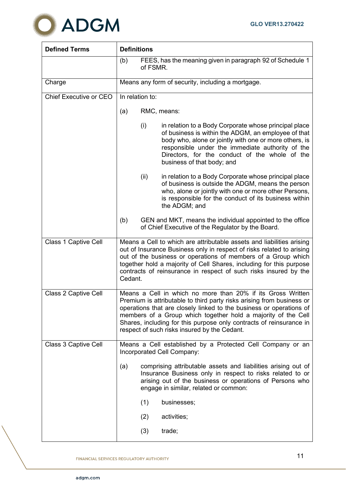

| <b>Defined Terms</b>   | <b>Definitions</b>                                                                                                                                                                                                                                                                                                                                                                                  |  |  |
|------------------------|-----------------------------------------------------------------------------------------------------------------------------------------------------------------------------------------------------------------------------------------------------------------------------------------------------------------------------------------------------------------------------------------------------|--|--|
|                        | FEES, has the meaning given in paragraph 92 of Schedule 1<br>(b)<br>of FSMR.                                                                                                                                                                                                                                                                                                                        |  |  |
| Charge                 | Means any form of security, including a mortgage.                                                                                                                                                                                                                                                                                                                                                   |  |  |
| Chief Executive or CEO | In relation to:                                                                                                                                                                                                                                                                                                                                                                                     |  |  |
|                        | RMC, means:<br>(a)                                                                                                                                                                                                                                                                                                                                                                                  |  |  |
|                        | in relation to a Body Corporate whose principal place<br>(i)<br>of business is within the ADGM, an employee of that<br>body who, alone or jointly with one or more others, is<br>responsible under the immediate authority of the<br>Directors, for the conduct of the whole of the<br>business of that body; and                                                                                   |  |  |
|                        | (ii)<br>in relation to a Body Corporate whose principal place<br>of business is outside the ADGM, means the person<br>who, alone or jointly with one or more other Persons,<br>is responsible for the conduct of its business within<br>the ADGM; and                                                                                                                                               |  |  |
|                        | (b)<br>GEN and MKT, means the individual appointed to the office<br>of Chief Executive of the Regulator by the Board.                                                                                                                                                                                                                                                                               |  |  |
| Class 1 Captive Cell   | Means a Cell to which are attributable assets and liabilities arising<br>out of Insurance Business only in respect of risks related to arising<br>out of the business or operations of members of a Group which<br>together hold a majority of Cell Shares, including for this purpose<br>contracts of reinsurance in respect of such risks insured by the<br>Cedant.                               |  |  |
| Class 2 Captive Cell   | Means a Cell in which no more than 20% if its Gross Written<br>Premium is attributable to third party risks arising from business or<br>operations that are closely linked to the business or operations of<br>members of a Group which together hold a majority of the Cell<br>Shares, including for this purpose only contracts of reinsurance in<br>respect of such risks insured by the Cedant. |  |  |
| Class 3 Captive Cell   | Means a Cell established by a Protected Cell Company or an<br>Incorporated Cell Company:                                                                                                                                                                                                                                                                                                            |  |  |
|                        | comprising attributable assets and liabilities arising out of<br>(a)<br>Insurance Business only in respect to risks related to or<br>arising out of the business or operations of Persons who<br>engage in similar, related or common:                                                                                                                                                              |  |  |
|                        | (1)<br>businesses;                                                                                                                                                                                                                                                                                                                                                                                  |  |  |
|                        | (2)<br>activities;                                                                                                                                                                                                                                                                                                                                                                                  |  |  |
|                        | (3)<br>trade;                                                                                                                                                                                                                                                                                                                                                                                       |  |  |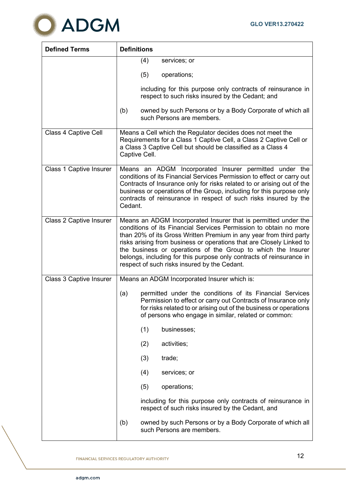

| <b>Defined Terms</b>           | <b>Definitions</b>                                                                                                                                                                                                                                                                                                                                                                                                                                                        |
|--------------------------------|---------------------------------------------------------------------------------------------------------------------------------------------------------------------------------------------------------------------------------------------------------------------------------------------------------------------------------------------------------------------------------------------------------------------------------------------------------------------------|
|                                | (4)<br>services; or                                                                                                                                                                                                                                                                                                                                                                                                                                                       |
|                                | (5)<br>operations;                                                                                                                                                                                                                                                                                                                                                                                                                                                        |
|                                | including for this purpose only contracts of reinsurance in<br>respect to such risks insured by the Cedant; and                                                                                                                                                                                                                                                                                                                                                           |
|                                | owned by such Persons or by a Body Corporate of which all<br>(b)<br>such Persons are members.                                                                                                                                                                                                                                                                                                                                                                             |
| Class 4 Captive Cell           | Means a Cell which the Regulator decides does not meet the<br>Requirements for a Class 1 Captive Cell, a Class 2 Captive Cell or<br>a Class 3 Captive Cell but should be classified as a Class 4<br>Captive Cell.                                                                                                                                                                                                                                                         |
| <b>Class 1 Captive Insurer</b> | Means an ADGM Incorporated Insurer permitted under the<br>conditions of its Financial Services Permission to effect or carry out<br>Contracts of Insurance only for risks related to or arising out of the<br>business or operations of the Group, including for this purpose only<br>contracts of reinsurance in respect of such risks insured by the<br>Cedant.                                                                                                         |
| <b>Class 2 Captive Insurer</b> | Means an ADGM Incorporated Insurer that is permitted under the<br>conditions of its Financial Services Permission to obtain no more<br>than 20% of its Gross Written Premium in any year from third party<br>risks arising from business or operations that are Closely Linked to<br>the business or operations of the Group to which the Insurer<br>belongs, including for this purpose only contracts of reinsurance in<br>respect of such risks insured by the Cedant. |
| Class 3 Captive Insurer        | Means an ADGM Incorporated Insurer which is:                                                                                                                                                                                                                                                                                                                                                                                                                              |
|                                | (a)<br>permitted under the conditions of its Financial Services<br>Permission to effect or carry out Contracts of Insurance only<br>for risks related to or arising out of the business or operations<br>of persons who engage in similar, related or common:                                                                                                                                                                                                             |
|                                | (1)<br>businesses;                                                                                                                                                                                                                                                                                                                                                                                                                                                        |
|                                | (2)<br>activities;                                                                                                                                                                                                                                                                                                                                                                                                                                                        |
|                                | (3)<br>trade;                                                                                                                                                                                                                                                                                                                                                                                                                                                             |
|                                | (4)<br>services; or                                                                                                                                                                                                                                                                                                                                                                                                                                                       |
|                                | (5)<br>operations;                                                                                                                                                                                                                                                                                                                                                                                                                                                        |
|                                | including for this purpose only contracts of reinsurance in<br>respect of such risks insured by the Cedant, and                                                                                                                                                                                                                                                                                                                                                           |
|                                | owned by such Persons or by a Body Corporate of which all<br>(b)<br>such Persons are members.                                                                                                                                                                                                                                                                                                                                                                             |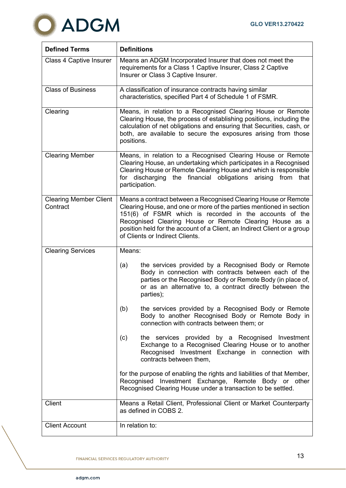

| <b>Defined Terms</b>                      | <b>Definitions</b>                                                                                                                                                                                                                                                                                                                                                         |
|-------------------------------------------|----------------------------------------------------------------------------------------------------------------------------------------------------------------------------------------------------------------------------------------------------------------------------------------------------------------------------------------------------------------------------|
| Class 4 Captive Insurer                   | Means an ADGM Incorporated Insurer that does not meet the<br>requirements for a Class 1 Captive Insurer, Class 2 Captive<br>Insurer or Class 3 Captive Insurer.                                                                                                                                                                                                            |
| <b>Class of Business</b>                  | A classification of insurance contracts having similar<br>characteristics, specified Part 4 of Schedule 1 of FSMR.                                                                                                                                                                                                                                                         |
| Clearing                                  | Means, in relation to a Recognised Clearing House or Remote<br>Clearing House, the process of establishing positions, including the<br>calculation of net obligations and ensuring that Securities, cash, or<br>both, are available to secure the exposures arising from those<br>positions.                                                                               |
| <b>Clearing Member</b>                    | Means, in relation to a Recognised Clearing House or Remote<br>Clearing House, an undertaking which participates in a Recognised<br>Clearing House or Remote Clearing House and which is responsible<br>the financial obligations arising from<br>for discharging<br>that<br>participation.                                                                                |
| <b>Clearing Member Client</b><br>Contract | Means a contract between a Recognised Clearing House or Remote<br>Clearing House, and one or more of the parties mentioned in section<br>151(6) of FSMR which is recorded in the accounts of the<br>Recognised Clearing House or Remote Clearing House as a<br>position held for the account of a Client, an Indirect Client or a group<br>of Clients or Indirect Clients. |
| <b>Clearing Services</b>                  | Means:                                                                                                                                                                                                                                                                                                                                                                     |
|                                           | the services provided by a Recognised Body or Remote<br>(a)<br>Body in connection with contracts between each of the<br>parties or the Recognised Body or Remote Body (in place of,<br>or as an alternative to, a contract directly between the<br>parties);                                                                                                               |
|                                           | (b)<br>the services provided by a Recognised Body or Remote<br>Body to another Recognised Body or Remote Body in<br>connection with contracts between them; or                                                                                                                                                                                                             |
|                                           | the services provided by a Recognised Investment<br>(c)<br>Exchange to a Recognised Clearing House or to another<br>Recognised Investment Exchange in connection with<br>contracts between them,                                                                                                                                                                           |
|                                           | for the purpose of enabling the rights and liabilities of that Member,<br>Recognised Investment Exchange, Remote Body or other<br>Recognised Clearing House under a transaction to be settled.                                                                                                                                                                             |
| Client                                    | Means a Retail Client, Professional Client or Market Counterparty<br>as defined in COBS 2.                                                                                                                                                                                                                                                                                 |
| <b>Client Account</b>                     | In relation to:                                                                                                                                                                                                                                                                                                                                                            |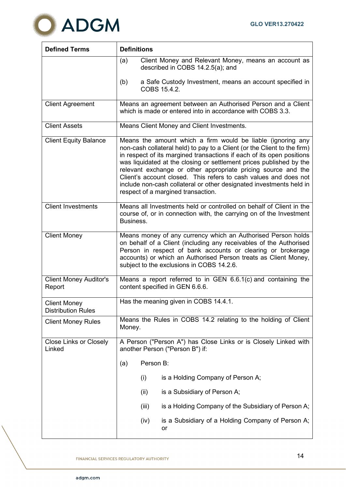

| <b>Defined Terms</b>                             | <b>Definitions</b>                                                                                                                                                                                                                                                                                                                                                                                                                                                                                                                        |  |  |  |  |
|--------------------------------------------------|-------------------------------------------------------------------------------------------------------------------------------------------------------------------------------------------------------------------------------------------------------------------------------------------------------------------------------------------------------------------------------------------------------------------------------------------------------------------------------------------------------------------------------------------|--|--|--|--|
|                                                  | Client Money and Relevant Money, means an account as<br>(a)<br>described in COBS 14.2.5(a); and                                                                                                                                                                                                                                                                                                                                                                                                                                           |  |  |  |  |
|                                                  | (b)<br>a Safe Custody Investment, means an account specified in<br>COBS 15.4.2.                                                                                                                                                                                                                                                                                                                                                                                                                                                           |  |  |  |  |
| <b>Client Agreement</b>                          | Means an agreement between an Authorised Person and a Client<br>which is made or entered into in accordance with COBS 3.3.                                                                                                                                                                                                                                                                                                                                                                                                                |  |  |  |  |
| <b>Client Assets</b>                             | Means Client Money and Client Investments.                                                                                                                                                                                                                                                                                                                                                                                                                                                                                                |  |  |  |  |
| <b>Client Equity Balance</b>                     | Means the amount which a firm would be liable (ignoring any<br>non-cash collateral held) to pay to a Client (or the Client to the firm)<br>in respect of its margined transactions if each of its open positions<br>was liquidated at the closing or settlement prices published by the<br>relevant exchange or other appropriate pricing source and the<br>Client's account closed. This refers to cash values and does not<br>include non-cash collateral or other designated investments held in<br>respect of a margined transaction. |  |  |  |  |
| <b>Client Investments</b>                        | Means all Investments held or controlled on behalf of Client in the<br>course of, or in connection with, the carrying on of the Investment<br>Business.                                                                                                                                                                                                                                                                                                                                                                                   |  |  |  |  |
| <b>Client Money</b>                              | Means money of any currency which an Authorised Person holds<br>on behalf of a Client (including any receivables of the Authorised<br>Person in respect of bank accounts or clearing or brokerage<br>accounts) or which an Authorised Person treats as Client Money,<br>subject to the exclusions in COBS 14.2.6.                                                                                                                                                                                                                         |  |  |  |  |
| <b>Client Money Auditor's</b><br>Report          | Means a report referred to in GEN $6.6.1(c)$ and containing the<br>content specified in GEN 6.6.6.                                                                                                                                                                                                                                                                                                                                                                                                                                        |  |  |  |  |
| <b>Client Money</b><br><b>Distribution Rules</b> | Has the meaning given in COBS 14.4.1.                                                                                                                                                                                                                                                                                                                                                                                                                                                                                                     |  |  |  |  |
| <b>Client Money Rules</b>                        | Means the Rules in COBS 14.2 relating to the holding of Client<br>Money.                                                                                                                                                                                                                                                                                                                                                                                                                                                                  |  |  |  |  |
| <b>Close Links or Closely</b><br>Linked          | A Person ("Person A") has Close Links or is Closely Linked with<br>another Person ("Person B") if:                                                                                                                                                                                                                                                                                                                                                                                                                                        |  |  |  |  |
|                                                  | Person B:<br>(a)                                                                                                                                                                                                                                                                                                                                                                                                                                                                                                                          |  |  |  |  |
|                                                  | is a Holding Company of Person A;<br>(i)                                                                                                                                                                                                                                                                                                                                                                                                                                                                                                  |  |  |  |  |
|                                                  | (ii)<br>is a Subsidiary of Person A;                                                                                                                                                                                                                                                                                                                                                                                                                                                                                                      |  |  |  |  |
|                                                  | is a Holding Company of the Subsidiary of Person A;<br>(iii)                                                                                                                                                                                                                                                                                                                                                                                                                                                                              |  |  |  |  |
|                                                  | is a Subsidiary of a Holding Company of Person A;<br>(iv)<br>or                                                                                                                                                                                                                                                                                                                                                                                                                                                                           |  |  |  |  |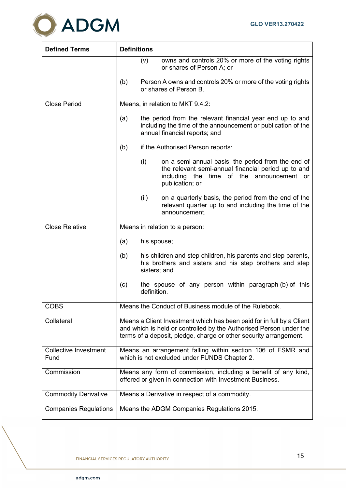

| <b>Defined Terms</b>                 | <b>Definitions</b>                                                                                                                                                                                               |
|--------------------------------------|------------------------------------------------------------------------------------------------------------------------------------------------------------------------------------------------------------------|
|                                      | owns and controls 20% or more of the voting rights<br>(V)<br>or shares of Person A; or                                                                                                                           |
|                                      | (b)<br>Person A owns and controls 20% or more of the voting rights<br>or shares of Person B.                                                                                                                     |
| <b>Close Period</b>                  | Means, in relation to MKT 9.4.2:                                                                                                                                                                                 |
|                                      | the period from the relevant financial year end up to and<br>(a)<br>including the time of the announcement or publication of the<br>annual financial reports; and                                                |
|                                      | (b)<br>if the Authorised Person reports:                                                                                                                                                                         |
|                                      | (i)<br>on a semi-annual basis, the period from the end of<br>the relevant semi-annual financial period up to and<br>including<br>of the<br>the<br>time<br>announcement or<br>publication; or                     |
|                                      | (ii)<br>on a quarterly basis, the period from the end of the<br>relevant quarter up to and including the time of the<br>announcement.                                                                            |
| <b>Close Relative</b>                | Means in relation to a person:                                                                                                                                                                                   |
|                                      | (a)<br>his spouse;                                                                                                                                                                                               |
|                                      | (b)<br>his children and step children, his parents and step parents,<br>his brothers and sisters and his step brothers and step<br>sisters; and                                                                  |
|                                      | the spouse of any person within paragraph (b) of this<br>(c)<br>definition.                                                                                                                                      |
| <b>COBS</b>                          | Means the Conduct of Business module of the Rulebook.                                                                                                                                                            |
| Collateral                           | Means a Client Investment which has been paid for in full by a Client<br>and which is held or controlled by the Authorised Person under the<br>terms of a deposit, pledge, charge or other security arrangement. |
| <b>Collective Investment</b><br>Fund | Means an arrangement falling within section 106 of FSMR and<br>which is not excluded under FUNDS Chapter 2.                                                                                                      |
| Commission                           | Means any form of commission, including a benefit of any kind,<br>offered or given in connection with Investment Business.                                                                                       |
| <b>Commodity Derivative</b>          | Means a Derivative in respect of a commodity.                                                                                                                                                                    |
| <b>Companies Regulations</b>         | Means the ADGM Companies Regulations 2015.                                                                                                                                                                       |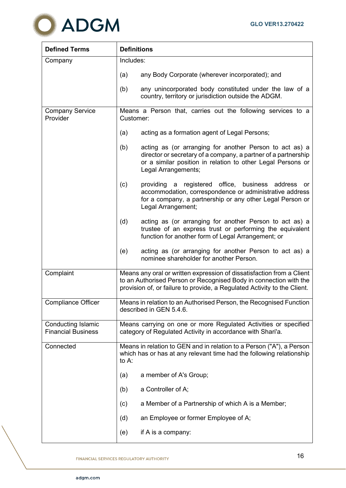

| <b>Defined Terms</b>                                   | <b>Definitions</b>                                                                                                                                                                                                     |  |  |  |  |
|--------------------------------------------------------|------------------------------------------------------------------------------------------------------------------------------------------------------------------------------------------------------------------------|--|--|--|--|
| Company                                                | Includes:                                                                                                                                                                                                              |  |  |  |  |
|                                                        | any Body Corporate (wherever incorporated); and<br>(a)                                                                                                                                                                 |  |  |  |  |
|                                                        | any unincorporated body constituted under the law of a<br>(b)<br>country, territory or jurisdiction outside the ADGM.                                                                                                  |  |  |  |  |
| <b>Company Service</b><br>Provider                     | Means a Person that, carries out the following services to a<br>Customer:                                                                                                                                              |  |  |  |  |
|                                                        | acting as a formation agent of Legal Persons;<br>(a)                                                                                                                                                                   |  |  |  |  |
|                                                        | (b)<br>acting as (or arranging for another Person to act as) a<br>director or secretary of a company, a partner of a partnership<br>or a similar position in relation to other Legal Persons or<br>Legal Arrangements; |  |  |  |  |
|                                                        | (c)<br>providing a registered office, business address or<br>accommodation, correspondence or administrative address<br>for a company, a partnership or any other Legal Person or<br>Legal Arrangement;                |  |  |  |  |
|                                                        | acting as (or arranging for another Person to act as) a<br>(d)<br>trustee of an express trust or performing the equivalent<br>function for another form of Legal Arrangement; or                                       |  |  |  |  |
|                                                        | acting as (or arranging for another Person to act as) a<br>(e)<br>nominee shareholder for another Person.                                                                                                              |  |  |  |  |
| Complaint                                              | Means any oral or written expression of dissatisfaction from a Client<br>to an Authorised Person or Recognised Body in connection with the<br>provision of, or failure to provide, a Regulated Activity to the Client. |  |  |  |  |
| <b>Compliance Officer</b>                              | Means in relation to an Authorised Person, the Recognised Function<br>described in GEN 5.4.6.                                                                                                                          |  |  |  |  |
| <b>Conducting Islamic</b><br><b>Financial Business</b> | Means carrying on one or more Regulated Activities or specified<br>category of Regulated Activity in accordance with Shari'a.                                                                                          |  |  |  |  |
| Connected                                              | Means in relation to GEN and in relation to a Person ("A"), a Person<br>which has or has at any relevant time had the following relationship<br>to A:                                                                  |  |  |  |  |
|                                                        | a member of A's Group;<br>(a)                                                                                                                                                                                          |  |  |  |  |
|                                                        | a Controller of A;<br>(b)                                                                                                                                                                                              |  |  |  |  |
|                                                        | (c)<br>a Member of a Partnership of which A is a Member;                                                                                                                                                               |  |  |  |  |
|                                                        | an Employee or former Employee of A;<br>(d)                                                                                                                                                                            |  |  |  |  |
|                                                        | (e)<br>if A is a company:                                                                                                                                                                                              |  |  |  |  |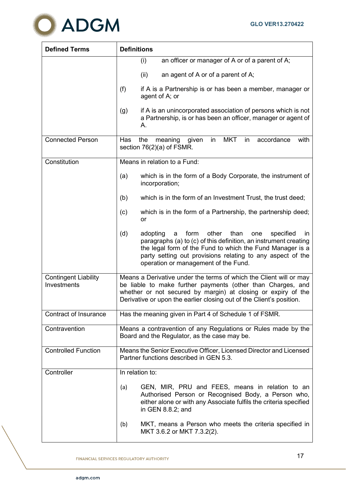

| <b>Defined Terms</b>                       | <b>Definitions</b>                                                                                                                                                                                                                                                                                              |
|--------------------------------------------|-----------------------------------------------------------------------------------------------------------------------------------------------------------------------------------------------------------------------------------------------------------------------------------------------------------------|
|                                            | an officer or manager of A or of a parent of A;<br>(i)                                                                                                                                                                                                                                                          |
|                                            | (ii)<br>an agent of A or of a parent of A;                                                                                                                                                                                                                                                                      |
|                                            | (f)<br>if A is a Partnership is or has been a member, manager or<br>agent of A; or                                                                                                                                                                                                                              |
|                                            | if A is an unincorporated association of persons which is not<br>(g)<br>a Partnership, is or has been an officer, manager or agent of<br>A.                                                                                                                                                                     |
| <b>Connected Person</b>                    | <b>MKT</b><br>in<br>Has<br>the<br>meaning<br>in<br>accordance<br>with<br>given<br>section $76(2)(a)$ of FSMR.                                                                                                                                                                                                   |
| Constitution                               | Means in relation to a Fund:                                                                                                                                                                                                                                                                                    |
|                                            | which is in the form of a Body Corporate, the instrument of<br>(a)<br>incorporation;                                                                                                                                                                                                                            |
|                                            | which is in the form of an Investment Trust, the trust deed;<br>(b)                                                                                                                                                                                                                                             |
|                                            | which is in the form of a Partnership, the partnership deed;<br>(c)<br>or                                                                                                                                                                                                                                       |
|                                            | (d)<br>form<br>other<br>than<br>adopting<br>specified<br>a<br>one<br>in.<br>paragraphs (a) to (c) of this definition, an instrument creating<br>the legal form of the Fund to which the Fund Manager is a<br>party setting out provisions relating to any aspect of the<br>operation or management of the Fund. |
| <b>Contingent Liability</b><br>Investments | Means a Derivative under the terms of which the Client will or may<br>be liable to make further payments (other than Charges, and<br>whether or not secured by margin) at closing or expiry of the<br>Derivative or upon the earlier closing out of the Client's position.                                      |
| <b>Contract of Insurance</b>               | Has the meaning given in Part 4 of Schedule 1 of FSMR.                                                                                                                                                                                                                                                          |
| Contravention                              | Means a contravention of any Regulations or Rules made by the<br>Board and the Regulator, as the case may be.                                                                                                                                                                                                   |
| <b>Controlled Function</b>                 | Means the Senior Executive Officer, Licensed Director and Licensed<br>Partner functions described in GEN 5.3.                                                                                                                                                                                                   |
| Controller                                 | In relation to:                                                                                                                                                                                                                                                                                                 |
|                                            | GEN, MIR, PRU and FEES, means in relation to an<br>(a)<br>Authorised Person or Recognised Body, a Person who,<br>either alone or with any Associate fulfils the criteria specified<br>in GEN 8.8.2; and                                                                                                         |
|                                            | MKT, means a Person who meets the criteria specified in<br>(b)<br>MKT 3.6.2 or MKT 7.3.2(2).                                                                                                                                                                                                                    |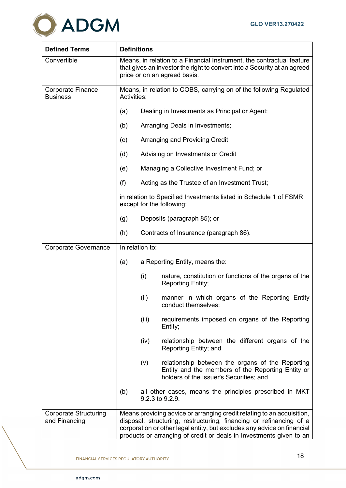

| <b>Defined Terms</b>                          | <b>Definitions</b>                                                                                                                                                                                                                                                                              |                                                                                                                                                         |  |  |  |  |  |
|-----------------------------------------------|-------------------------------------------------------------------------------------------------------------------------------------------------------------------------------------------------------------------------------------------------------------------------------------------------|---------------------------------------------------------------------------------------------------------------------------------------------------------|--|--|--|--|--|
| Convertible                                   | Means, in relation to a Financial Instrument, the contractual feature<br>that gives an investor the right to convert into a Security at an agreed<br>price or on an agreed basis.                                                                                                               |                                                                                                                                                         |  |  |  |  |  |
| <b>Corporate Finance</b><br><b>Business</b>   | Means, in relation to COBS, carrying on of the following Regulated<br>Activities:                                                                                                                                                                                                               |                                                                                                                                                         |  |  |  |  |  |
|                                               | (a)                                                                                                                                                                                                                                                                                             | Dealing in Investments as Principal or Agent;                                                                                                           |  |  |  |  |  |
|                                               | (b)                                                                                                                                                                                                                                                                                             | Arranging Deals in Investments;                                                                                                                         |  |  |  |  |  |
|                                               | (c)                                                                                                                                                                                                                                                                                             | Arranging and Providing Credit                                                                                                                          |  |  |  |  |  |
|                                               | (d)                                                                                                                                                                                                                                                                                             | Advising on Investments or Credit                                                                                                                       |  |  |  |  |  |
|                                               | (e)                                                                                                                                                                                                                                                                                             | Managing a Collective Investment Fund; or                                                                                                               |  |  |  |  |  |
|                                               | (f)                                                                                                                                                                                                                                                                                             | Acting as the Trustee of an Investment Trust;                                                                                                           |  |  |  |  |  |
|                                               |                                                                                                                                                                                                                                                                                                 | in relation to Specified Investments listed in Schedule 1 of FSMR<br>except for the following:                                                          |  |  |  |  |  |
|                                               | (g)                                                                                                                                                                                                                                                                                             | Deposits (paragraph 85); or                                                                                                                             |  |  |  |  |  |
|                                               | (h)                                                                                                                                                                                                                                                                                             | Contracts of Insurance (paragraph 86).                                                                                                                  |  |  |  |  |  |
| <b>Corporate Governance</b>                   | In relation to:                                                                                                                                                                                                                                                                                 |                                                                                                                                                         |  |  |  |  |  |
|                                               | (a)                                                                                                                                                                                                                                                                                             | a Reporting Entity, means the:                                                                                                                          |  |  |  |  |  |
|                                               |                                                                                                                                                                                                                                                                                                 | (i)<br>nature, constitution or functions of the organs of the<br><b>Reporting Entity;</b>                                                               |  |  |  |  |  |
|                                               |                                                                                                                                                                                                                                                                                                 | (ii)<br>manner in which organs of the Reporting Entity<br>conduct themselves;                                                                           |  |  |  |  |  |
|                                               |                                                                                                                                                                                                                                                                                                 | (iii)<br>requirements imposed on organs of the Reporting<br>Entity;                                                                                     |  |  |  |  |  |
|                                               |                                                                                                                                                                                                                                                                                                 | relationship between the different organs of the<br>(iv)<br>Reporting Entity; and                                                                       |  |  |  |  |  |
|                                               |                                                                                                                                                                                                                                                                                                 | relationship between the organs of the Reporting<br>(v)<br>Entity and the members of the Reporting Entity or<br>holders of the Issuer's Securities; and |  |  |  |  |  |
|                                               | (b)                                                                                                                                                                                                                                                                                             | all other cases, means the principles prescribed in MKT<br>9.2.3 to 9.2.9.                                                                              |  |  |  |  |  |
| <b>Corporate Structuring</b><br>and Financing | Means providing advice or arranging credit relating to an acquisition,<br>disposal, structuring, restructuring, financing or refinancing of a<br>corporation or other legal entity, but excludes any advice on financial<br>products or arranging of credit or deals in Investments given to an |                                                                                                                                                         |  |  |  |  |  |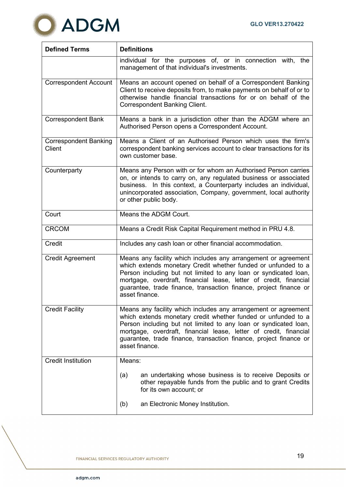

| <b>Defined Terms</b>                          | <b>Definitions</b>                                                                                                                                                                                                                                                                                                                                              |  |  |  |  |  |
|-----------------------------------------------|-----------------------------------------------------------------------------------------------------------------------------------------------------------------------------------------------------------------------------------------------------------------------------------------------------------------------------------------------------------------|--|--|--|--|--|
|                                               | individual for the purposes of, or in connection with, the<br>management of that individual's investments.                                                                                                                                                                                                                                                      |  |  |  |  |  |
| <b>Correspondent Account</b>                  | Means an account opened on behalf of a Correspondent Banking<br>Client to receive deposits from, to make payments on behalf of or to<br>otherwise handle financial transactions for or on behalf of the<br><b>Correspondent Banking Client.</b>                                                                                                                 |  |  |  |  |  |
| <b>Correspondent Bank</b>                     | Means a bank in a jurisdiction other than the ADGM where an<br>Authorised Person opens a Correspondent Account.                                                                                                                                                                                                                                                 |  |  |  |  |  |
| <b>Correspondent Banking</b><br><b>Client</b> | Means a Client of an Authorised Person which uses the firm's<br>correspondent banking services account to clear transactions for its<br>own customer base.                                                                                                                                                                                                      |  |  |  |  |  |
| Counterparty                                  | Means any Person with or for whom an Authorised Person carries<br>on, or intends to carry on, any regulated business or associated<br>business. In this context, a Counterparty includes an individual,<br>unincorporated association, Company, government, local authority<br>or other public body.                                                            |  |  |  |  |  |
| Court                                         | Means the ADGM Court.                                                                                                                                                                                                                                                                                                                                           |  |  |  |  |  |
| <b>CRCOM</b>                                  | Means a Credit Risk Capital Requirement method in PRU 4.8.                                                                                                                                                                                                                                                                                                      |  |  |  |  |  |
| Credit                                        | Includes any cash loan or other financial accommodation.                                                                                                                                                                                                                                                                                                        |  |  |  |  |  |
| <b>Credit Agreement</b>                       | Means any facility which includes any arrangement or agreement<br>which extends monetary Credit whether funded or unfunded to a<br>Person including but not limited to any loan or syndicated loan,<br>mortgage, overdraft, financial lease, letter of credit, financial<br>guarantee, trade finance, transaction finance, project finance or<br>asset finance. |  |  |  |  |  |
| <b>Credit Facility</b>                        | Means any facility which includes any arrangement or agreement<br>which extends monetary credit whether funded or unfunded to a<br>Person including but not limited to any loan or syndicated loan,<br>mortgage, overdraft, financial lease, letter of credit, financial<br>guarantee, trade finance, transaction finance, project finance or<br>asset finance. |  |  |  |  |  |
| <b>Credit Institution</b>                     | Means:                                                                                                                                                                                                                                                                                                                                                          |  |  |  |  |  |
|                                               | an undertaking whose business is to receive Deposits or<br>(a)<br>other repayable funds from the public and to grant Credits<br>for its own account; or                                                                                                                                                                                                         |  |  |  |  |  |
|                                               | an Electronic Money Institution.<br>(b)                                                                                                                                                                                                                                                                                                                         |  |  |  |  |  |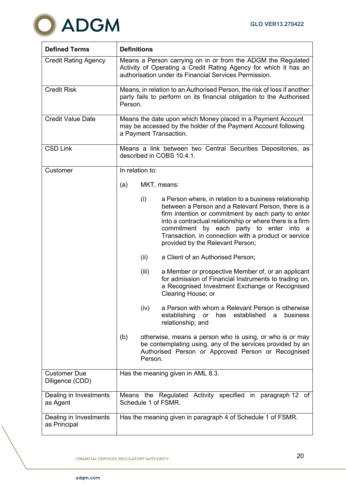

| <b>Defined Terms</b>                   | <b>Definitions</b>                                                                                                                                                                                                                                                                                                                                                             |  |  |  |  |
|----------------------------------------|--------------------------------------------------------------------------------------------------------------------------------------------------------------------------------------------------------------------------------------------------------------------------------------------------------------------------------------------------------------------------------|--|--|--|--|
| <b>Credit Rating Agency</b>            | Means a Person carrying on in or from the ADGM the Regulated<br>Activity of Operating a Credit Rating Agency for which it has an<br>authorisation under its Financial Services Permission.                                                                                                                                                                                     |  |  |  |  |
| <b>Credit Risk</b>                     | Means, in relation to an Authorised Person, the risk of loss if another<br>party fails to perform on its financial obligation to the Authorised<br>Person.                                                                                                                                                                                                                     |  |  |  |  |
| <b>Credit Value Date</b>               | Means the date upon which Money placed in a Payment Account<br>may be accessed by the holder of the Payment Account following<br>a Payment Transaction.                                                                                                                                                                                                                        |  |  |  |  |
| <b>CSD Link</b>                        | Means a link between two Central Securities Depositories, as<br>described in COBS 10.4.1.                                                                                                                                                                                                                                                                                      |  |  |  |  |
| Customer                               | In relation to:                                                                                                                                                                                                                                                                                                                                                                |  |  |  |  |
|                                        | (a)<br>MKT, means:                                                                                                                                                                                                                                                                                                                                                             |  |  |  |  |
|                                        | (i)<br>a Person where, in relation to a business relationship<br>between a Person and a Relevant Person, there is a<br>firm intention or commitment by each party to enter<br>into a contractual relationship or where there is a firm<br>commitment by each party to enter into a<br>Transaction, in connection with a product or service<br>provided by the Relevant Person; |  |  |  |  |
|                                        | (ii)<br>a Client of an Authorised Person;                                                                                                                                                                                                                                                                                                                                      |  |  |  |  |
|                                        | a Member or prospective Member of, or an applicant<br>(iii)<br>for admission of Financial Instruments to trading on,<br>a Recognised Investment Exchange or Recognised<br>Clearing House; or                                                                                                                                                                                   |  |  |  |  |
|                                        | a Person with whom a Relevant Person is otherwise<br>(iv)<br>establishing<br>established<br>business<br>or<br>has<br>a<br>relationship; and                                                                                                                                                                                                                                    |  |  |  |  |
|                                        | otherwise, means a person who is using, or who is or may<br>(b)<br>be contemplating using, any of the services provided by an<br>Authorised Person or Approved Person or Recognised<br>Person.                                                                                                                                                                                 |  |  |  |  |
| <b>Customer Due</b><br>Diligence (CDD) | Has the meaning given in AML 8.3.                                                                                                                                                                                                                                                                                                                                              |  |  |  |  |
| Dealing in Investments<br>as Agent     | Means the Regulated Activity specified in paragraph 12 of<br>Schedule 1 of FSMR.                                                                                                                                                                                                                                                                                               |  |  |  |  |
| Dealing in Investments<br>as Principal | Has the meaning given in paragraph 4 of Schedule 1 of FSMR.                                                                                                                                                                                                                                                                                                                    |  |  |  |  |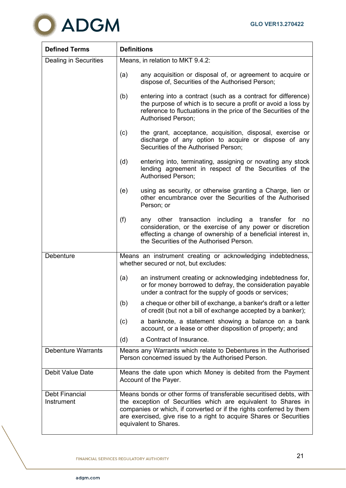

| <b>Defined Terms</b>         | <b>Definitions</b>               |                                                                                                                                                                                                                                                                                                            |  |  |  |
|------------------------------|----------------------------------|------------------------------------------------------------------------------------------------------------------------------------------------------------------------------------------------------------------------------------------------------------------------------------------------------------|--|--|--|
| Dealing in Securities        | Means, in relation to MKT 9.4.2: |                                                                                                                                                                                                                                                                                                            |  |  |  |
|                              | (a)                              | any acquisition or disposal of, or agreement to acquire or<br>dispose of, Securities of the Authorised Person;                                                                                                                                                                                             |  |  |  |
|                              | (b)                              | entering into a contract (such as a contract for difference)<br>the purpose of which is to secure a profit or avoid a loss by<br>reference to fluctuations in the price of the Securities of the<br>Authorised Person;                                                                                     |  |  |  |
|                              | (c)                              | the grant, acceptance, acquisition, disposal, exercise or<br>discharge of any option to acquire or dispose of any<br>Securities of the Authorised Person;                                                                                                                                                  |  |  |  |
|                              | (d)                              | entering into, terminating, assigning or novating any stock<br>lending agreement in respect of the Securities of the<br><b>Authorised Person;</b>                                                                                                                                                          |  |  |  |
|                              | (e)                              | using as security, or otherwise granting a Charge, lien or<br>other encumbrance over the Securities of the Authorised<br>Person; or                                                                                                                                                                        |  |  |  |
|                              | (f)                              | any other transaction including a transfer for<br>no<br>consideration, or the exercise of any power or discretion<br>effecting a change of ownership of a beneficial interest in,<br>the Securities of the Authorised Person.                                                                              |  |  |  |
| Debenture                    |                                  | Means an instrument creating or acknowledging indebtedness,<br>whether secured or not, but excludes:                                                                                                                                                                                                       |  |  |  |
|                              | (a)                              | an instrument creating or acknowledging indebtedness for,<br>or for money borrowed to defray, the consideration payable<br>under a contract for the supply of goods or services;                                                                                                                           |  |  |  |
|                              | (b)                              | a cheque or other bill of exchange, a banker's draft or a letter<br>of credit (but not a bill of exchange accepted by a banker);                                                                                                                                                                           |  |  |  |
|                              | (c)                              | a banknote, a statement showing a balance on a bank<br>account, or a lease or other disposition of property; and                                                                                                                                                                                           |  |  |  |
|                              | (d)                              | a Contract of Insurance.                                                                                                                                                                                                                                                                                   |  |  |  |
| <b>Debenture Warrants</b>    |                                  | Means any Warrants which relate to Debentures in the Authorised<br>Person concerned issued by the Authorised Person.                                                                                                                                                                                       |  |  |  |
| Debit Value Date             |                                  | Means the date upon which Money is debited from the Payment<br>Account of the Payer.                                                                                                                                                                                                                       |  |  |  |
| Debt Financial<br>Instrument |                                  | Means bonds or other forms of transferable securitised debts, with<br>the exception of Securities which are equivalent to Shares in<br>companies or which, if converted or if the rights conferred by them<br>are exercised, give rise to a right to acquire Shares or Securities<br>equivalent to Shares. |  |  |  |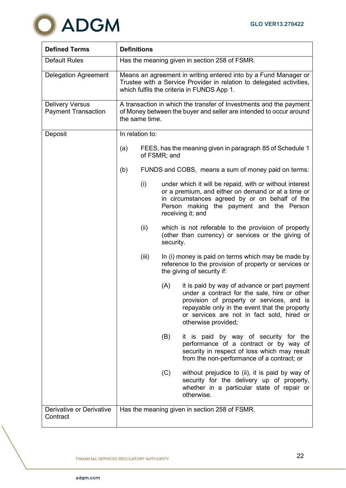

| <b>Defined Terms</b>                                 | <b>Definitions</b> |                                                                                                                                                                                       |              |                                                                                                                                                                                                                                                                 |  |
|------------------------------------------------------|--------------------|---------------------------------------------------------------------------------------------------------------------------------------------------------------------------------------|--------------|-----------------------------------------------------------------------------------------------------------------------------------------------------------------------------------------------------------------------------------------------------------------|--|
| <b>Default Rules</b>                                 |                    | Has the meaning given in section 258 of FSMR.                                                                                                                                         |              |                                                                                                                                                                                                                                                                 |  |
| <b>Delegation Agreement</b>                          |                    | Means an agreement in writing entered into by a Fund Manager or<br>Trustee with a Service Provider in relation to delegated activities,<br>which fulfils the criteria in FUNDS App 1. |              |                                                                                                                                                                                                                                                                 |  |
| <b>Delivery Versus</b><br><b>Payment Transaction</b> |                    | A transaction in which the transfer of Investments and the payment<br>of Money between the buyer and seller are intended to occur around<br>the same time.                            |              |                                                                                                                                                                                                                                                                 |  |
| Deposit                                              |                    | In relation to:                                                                                                                                                                       |              |                                                                                                                                                                                                                                                                 |  |
|                                                      | (a)                |                                                                                                                                                                                       | of FSMR; and | FEES, has the meaning given in paragraph 85 of Schedule 1                                                                                                                                                                                                       |  |
|                                                      | (b)                |                                                                                                                                                                                       |              | FUNDS and COBS, means a sum of money paid on terms:                                                                                                                                                                                                             |  |
|                                                      | (i)                |                                                                                                                                                                                       |              | under which it will be repaid, with or without interest<br>or a premium, and either on demand or at a time or<br>in circumstances agreed by or on behalf of the<br>Person making the payment and the Person<br>receiving it; and                                |  |
|                                                      |                    | (ii)                                                                                                                                                                                  | security.    | which is not referable to the provision of property<br>(other than currency) or services or the giving of                                                                                                                                                       |  |
|                                                      |                    | (iii)                                                                                                                                                                                 |              | In (i) money is paid on terms which may be made by<br>reference to the provision of property or services or<br>the giving of security if:                                                                                                                       |  |
|                                                      |                    |                                                                                                                                                                                       | (A)          | it is paid by way of advance or part payment<br>under a contract for the sale, hire or other<br>provision of property or services, and is<br>repayable only in the event that the property<br>or services are not in fact sold, hired or<br>otherwise provided; |  |
|                                                      |                    |                                                                                                                                                                                       | (B)          | it is paid by way of security for the<br>performance of a contract or by way of<br>security in respect of loss which may result<br>from the non-performance of a contract; or                                                                                   |  |
|                                                      |                    |                                                                                                                                                                                       | (C)          | without prejudice to (ii), it is paid by way of<br>security for the delivery up of property,<br>whether in a particular state of repair or<br>otherwise.                                                                                                        |  |
| Derivative or Derivative<br>Contract                 |                    |                                                                                                                                                                                       |              | Has the meaning given in section 258 of FSMR.                                                                                                                                                                                                                   |  |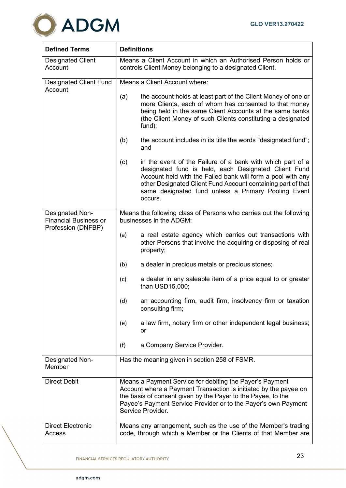

| <b>Defined Terms</b>                                                  | <b>Definitions</b>                                                                                                                                                                                                                                                                                                         |  |  |  |  |  |
|-----------------------------------------------------------------------|----------------------------------------------------------------------------------------------------------------------------------------------------------------------------------------------------------------------------------------------------------------------------------------------------------------------------|--|--|--|--|--|
| <b>Designated Client</b><br>Account                                   | Means a Client Account in which an Authorised Person holds or<br>controls Client Money belonging to a designated Client.                                                                                                                                                                                                   |  |  |  |  |  |
| <b>Designated Client Fund</b><br>Account                              | Means a Client Account where:                                                                                                                                                                                                                                                                                              |  |  |  |  |  |
|                                                                       | the account holds at least part of the Client Money of one or<br>(a)<br>more Clients, each of whom has consented to that money<br>being held in the same Client Accounts at the same banks<br>(the Client Money of such Clients constituting a designated<br>fund);                                                        |  |  |  |  |  |
|                                                                       | (b)<br>the account includes in its title the words "designated fund";<br>and                                                                                                                                                                                                                                               |  |  |  |  |  |
|                                                                       | (c)<br>in the event of the Failure of a bank with which part of a<br>designated fund is held, each Designated Client Fund<br>Account held with the Failed bank will form a pool with any<br>other Designated Client Fund Account containing part of that<br>same designated fund unless a Primary Pooling Event<br>occurs. |  |  |  |  |  |
| Designated Non-<br><b>Financial Business or</b><br>Profession (DNFBP) | Means the following class of Persons who carries out the following<br>businesses in the ADGM:                                                                                                                                                                                                                              |  |  |  |  |  |
|                                                                       | a real estate agency which carries out transactions with<br>(a)<br>other Persons that involve the acquiring or disposing of real<br>property;                                                                                                                                                                              |  |  |  |  |  |
|                                                                       | a dealer in precious metals or precious stones;<br>(b)                                                                                                                                                                                                                                                                     |  |  |  |  |  |
|                                                                       | a dealer in any saleable item of a price equal to or greater<br>(c)<br>than USD15,000;                                                                                                                                                                                                                                     |  |  |  |  |  |
|                                                                       | an accounting firm, audit firm, insolvency firm or taxation<br>(d)<br>consulting firm;                                                                                                                                                                                                                                     |  |  |  |  |  |
|                                                                       | a law firm, notary firm or other independent legal business;<br>(e)<br>or                                                                                                                                                                                                                                                  |  |  |  |  |  |
|                                                                       | (f)<br>a Company Service Provider.                                                                                                                                                                                                                                                                                         |  |  |  |  |  |
| <b>Designated Non-</b><br>Member                                      | Has the meaning given in section 258 of FSMR.                                                                                                                                                                                                                                                                              |  |  |  |  |  |
| <b>Direct Debit</b>                                                   | Means a Payment Service for debiting the Payer's Payment<br>Account where a Payment Transaction is initiated by the payee on<br>the basis of consent given by the Payer to the Payee, to the<br>Payee's Payment Service Provider or to the Payer's own Payment<br>Service Provider.                                        |  |  |  |  |  |
| <b>Direct Electronic</b><br>Access                                    | Means any arrangement, such as the use of the Member's trading<br>code, through which a Member or the Clients of that Member are                                                                                                                                                                                           |  |  |  |  |  |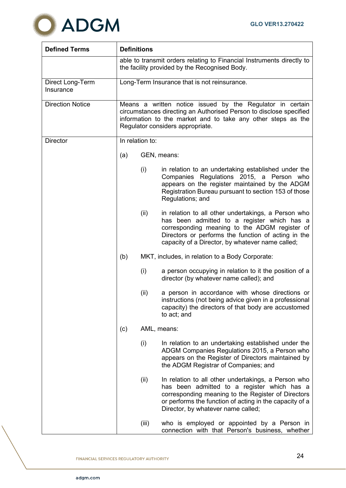

| <b>Defined Terms</b>          | <b>Definitions</b>                                                                                                     |                                                                                                                                                                                                                                     |                                                                                                                                                                                                                                                                |  |  |
|-------------------------------|------------------------------------------------------------------------------------------------------------------------|-------------------------------------------------------------------------------------------------------------------------------------------------------------------------------------------------------------------------------------|----------------------------------------------------------------------------------------------------------------------------------------------------------------------------------------------------------------------------------------------------------------|--|--|
|                               | able to transmit orders relating to Financial Instruments directly to<br>the facility provided by the Recognised Body. |                                                                                                                                                                                                                                     |                                                                                                                                                                                                                                                                |  |  |
| Direct Long-Term<br>Insurance |                                                                                                                        | Long-Term Insurance that is not reinsurance.                                                                                                                                                                                        |                                                                                                                                                                                                                                                                |  |  |
| <b>Direction Notice</b>       |                                                                                                                        | Means a written notice issued by the Regulator in certain<br>circumstances directing an Authorised Person to disclose specified<br>information to the market and to take any other steps as the<br>Regulator considers appropriate. |                                                                                                                                                                                                                                                                |  |  |
| <b>Director</b>               |                                                                                                                        | In relation to:                                                                                                                                                                                                                     |                                                                                                                                                                                                                                                                |  |  |
|                               | (a)                                                                                                                    |                                                                                                                                                                                                                                     | GEN, means:                                                                                                                                                                                                                                                    |  |  |
|                               |                                                                                                                        | (i)                                                                                                                                                                                                                                 | in relation to an undertaking established under the<br>Companies Regulations 2015, a Person who<br>appears on the register maintained by the ADGM<br>Registration Bureau pursuant to section 153 of those<br>Regulations; and                                  |  |  |
|                               |                                                                                                                        | (ii)                                                                                                                                                                                                                                | in relation to all other undertakings, a Person who<br>has been admitted to a register which has a<br>corresponding meaning to the ADGM register of<br>Directors or performs the function of acting in the<br>capacity of a Director, by whatever name called; |  |  |
|                               | (b)                                                                                                                    |                                                                                                                                                                                                                                     | MKT, includes, in relation to a Body Corporate:                                                                                                                                                                                                                |  |  |
|                               |                                                                                                                        | (i)                                                                                                                                                                                                                                 | a person occupying in relation to it the position of a<br>director (by whatever name called); and                                                                                                                                                              |  |  |
|                               |                                                                                                                        | (ii)                                                                                                                                                                                                                                | a person in accordance with whose directions or<br>instructions (not being advice given in a professional<br>capacity) the directors of that body are accustomed<br>to act; and                                                                                |  |  |
|                               | (c)                                                                                                                    |                                                                                                                                                                                                                                     | AML, means:                                                                                                                                                                                                                                                    |  |  |
|                               |                                                                                                                        | (i)                                                                                                                                                                                                                                 | In relation to an undertaking established under the<br>ADGM Companies Regulations 2015, a Person who<br>appears on the Register of Directors maintained by<br>the ADGM Registrar of Companies; and                                                             |  |  |
|                               |                                                                                                                        | (ii)                                                                                                                                                                                                                                | In relation to all other undertakings, a Person who<br>has been admitted to a register which has a<br>corresponding meaning to the Register of Directors<br>or performs the function of acting in the capacity of a<br>Director, by whatever name called;      |  |  |
|                               |                                                                                                                        | (iii)                                                                                                                                                                                                                               | who is employed or appointed by a Person in<br>connection with that Person's business, whether                                                                                                                                                                 |  |  |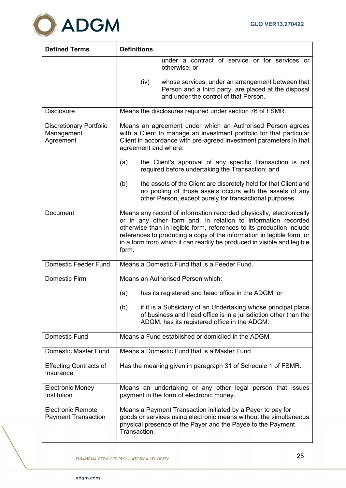

| <b>Defined Terms</b>                                      | <b>Definitions</b>                                                                                                                                                                                                                                                                                                                                                       |
|-----------------------------------------------------------|--------------------------------------------------------------------------------------------------------------------------------------------------------------------------------------------------------------------------------------------------------------------------------------------------------------------------------------------------------------------------|
|                                                           | under a contract of service or for services or<br>otherwise; or                                                                                                                                                                                                                                                                                                          |
|                                                           | whose services, under an arrangement between that<br>(iv)<br>Person and a third party, are placed at the disposal<br>and under the control of that Person.                                                                                                                                                                                                               |
| <b>Disclosure</b>                                         | Means the disclosures required under section 76 of FSMR.                                                                                                                                                                                                                                                                                                                 |
| <b>Discretionary Portfolio</b><br>Management<br>Agreement | Means an agreement under which an Authorised Person agrees<br>with a Client to manage an investment portfolio for that particular<br>Client in accordance with pre-agreed investment parameters in that<br>agreement and where:                                                                                                                                          |
|                                                           | the Client's approval of any specific Transaction is not<br>(a)<br>required before undertaking the Transaction; and                                                                                                                                                                                                                                                      |
|                                                           | (b)<br>the assets of the Client are discretely held for that Client and<br>no pooling of those assets occurs with the assets of any<br>other Person, except purely for transactional purposes.                                                                                                                                                                           |
| Document                                                  | Means any record of information recorded physically, electronically<br>or in any other form and, in relation to information recorded<br>otherwise than in legible form, references to its production include<br>references to producing a copy of the information in legible form, or<br>in a form from which it can readily be produced in visible and legible<br>form. |
| <b>Domestic Feeder Fund</b>                               | Means a Domestic Fund that is a Feeder Fund.                                                                                                                                                                                                                                                                                                                             |
| <b>Domestic Firm</b>                                      | Means an Authorised Person which:                                                                                                                                                                                                                                                                                                                                        |
|                                                           | has its registered and head office in the ADGM; or<br>(a)                                                                                                                                                                                                                                                                                                                |
|                                                           | if it is a Subsidiary of an Undertaking whose principal place<br>(b)<br>of business and head office is in a jurisdiction other than the<br>ADGM, has its registered office in the ADGM.                                                                                                                                                                                  |
| <b>Domestic Fund</b>                                      | Means a Fund established or domiciled in the ADGM.                                                                                                                                                                                                                                                                                                                       |
| <b>Domestic Master Fund</b>                               | Means a Domestic Fund that is a Master Fund.                                                                                                                                                                                                                                                                                                                             |
| <b>Effecting Contracts of</b><br>Insurance                | Has the meaning given in paragraph 31 of Schedule 1 of FSMR.                                                                                                                                                                                                                                                                                                             |
| <b>Electronic Money</b><br>Institution                    | Means an undertaking or any other legal person that issues<br>payment in the form of electronic money.                                                                                                                                                                                                                                                                   |
| <b>Electronic Remote</b><br><b>Payment Transaction</b>    | Means a Payment Transaction initiated by a Payer to pay for<br>goods or services using electronic means without the simultaneous<br>physical presence of the Payer and the Payee to the Payment<br>Transaction.                                                                                                                                                          |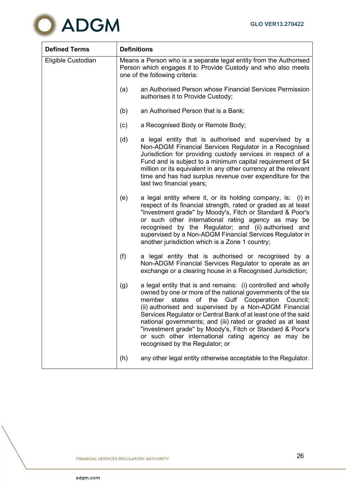

| <b>Defined Terms</b> | <b>Definitions</b> |                                                                                                                                                                                                                                                                                                                                                                                                                                                                                                                                                    |
|----------------------|--------------------|----------------------------------------------------------------------------------------------------------------------------------------------------------------------------------------------------------------------------------------------------------------------------------------------------------------------------------------------------------------------------------------------------------------------------------------------------------------------------------------------------------------------------------------------------|
| Eligible Custodian   |                    | Means a Person who is a separate legal entity from the Authorised<br>Person which engages it to Provide Custody and who also meets<br>one of the following criteria:                                                                                                                                                                                                                                                                                                                                                                               |
|                      | (a)                | an Authorised Person whose Financial Services Permission<br>authorises it to Provide Custody;                                                                                                                                                                                                                                                                                                                                                                                                                                                      |
|                      | (b)                | an Authorised Person that is a Bank;                                                                                                                                                                                                                                                                                                                                                                                                                                                                                                               |
|                      | (c)                | a Recognised Body or Remote Body;                                                                                                                                                                                                                                                                                                                                                                                                                                                                                                                  |
|                      | (d)                | a legal entity that is authorised and supervised by a<br>Non-ADGM Financial Services Regulator in a Recognised<br>Jurisdiction for providing custody services in respect of a<br>Fund and is subject to a minimum capital requirement of \$4<br>million or its equivalent in any other currency at the relevant<br>time and has had surplus revenue over expenditure for the<br>last two financial years;                                                                                                                                          |
|                      | (e)                | a legal entity where it, or its holding company, is:<br>$(i)$ in<br>respect of its financial strength, rated or graded as at least<br>"investment grade" by Moody's, Fitch or Standard & Poor's<br>or such other international rating agency as may be<br>recognised by the Regulator; and (ii) authorised and<br>supervised by a Non-ADGM Financial Services Regulator in<br>another jurisdiction which is a Zone 1 country;                                                                                                                      |
|                      | (f)                | a legal entity that is authorised or recognised by a<br>Non-ADGM Financial Services Regulator to operate as an<br>exchange or a clearing house in a Recognised Jurisdiction;                                                                                                                                                                                                                                                                                                                                                                       |
|                      | (g)                | a legal entity that is and remains: (i) controlled and wholly<br>owned by one or more of the national governments of the six<br>of<br>member<br>states<br>the<br>Gulf<br>Cooperation<br>Council;<br>(ii) authorised and supervised by a Non-ADGM Financial<br>Services Regulator or Central Bank of at least one of the said<br>national governments; and (iii) rated or graded as at least<br>"investment grade" by Moody's, Fitch or Standard & Poor's<br>or such other international rating agency as may be<br>recognised by the Regulator; or |
|                      | (h)                | any other legal entity otherwise acceptable to the Regulator.                                                                                                                                                                                                                                                                                                                                                                                                                                                                                      |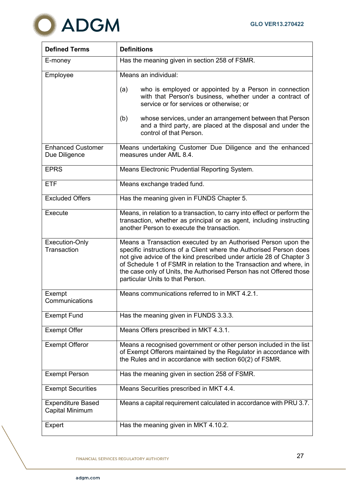

| <b>Defined Terms</b>                        | <b>Definitions</b>                                                                                                                                                                                                                                                                                                                                                                           |
|---------------------------------------------|----------------------------------------------------------------------------------------------------------------------------------------------------------------------------------------------------------------------------------------------------------------------------------------------------------------------------------------------------------------------------------------------|
| E-money                                     | Has the meaning given in section 258 of FSMR.                                                                                                                                                                                                                                                                                                                                                |
| Employee                                    | Means an individual:                                                                                                                                                                                                                                                                                                                                                                         |
|                                             | who is employed or appointed by a Person in connection<br>(a)<br>with that Person's business, whether under a contract of<br>service or for services or otherwise; or                                                                                                                                                                                                                        |
|                                             | (b)<br>whose services, under an arrangement between that Person<br>and a third party, are placed at the disposal and under the<br>control of that Person.                                                                                                                                                                                                                                    |
| <b>Enhanced Customer</b><br>Due Diligence   | Means undertaking Customer Due Diligence and the enhanced<br>measures under AML 8.4.                                                                                                                                                                                                                                                                                                         |
| <b>EPRS</b>                                 | Means Electronic Prudential Reporting System.                                                                                                                                                                                                                                                                                                                                                |
| <b>ETF</b>                                  | Means exchange traded fund.                                                                                                                                                                                                                                                                                                                                                                  |
| <b>Excluded Offers</b>                      | Has the meaning given in FUNDS Chapter 5.                                                                                                                                                                                                                                                                                                                                                    |
| Execute                                     | Means, in relation to a transaction, to carry into effect or perform the<br>transaction, whether as principal or as agent, including instructing<br>another Person to execute the transaction.                                                                                                                                                                                               |
| Execution-Only<br>Transaction               | Means a Transaction executed by an Authorised Person upon the<br>specific instructions of a Client where the Authorised Person does<br>not give advice of the kind prescribed under article 28 of Chapter 3<br>of Schedule 1 of FSMR in relation to the Transaction and where, in<br>the case only of Units, the Authorised Person has not Offered those<br>particular Units to that Person. |
| Exempt<br>Communications                    | Means communications referred to in MKT 4.2.1.                                                                                                                                                                                                                                                                                                                                               |
| <b>Exempt Fund</b>                          | Has the meaning given in FUNDS 3.3.3.                                                                                                                                                                                                                                                                                                                                                        |
| <b>Exempt Offer</b>                         | Means Offers prescribed in MKT 4.3.1.                                                                                                                                                                                                                                                                                                                                                        |
| <b>Exempt Offeror</b>                       | Means a recognised government or other person included in the list<br>of Exempt Offerors maintained by the Regulator in accordance with<br>the Rules and in accordance with section 60(2) of FSMR.                                                                                                                                                                                           |
| <b>Exempt Person</b>                        | Has the meaning given in section 258 of FSMR.                                                                                                                                                                                                                                                                                                                                                |
| <b>Exempt Securities</b>                    | Means Securities prescribed in MKT 4.4.                                                                                                                                                                                                                                                                                                                                                      |
| <b>Expenditure Based</b><br>Capital Minimum | Means a capital requirement calculated in accordance with PRU 3.7.                                                                                                                                                                                                                                                                                                                           |
| Expert                                      | Has the meaning given in MKT 4.10.2.                                                                                                                                                                                                                                                                                                                                                         |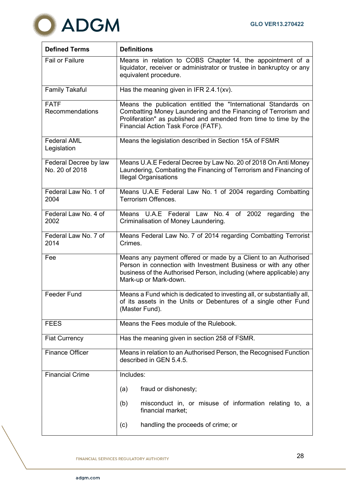

| <b>Defined Terms</b>                    | <b>Definitions</b>                                                                                                                                                                                                                          |
|-----------------------------------------|---------------------------------------------------------------------------------------------------------------------------------------------------------------------------------------------------------------------------------------------|
| <b>Fail or Failure</b>                  | Means in relation to COBS Chapter 14, the appointment of a<br>liquidator, receiver or administrator or trustee in bankruptcy or any<br>equivalent procedure.                                                                                |
| <b>Family Takaful</b>                   | Has the meaning given in IFR 2.4.1(xv).                                                                                                                                                                                                     |
| <b>FATF</b><br>Recommendations          | Means the publication entitled the "International Standards on<br>Combatting Money Laundering and the Financing of Terrorism and<br>Proliferation" as published and amended from time to time by the<br>Financial Action Task Force (FATF). |
| <b>Federal AML</b><br>Legislation       | Means the legislation described in Section 15A of FSMR                                                                                                                                                                                      |
| Federal Decree by law<br>No. 20 of 2018 | Means U.A.E Federal Decree by Law No. 20 of 2018 On Anti Money<br>Laundering, Combating the Financing of Terrorism and Financing of<br><b>Illegal Organisations</b>                                                                         |
| Federal Law No. 1 of<br>2004            | Means U.A.E Federal Law No. 1 of 2004 regarding Combatting<br>Terrorism Offences.                                                                                                                                                           |
| Federal Law No. 4 of<br>2002            | Means U.A.E Federal Law No. 4<br>of 2002<br>regarding<br>the<br>Criminalisation of Money Laundering.                                                                                                                                        |
| Federal Law No. 7 of<br>2014            | Means Federal Law No. 7 of 2014 regarding Combatting Terrorist<br>Crimes.                                                                                                                                                                   |
| Fee                                     | Means any payment offered or made by a Client to an Authorised<br>Person in connection with Investment Business or with any other<br>business of the Authorised Person, including (where applicable) any<br>Mark-up or Mark-down.           |
| <b>Feeder Fund</b>                      | Means a Fund which is dedicated to investing all, or substantially all,<br>of its assets in the Units or Debentures of a single other Fund<br>(Master Fund).                                                                                |
| <b>FEES</b>                             | Means the Fees module of the Rulebook.                                                                                                                                                                                                      |
| <b>Fiat Currency</b>                    | Has the meaning given in section 258 of FSMR.                                                                                                                                                                                               |
| <b>Finance Officer</b>                  | Means in relation to an Authorised Person, the Recognised Function<br>described in GEN 5.4.5.                                                                                                                                               |
| <b>Financial Crime</b>                  | Includes:                                                                                                                                                                                                                                   |
|                                         | fraud or dishonesty;<br>(a)                                                                                                                                                                                                                 |
|                                         | misconduct in, or misuse of information relating to, a<br>(b)<br>financial market;                                                                                                                                                          |
|                                         | handling the proceeds of crime; or<br>(c)                                                                                                                                                                                                   |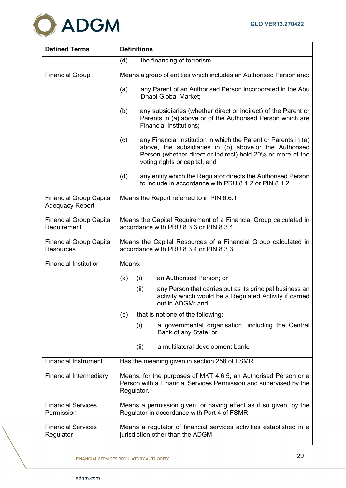

| <b>Defined Terms</b>                                     | <b>Definitions</b>                                                                                                                                                                                                               |  |
|----------------------------------------------------------|----------------------------------------------------------------------------------------------------------------------------------------------------------------------------------------------------------------------------------|--|
|                                                          | the financing of terrorism.<br>(d)                                                                                                                                                                                               |  |
| <b>Financial Group</b>                                   | Means a group of entities which includes an Authorised Person and:                                                                                                                                                               |  |
|                                                          | any Parent of an Authorised Person incorporated in the Abu<br>(a)<br>Dhabi Global Market;                                                                                                                                        |  |
|                                                          | any subsidiaries (whether direct or indirect) of the Parent or<br>(b)<br>Parents in (a) above or of the Authorised Person which are<br><b>Financial Institutions;</b>                                                            |  |
|                                                          | (c)<br>any Financial Institution in which the Parent or Parents in (a)<br>above, the subsidiaries in (b) above or the Authorised<br>Person (whether direct or indirect) hold 20% or more of the<br>voting rights or capital; and |  |
|                                                          | any entity which the Regulator directs the Authorised Person<br>(d)<br>to include in accordance with PRU 8.1.2 or PIN 8.1.2.                                                                                                     |  |
| <b>Financial Group Capital</b><br><b>Adequacy Report</b> | Means the Report referred to in PIN 6.6.1.                                                                                                                                                                                       |  |
| <b>Financial Group Capital</b><br>Requirement            | Means the Capital Requirement of a Financial Group calculated in<br>accordance with PRU 8.3.3 or PIN 8.3.4.                                                                                                                      |  |
| <b>Financial Group Capital</b><br><b>Resources</b>       | Means the Capital Resources of a Financial Group calculated in<br>accordance with PRU 8.3.4 or PIN 8.3.3.                                                                                                                        |  |
| <b>Financial Institution</b>                             | Means:                                                                                                                                                                                                                           |  |
|                                                          | an Authorised Person; or<br>(i)<br>(a)                                                                                                                                                                                           |  |
|                                                          | (ii)<br>any Person that carries out as its principal business an<br>activity which would be a Regulated Activity if carried<br>out in ADGM; and                                                                                  |  |
|                                                          | that is not one of the following:<br>(b)                                                                                                                                                                                         |  |
|                                                          | (i)<br>a governmental organisation, including the Central<br>Bank of any State; or                                                                                                                                               |  |
|                                                          | (ii)<br>a multilateral development bank.                                                                                                                                                                                         |  |
| <b>Financial Instrument</b>                              | Has the meaning given in section 258 of FSMR.                                                                                                                                                                                    |  |
| <b>Financial Intermediary</b>                            | Means, for the purposes of MKT 4.6.5, an Authorised Person or a<br>Person with a Financial Services Permission and supervised by the<br>Regulator.                                                                               |  |
| <b>Financial Services</b><br>Permission                  | Means a permission given, or having effect as if so given, by the<br>Regulator in accordance with Part 4 of FSMR.                                                                                                                |  |
| <b>Financial Services</b><br>Regulator                   | Means a regulator of financial services activities established in a<br>jurisdiction other than the ADGM                                                                                                                          |  |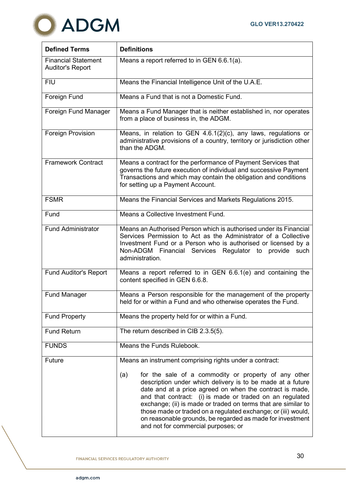

| <b>Defined Terms</b>                                  | <b>Definitions</b>                                                                                                                                                                                                                                                                                                                                                                                                                                                                      |
|-------------------------------------------------------|-----------------------------------------------------------------------------------------------------------------------------------------------------------------------------------------------------------------------------------------------------------------------------------------------------------------------------------------------------------------------------------------------------------------------------------------------------------------------------------------|
| <b>Financial Statement</b><br><b>Auditor's Report</b> | Means a report referred to in GEN 6.6.1(a).                                                                                                                                                                                                                                                                                                                                                                                                                                             |
| <b>FIU</b>                                            | Means the Financial Intelligence Unit of the U.A.E.                                                                                                                                                                                                                                                                                                                                                                                                                                     |
| Foreign Fund                                          | Means a Fund that is not a Domestic Fund.                                                                                                                                                                                                                                                                                                                                                                                                                                               |
| Foreign Fund Manager                                  | Means a Fund Manager that is neither established in, nor operates<br>from a place of business in, the ADGM.                                                                                                                                                                                                                                                                                                                                                                             |
| Foreign Provision                                     | Means, in relation to GEN $4.6.1(2)(c)$ , any laws, regulations or<br>administrative provisions of a country, territory or jurisdiction other<br>than the ADGM.                                                                                                                                                                                                                                                                                                                         |
| <b>Framework Contract</b>                             | Means a contract for the performance of Payment Services that<br>governs the future execution of individual and successive Payment<br>Transactions and which may contain the obligation and conditions<br>for setting up a Payment Account.                                                                                                                                                                                                                                             |
| <b>FSMR</b>                                           | Means the Financial Services and Markets Regulations 2015.                                                                                                                                                                                                                                                                                                                                                                                                                              |
| Fund                                                  | Means a Collective Investment Fund.                                                                                                                                                                                                                                                                                                                                                                                                                                                     |
| <b>Fund Administrator</b>                             | Means an Authorised Person which is authorised under its Financial<br>Services Permission to Act as the Administrator of a Collective<br>Investment Fund or a Person who is authorised or licensed by a<br>Non-ADGM Financial Services Regulator to provide<br>such<br>administration.                                                                                                                                                                                                  |
| <b>Fund Auditor's Report</b>                          | Means a report referred to in GEN 6.6.1(e) and containing the<br>content specified in GEN 6.6.8.                                                                                                                                                                                                                                                                                                                                                                                        |
| <b>Fund Manager</b>                                   | Means a Person responsible for the management of the property<br>held for or within a Fund and who otherwise operates the Fund.                                                                                                                                                                                                                                                                                                                                                         |
| <b>Fund Property</b>                                  | Means the property held for or within a Fund.                                                                                                                                                                                                                                                                                                                                                                                                                                           |
| <b>Fund Return</b>                                    | The return described in CIB 2.3.5(5).                                                                                                                                                                                                                                                                                                                                                                                                                                                   |
| <b>FUNDS</b>                                          | Means the Funds Rulebook.                                                                                                                                                                                                                                                                                                                                                                                                                                                               |
| <b>Future</b>                                         | Means an instrument comprising rights under a contract:                                                                                                                                                                                                                                                                                                                                                                                                                                 |
|                                                       | for the sale of a commodity or property of any other<br>(a)<br>description under which delivery is to be made at a future<br>date and at a price agreed on when the contract is made,<br>and that contract: (i) is made or traded on an regulated<br>exchange; (ii) is made or traded on terms that are similar to<br>those made or traded on a regulated exchange; or (iii) would,<br>on reasonable grounds, be regarded as made for investment<br>and not for commercial purposes; or |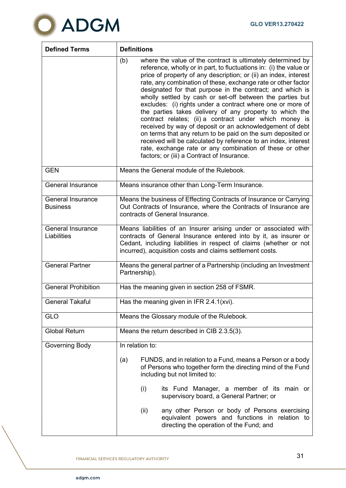

| <b>Defined Terms</b>                        | <b>Definitions</b>                                                                                                                                                                                                                                                                                                                                                                                                                                                                                                                                                                                                                                                                                                                                                                                                                                                                                |
|---------------------------------------------|---------------------------------------------------------------------------------------------------------------------------------------------------------------------------------------------------------------------------------------------------------------------------------------------------------------------------------------------------------------------------------------------------------------------------------------------------------------------------------------------------------------------------------------------------------------------------------------------------------------------------------------------------------------------------------------------------------------------------------------------------------------------------------------------------------------------------------------------------------------------------------------------------|
|                                             | where the value of the contract is ultimately determined by<br>(b)<br>reference, wholly or in part, to fluctuations in: (i) the value or<br>price of property of any description; or (ii) an index, interest<br>rate, any combination of these, exchange rate or other factor<br>designated for that purpose in the contract; and which is<br>wholly settled by cash or set-off between the parties but<br>excludes: (i) rights under a contract where one or more of<br>the parties takes delivery of any property to which the<br>contract relates; (ii) a contract under which money is<br>received by way of deposit or an acknowledgement of debt<br>on terms that any return to be paid on the sum deposited or<br>received will be calculated by reference to an index, interest<br>rate, exchange rate or any combination of these or other<br>factors; or (iii) a Contract of Insurance. |
| <b>GEN</b>                                  | Means the General module of the Rulebook.                                                                                                                                                                                                                                                                                                                                                                                                                                                                                                                                                                                                                                                                                                                                                                                                                                                         |
| <b>General Insurance</b>                    | Means insurance other than Long-Term Insurance.                                                                                                                                                                                                                                                                                                                                                                                                                                                                                                                                                                                                                                                                                                                                                                                                                                                   |
| <b>General Insurance</b><br><b>Business</b> | Means the business of Effecting Contracts of Insurance or Carrying<br>Out Contracts of Insurance, where the Contracts of Insurance are<br>contracts of General Insurance.                                                                                                                                                                                                                                                                                                                                                                                                                                                                                                                                                                                                                                                                                                                         |
| General Insurance<br>Liabilities            | Means liabilities of an Insurer arising under or associated with<br>contracts of General Insurance entered into by it, as insurer or<br>Cedant, including liabilities in respect of claims (whether or not<br>incurred), acquisition costs and claims settlement costs.                                                                                                                                                                                                                                                                                                                                                                                                                                                                                                                                                                                                                           |
| <b>General Partner</b>                      | Means the general partner of a Partnership (including an Investment<br>Partnership).                                                                                                                                                                                                                                                                                                                                                                                                                                                                                                                                                                                                                                                                                                                                                                                                              |
| <b>General Prohibition</b>                  | Has the meaning given in section 258 of FSMR.                                                                                                                                                                                                                                                                                                                                                                                                                                                                                                                                                                                                                                                                                                                                                                                                                                                     |
| <b>General Takaful</b>                      | Has the meaning given in IFR 2.4.1(xvi).                                                                                                                                                                                                                                                                                                                                                                                                                                                                                                                                                                                                                                                                                                                                                                                                                                                          |
| <b>GLO</b>                                  | Means the Glossary module of the Rulebook.                                                                                                                                                                                                                                                                                                                                                                                                                                                                                                                                                                                                                                                                                                                                                                                                                                                        |
| <b>Global Return</b>                        | Means the return described in CIB 2.3.5(3).                                                                                                                                                                                                                                                                                                                                                                                                                                                                                                                                                                                                                                                                                                                                                                                                                                                       |
| Governing Body                              | In relation to:                                                                                                                                                                                                                                                                                                                                                                                                                                                                                                                                                                                                                                                                                                                                                                                                                                                                                   |
|                                             | FUNDS, and in relation to a Fund, means a Person or a body<br>(a)<br>of Persons who together form the directing mind of the Fund<br>including but not limited to:                                                                                                                                                                                                                                                                                                                                                                                                                                                                                                                                                                                                                                                                                                                                 |
|                                             | (i)<br>its Fund Manager, a member of its main or<br>supervisory board, a General Partner; or                                                                                                                                                                                                                                                                                                                                                                                                                                                                                                                                                                                                                                                                                                                                                                                                      |
|                                             | any other Person or body of Persons exercising<br>(ii)<br>equivalent powers and functions in relation to<br>directing the operation of the Fund; and                                                                                                                                                                                                                                                                                                                                                                                                                                                                                                                                                                                                                                                                                                                                              |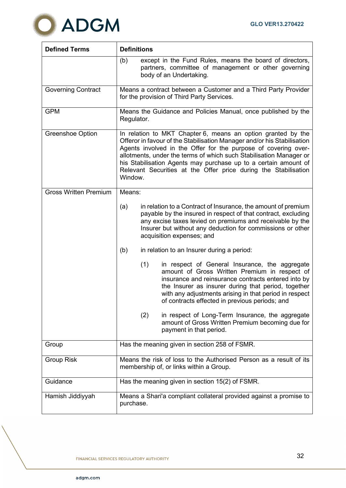

| <b>Defined Terms</b>         | <b>Definitions</b>                                                                                                                                                                                                                                                                                                                                                                                                               |
|------------------------------|----------------------------------------------------------------------------------------------------------------------------------------------------------------------------------------------------------------------------------------------------------------------------------------------------------------------------------------------------------------------------------------------------------------------------------|
|                              | (b)<br>except in the Fund Rules, means the board of directors,<br>partners, committee of management or other governing<br>body of an Undertaking.                                                                                                                                                                                                                                                                                |
| <b>Governing Contract</b>    | Means a contract between a Customer and a Third Party Provider<br>for the provision of Third Party Services.                                                                                                                                                                                                                                                                                                                     |
| <b>GPM</b>                   | Means the Guidance and Policies Manual, once published by the<br>Regulator.                                                                                                                                                                                                                                                                                                                                                      |
| <b>Greenshoe Option</b>      | In relation to MKT Chapter 6, means an option granted by the<br>Offeror in favour of the Stabilisation Manager and/or his Stabilisation<br>Agents involved in the Offer for the purpose of covering over-<br>allotments, under the terms of which such Stabilisation Manager or<br>his Stabilisation Agents may purchase up to a certain amount of<br>Relevant Securities at the Offer price during the Stabilisation<br>Window. |
| <b>Gross Written Premium</b> | Means:                                                                                                                                                                                                                                                                                                                                                                                                                           |
|                              | in relation to a Contract of Insurance, the amount of premium<br>(a)<br>payable by the insured in respect of that contract, excluding<br>any excise taxes levied on premiums and receivable by the<br>Insurer but without any deduction for commissions or other<br>acquisition expenses; and                                                                                                                                    |
|                              | (b)<br>in relation to an Insurer during a period:                                                                                                                                                                                                                                                                                                                                                                                |
|                              | (1)<br>in respect of General Insurance, the aggregate<br>amount of Gross Written Premium in respect of<br>insurance and reinsurance contracts entered into by<br>the Insurer as insurer during that period, together<br>with any adjustments arising in that period in respect<br>of contracts effected in previous periods; and                                                                                                 |
|                              | (2)<br>in respect of Long-Term Insurance, the aggregate<br>amount of Gross Written Premium becoming due for<br>payment in that period.                                                                                                                                                                                                                                                                                           |
| Group                        | Has the meaning given in section 258 of FSMR.                                                                                                                                                                                                                                                                                                                                                                                    |
| <b>Group Risk</b>            | Means the risk of loss to the Authorised Person as a result of its<br>membership of, or links within a Group.                                                                                                                                                                                                                                                                                                                    |
| Guidance                     | Has the meaning given in section 15(2) of FSMR.                                                                                                                                                                                                                                                                                                                                                                                  |
| Hamish Jiddiyyah             | Means a Shari'a compliant collateral provided against a promise to<br>purchase.                                                                                                                                                                                                                                                                                                                                                  |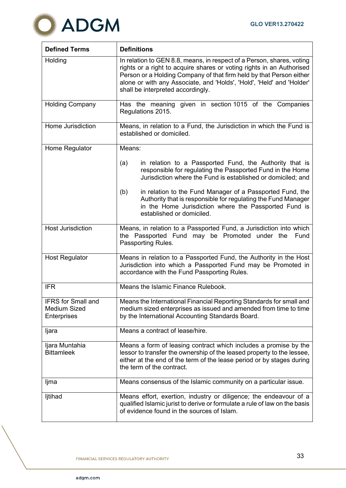

| <b>Defined Terms</b>                                            | <b>Definitions</b>                                                                                                                                                                                                                                                                                                                  |
|-----------------------------------------------------------------|-------------------------------------------------------------------------------------------------------------------------------------------------------------------------------------------------------------------------------------------------------------------------------------------------------------------------------------|
| Holding                                                         | In relation to GEN 8.8, means, in respect of a Person, shares, voting<br>rights or a right to acquire shares or voting rights in an Authorised<br>Person or a Holding Company of that firm held by that Person either<br>alone or with any Associate, and 'Holds', 'Hold', 'Held' and 'Holder'<br>shall be interpreted accordingly. |
| <b>Holding Company</b>                                          | Has the meaning given in section 1015 of the Companies<br>Regulations 2015.                                                                                                                                                                                                                                                         |
| Home Jurisdiction                                               | Means, in relation to a Fund, the Jurisdiction in which the Fund is<br>established or domiciled.                                                                                                                                                                                                                                    |
| Home Regulator                                                  | Means:                                                                                                                                                                                                                                                                                                                              |
|                                                                 | in relation to a Passported Fund, the Authority that is<br>(a)<br>responsible for regulating the Passported Fund in the Home<br>Jurisdiction where the Fund is established or domiciled; and                                                                                                                                        |
|                                                                 | in relation to the Fund Manager of a Passported Fund, the<br>(b)<br>Authority that is responsible for regulating the Fund Manager<br>in the Home Jurisdiction where the Passported Fund is<br>established or domiciled.                                                                                                             |
| <b>Host Jurisdiction</b>                                        | Means, in relation to a Passported Fund, a Jurisdiction into which<br>the Passported Fund may be Promoted under the<br>Fund<br>Passporting Rules.                                                                                                                                                                                   |
| <b>Host Regulator</b>                                           | Means in relation to a Passported Fund, the Authority in the Host<br>Jurisdiction into which a Passported Fund may be Promoted in<br>accordance with the Fund Passporting Rules.                                                                                                                                                    |
| <b>IFR</b>                                                      | Means the Islamic Finance Rulebook.                                                                                                                                                                                                                                                                                                 |
| <b>IFRS</b> for Small and<br><b>Medium Sized</b><br>Enterprises | Means the International Financial Reporting Standards for small and<br>medium sized enterprises as issued and amended from time to time<br>by the International Accounting Standards Board.                                                                                                                                         |
| ljara                                                           | Means a contract of lease/hire.                                                                                                                                                                                                                                                                                                     |
| Ijara Muntahia<br><b>Bittamleek</b>                             | Means a form of leasing contract which includes a promise by the<br>lessor to transfer the ownership of the leased property to the lessee,<br>either at the end of the term of the lease period or by stages during<br>the term of the contract.                                                                                    |
| ljma                                                            | Means consensus of the Islamic community on a particular issue.                                                                                                                                                                                                                                                                     |
| ljtihad                                                         | Means effort, exertion, industry or diligence; the endeavour of a<br>qualified Islamic jurist to derive or formulate a rule of law on the basis<br>of evidence found in the sources of Islam.                                                                                                                                       |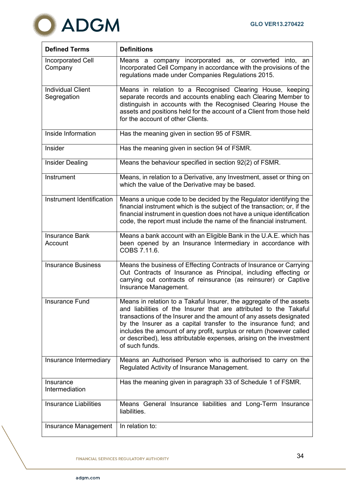

| <b>Defined Terms</b>                    | <b>Definitions</b>                                                                                                                                                                                                                                                                                                                                                                                                                                   |
|-----------------------------------------|------------------------------------------------------------------------------------------------------------------------------------------------------------------------------------------------------------------------------------------------------------------------------------------------------------------------------------------------------------------------------------------------------------------------------------------------------|
| <b>Incorporated Cell</b><br>Company     | Means a company incorporated as, or converted into, an<br>Incorporated Cell Company in accordance with the provisions of the<br>regulations made under Companies Regulations 2015.                                                                                                                                                                                                                                                                   |
| <b>Individual Client</b><br>Segregation | Means in relation to a Recognised Clearing House, keeping<br>separate records and accounts enabling each Clearing Member to<br>distinguish in accounts with the Recognised Clearing House the<br>assets and positions held for the account of a Client from those held<br>for the account of other Clients.                                                                                                                                          |
| Inside Information                      | Has the meaning given in section 95 of FSMR.                                                                                                                                                                                                                                                                                                                                                                                                         |
| Insider                                 | Has the meaning given in section 94 of FSMR.                                                                                                                                                                                                                                                                                                                                                                                                         |
| <b>Insider Dealing</b>                  | Means the behaviour specified in section 92(2) of FSMR.                                                                                                                                                                                                                                                                                                                                                                                              |
| Instrument                              | Means, in relation to a Derivative, any Investment, asset or thing on<br>which the value of the Derivative may be based.                                                                                                                                                                                                                                                                                                                             |
| Instrument Identification               | Means a unique code to be decided by the Regulator identifying the<br>financial instrument which is the subject of the transaction; or, if the<br>financial instrument in question does not have a unique identification<br>code, the report must include the name of the financial instrument.                                                                                                                                                      |
| <b>Insurance Bank</b><br>Account        | Means a bank account with an Eligible Bank in the U.A.E. which has<br>been opened by an Insurance Intermediary in accordance with<br>COBS 7.11.6.                                                                                                                                                                                                                                                                                                    |
| <b>Insurance Business</b>               | Means the business of Effecting Contracts of Insurance or Carrying<br>Out Contracts of Insurance as Principal, including effecting or<br>carrying out contracts of reinsurance (as reinsurer) or Captive<br>Insurance Management.                                                                                                                                                                                                                    |
| Insurance Fund                          | Means in relation to a Takaful Insurer, the aggregate of the assets<br>and liabilities of the Insurer that are attributed to the Takaful<br>transactions of the Insurer and the amount of any assets designated<br>by the Insurer as a capital transfer to the insurance fund; and<br>includes the amount of any profit, surplus or return (however called<br>or described), less attributable expenses, arising on the investment<br>of such funds. |
| Insurance Intermediary                  | Means an Authorised Person who is authorised to carry on the<br>Regulated Activity of Insurance Management.                                                                                                                                                                                                                                                                                                                                          |
| Insurance<br>Intermediation             | Has the meaning given in paragraph 33 of Schedule 1 of FSMR.                                                                                                                                                                                                                                                                                                                                                                                         |
| <b>Insurance Liabilities</b>            | Means General Insurance liabilities and Long-Term Insurance<br>liabilities.                                                                                                                                                                                                                                                                                                                                                                          |
| Insurance Management                    | In relation to:                                                                                                                                                                                                                                                                                                                                                                                                                                      |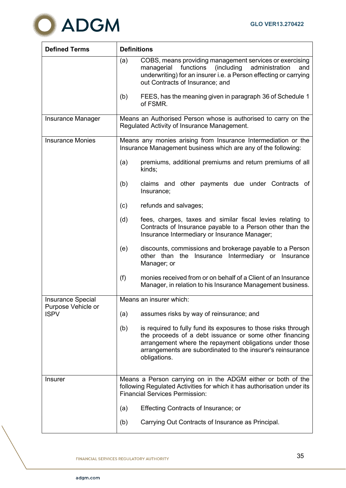

| <b>Defined Terms</b>              | <b>Definitions</b> |                                                                                                                                                                                                                                                                    |
|-----------------------------------|--------------------|--------------------------------------------------------------------------------------------------------------------------------------------------------------------------------------------------------------------------------------------------------------------|
|                                   | (a)                | COBS, means providing management services or exercising<br>functions<br>(including)<br>managerial<br>administration<br>and<br>underwriting) for an insurer i.e. a Person effecting or carrying<br>out Contracts of Insurance; and                                  |
|                                   | (b)                | FEES, has the meaning given in paragraph 36 of Schedule 1<br>of FSMR.                                                                                                                                                                                              |
| <b>Insurance Manager</b>          |                    | Means an Authorised Person whose is authorised to carry on the<br>Regulated Activity of Insurance Management.                                                                                                                                                      |
| <b>Insurance Monies</b>           |                    | Means any monies arising from Insurance Intermediation or the<br>Insurance Management business which are any of the following:                                                                                                                                     |
|                                   | (a)                | premiums, additional premiums and return premiums of all<br>kinds;                                                                                                                                                                                                 |
|                                   | (b)                | claims and other payments due under Contracts of<br>Insurance;                                                                                                                                                                                                     |
|                                   | (c)                | refunds and salvages;                                                                                                                                                                                                                                              |
|                                   | (d)                | fees, charges, taxes and similar fiscal levies relating to<br>Contracts of Insurance payable to a Person other than the<br>Insurance Intermediary or Insurance Manager;                                                                                            |
|                                   | (e)                | discounts, commissions and brokerage payable to a Person<br>other than the Insurance Intermediary or Insurance<br>Manager; or                                                                                                                                      |
|                                   | (f)                | monies received from or on behalf of a Client of an Insurance<br>Manager, in relation to his Insurance Management business.                                                                                                                                        |
| <b>Insurance Special</b>          |                    | Means an insurer which:                                                                                                                                                                                                                                            |
| Purpose Vehicle or<br><b>ISPV</b> | (a)                | assumes risks by way of reinsurance; and                                                                                                                                                                                                                           |
|                                   | (b)                | is required to fully fund its exposures to those risks through<br>the proceeds of a debt issuance or some other financing<br>arrangement where the repayment obligations under those<br>arrangements are subordinated to the insurer's reinsurance<br>obligations. |
| <b>Insurer</b>                    |                    | Means a Person carrying on in the ADGM either or both of the<br>following Regulated Activities for which it has authorisation under its<br><b>Financial Services Permission:</b>                                                                                   |
|                                   | (a)                | <b>Effecting Contracts of Insurance; or</b>                                                                                                                                                                                                                        |
|                                   | (b)                | Carrying Out Contracts of Insurance as Principal.                                                                                                                                                                                                                  |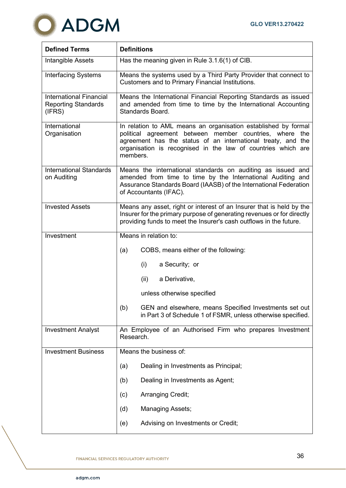

| <b>Defined Terms</b>                                                   | <b>Definitions</b>                                                                                                                                                                                                                                                       |
|------------------------------------------------------------------------|--------------------------------------------------------------------------------------------------------------------------------------------------------------------------------------------------------------------------------------------------------------------------|
| Intangible Assets                                                      | Has the meaning given in Rule 3.1.6(1) of CIB.                                                                                                                                                                                                                           |
| <b>Interfacing Systems</b>                                             | Means the systems used by a Third Party Provider that connect to<br>Customers and to Primary Financial Institutions.                                                                                                                                                     |
| <b>International Financial</b><br><b>Reporting Standards</b><br>(IFRS) | Means the International Financial Reporting Standards as issued<br>and amended from time to time by the International Accounting<br>Standards Board.                                                                                                                     |
| International<br>Organisation                                          | In relation to AML means an organisation established by formal<br>political agreement between member countries, where<br>the<br>agreement has the status of an international treaty, and the<br>organisation is recognised in the law of countries which are<br>members. |
| <b>International Standards</b><br>on Auditing                          | Means the international standards on auditing as issued and<br>amended from time to time by the International Auditing and<br>Assurance Standards Board (IAASB) of the International Federation<br>of Accountants (IFAC).                                                |
| <b>Invested Assets</b>                                                 | Means any asset, right or interest of an Insurer that is held by the<br>Insurer for the primary purpose of generating revenues or for directly<br>providing funds to meet the Insurer's cash outflows in the future.                                                     |
| Investment                                                             | Means in relation to:                                                                                                                                                                                                                                                    |
|                                                                        | (a)<br>COBS, means either of the following:                                                                                                                                                                                                                              |
|                                                                        | (i)<br>a Security; or                                                                                                                                                                                                                                                    |
|                                                                        | (ii)<br>a Derivative,                                                                                                                                                                                                                                                    |
|                                                                        | unless otherwise specified                                                                                                                                                                                                                                               |
|                                                                        | (b)<br>GEN and elsewhere, means Specified Investments set out<br>in Part 3 of Schedule 1 of FSMR, unless otherwise specified.                                                                                                                                            |
| <b>Investment Analyst</b>                                              | An Employee of an Authorised Firm who prepares Investment<br>Research.                                                                                                                                                                                                   |
| <b>Investment Business</b>                                             | Means the business of:                                                                                                                                                                                                                                                   |
|                                                                        | Dealing in Investments as Principal;<br>(a)                                                                                                                                                                                                                              |
|                                                                        | Dealing in Investments as Agent;<br>(b)                                                                                                                                                                                                                                  |
|                                                                        | Arranging Credit;<br>(c)                                                                                                                                                                                                                                                 |
|                                                                        | <b>Managing Assets;</b><br>(d)                                                                                                                                                                                                                                           |
|                                                                        | Advising on Investments or Credit;<br>(e)                                                                                                                                                                                                                                |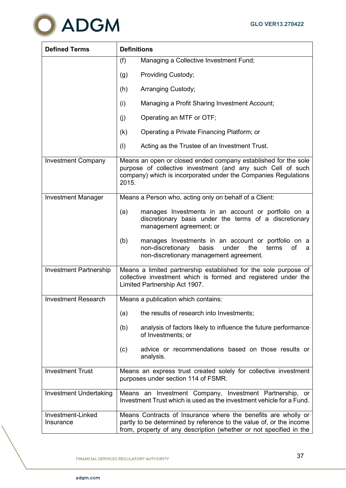

| <b>Defined Terms</b>           | <b>Definitions</b>                                                                                                                                                                                         |
|--------------------------------|------------------------------------------------------------------------------------------------------------------------------------------------------------------------------------------------------------|
|                                | Managing a Collective Investment Fund;<br>(f)                                                                                                                                                              |
|                                | Providing Custody;<br>(g)                                                                                                                                                                                  |
|                                | (h)<br>Arranging Custody;                                                                                                                                                                                  |
|                                | (i)<br>Managing a Profit Sharing Investment Account;                                                                                                                                                       |
|                                | (j)<br>Operating an MTF or OTF;                                                                                                                                                                            |
|                                | (k)<br>Operating a Private Financing Platform; or                                                                                                                                                          |
|                                | (1)<br>Acting as the Trustee of an Investment Trust.                                                                                                                                                       |
| <b>Investment Company</b>      | Means an open or closed ended company established for the sole<br>purpose of collective investment (and any such Cell of such<br>company) which is incorporated under the Companies Regulations<br>2015.   |
| <b>Investment Manager</b>      | Means a Person who, acting only on behalf of a Client:                                                                                                                                                     |
|                                | (a)<br>manages Investments in an account or portfolio on a<br>discretionary basis under the terms of a discretionary<br>management agreement; or                                                           |
|                                | (b)<br>manages Investments in an account or portfolio on a<br>non-discretionary<br>basis<br>under<br>the<br>terms<br>оf<br>a<br>non-discretionary management agreement.                                    |
| Investment Partnership         | Means a limited partnership established for the sole purpose of<br>collective investment which is formed and registered under the<br>Limited Partnership Act 1907.                                         |
| <b>Investment Research</b>     | Means a publication which contains:                                                                                                                                                                        |
|                                | the results of research into Investments;<br>(a)                                                                                                                                                           |
|                                | analysis of factors likely to influence the future performance<br>(b)<br>of Investments; or                                                                                                                |
|                                | advice or recommendations based on those results or<br>(c)<br>analysis.                                                                                                                                    |
| <b>Investment Trust</b>        | Means an express trust created solely for collective investment<br>purposes under section 114 of FSMR.                                                                                                     |
| Investment Undertaking         | Means an Investment Company, Investment Partnership, or<br>Investment Trust which is used as the investment vehicle for a Fund.                                                                            |
| Investment-Linked<br>Insurance | Means Contracts of Insurance where the benefits are wholly or<br>partly to be determined by reference to the value of, or the income<br>from, property of any description (whether or not specified in the |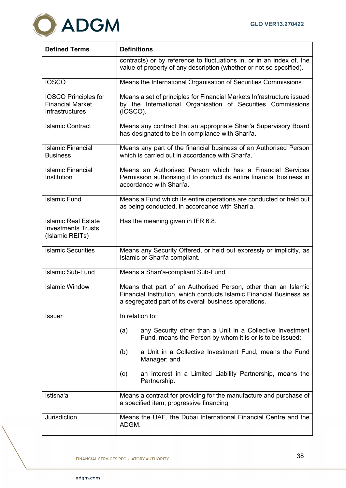

| <b>Defined Terms</b>                                                       | <b>Definitions</b>                                                                                                                                                                             |  |  |
|----------------------------------------------------------------------------|------------------------------------------------------------------------------------------------------------------------------------------------------------------------------------------------|--|--|
|                                                                            | contracts) or by reference to fluctuations in, or in an index of, the<br>value of property of any description (whether or not so specified).                                                   |  |  |
| <b>IOSCO</b>                                                               | Means the International Organisation of Securities Commissions.                                                                                                                                |  |  |
| <b>IOSCO Principles for</b><br><b>Financial Market</b><br>Infrastructures  | Means a set of principles for Financial Markets Infrastructure issued<br>by the International Organisation of Securities Commissions<br>(IOSCO).                                               |  |  |
| <b>Islamic Contract</b>                                                    | Means any contract that an appropriate Shari'a Supervisory Board<br>has designated to be in compliance with Shari'a.                                                                           |  |  |
| <b>Islamic Financial</b><br><b>Business</b>                                | Means any part of the financial business of an Authorised Person<br>which is carried out in accordance with Shari'a.                                                                           |  |  |
| <b>Islamic Financial</b><br>Institution                                    | Means an Authorised Person which has a Financial Services<br>Permission authorising it to conduct its entire financial business in<br>accordance with Shari'a.                                 |  |  |
| <b>Islamic Fund</b>                                                        | Means a Fund which its entire operations are conducted or held out<br>as being conducted, in accordance with Shari'a.                                                                          |  |  |
| <b>Islamic Real Estate</b><br><b>Investments Trusts</b><br>(Islamic REITs) | Has the meaning given in IFR 6.8.                                                                                                                                                              |  |  |
| <b>Islamic Securities</b>                                                  | Means any Security Offered, or held out expressly or implicitly, as<br>Islamic or Shari'a compliant.                                                                                           |  |  |
| <b>Islamic Sub-Fund</b>                                                    | Means a Shari'a-compliant Sub-Fund.                                                                                                                                                            |  |  |
| <b>Islamic Window</b>                                                      | Means that part of an Authorised Person, other than an Islamic<br>Financial Institution, which conducts Islamic Financial Business as<br>a segregated part of its overall business operations. |  |  |
| <b>Issuer</b>                                                              | In relation to:                                                                                                                                                                                |  |  |
|                                                                            | any Security other than a Unit in a Collective Investment<br>(a)<br>Fund, means the Person by whom it is or is to be issued;                                                                   |  |  |
|                                                                            | a Unit in a Collective Investment Fund, means the Fund<br>(b)<br>Manager; and                                                                                                                  |  |  |
|                                                                            | an interest in a Limited Liability Partnership, means the<br>(c)<br>Partnership.                                                                                                               |  |  |
| Istisna'a                                                                  | Means a contract for providing for the manufacture and purchase of<br>a specified item; progressive financing.                                                                                 |  |  |
| Jurisdiction                                                               | Means the UAE, the Dubai International Financial Centre and the<br>ADGM.                                                                                                                       |  |  |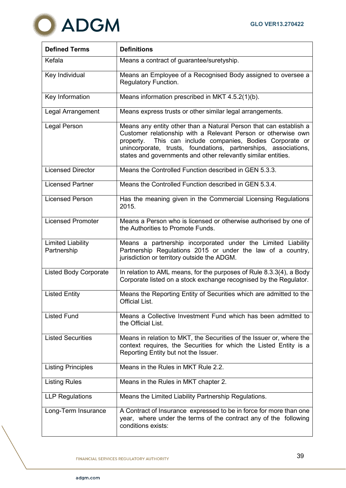

| <b>Defined Terms</b>                    | <b>Definitions</b>                                                                                                                                                                                                                                                                                                                     |  |  |
|-----------------------------------------|----------------------------------------------------------------------------------------------------------------------------------------------------------------------------------------------------------------------------------------------------------------------------------------------------------------------------------------|--|--|
| Kefala                                  | Means a contract of guarantee/suretyship.                                                                                                                                                                                                                                                                                              |  |  |
| Key Individual                          | Means an Employee of a Recognised Body assigned to oversee a<br>Regulatory Function.                                                                                                                                                                                                                                                   |  |  |
| Key Information                         | Means information prescribed in MKT 4.5.2(1)(b).                                                                                                                                                                                                                                                                                       |  |  |
| Legal Arrangement                       | Means express trusts or other similar legal arrangements.                                                                                                                                                                                                                                                                              |  |  |
| Legal Person                            | Means any entity other than a Natural Person that can establish a<br>Customer relationship with a Relevant Person or otherwise own<br>This can include companies, Bodies Corporate or<br>property.<br>unincorporate, trusts, foundations, partnerships, associations,<br>states and governments and other relevantly similar entities. |  |  |
| <b>Licensed Director</b>                | Means the Controlled Function described in GEN 5.3.3.                                                                                                                                                                                                                                                                                  |  |  |
| <b>Licensed Partner</b>                 | Means the Controlled Function described in GEN 5.3.4.                                                                                                                                                                                                                                                                                  |  |  |
| <b>Licensed Person</b>                  | Has the meaning given in the Commercial Licensing Regulations<br>2015.                                                                                                                                                                                                                                                                 |  |  |
| <b>Licensed Promoter</b>                | Means a Person who is licensed or otherwise authorised by one of<br>the Authorities to Promote Funds.                                                                                                                                                                                                                                  |  |  |
| <b>Limited Liability</b><br>Partnership | Means a partnership incorporated under the Limited Liability<br>Partnership Regulations 2015 or under the law of a country,<br>jurisdiction or territory outside the ADGM.                                                                                                                                                             |  |  |
| <b>Listed Body Corporate</b>            | In relation to AML means, for the purposes of Rule 8.3.3(4), a Body<br>Corporate listed on a stock exchange recognised by the Regulator.                                                                                                                                                                                               |  |  |
| <b>Listed Entity</b>                    | Means the Reporting Entity of Securities which are admitted to the<br><b>Official List.</b>                                                                                                                                                                                                                                            |  |  |
| <b>Listed Fund</b>                      | Means a Collective Investment Fund which has been admitted to<br>the Official List.                                                                                                                                                                                                                                                    |  |  |
| <b>Listed Securities</b>                | Means in relation to MKT, the Securities of the Issuer or, where the<br>context requires, the Securities for which the Listed Entity is a<br>Reporting Entity but not the Issuer.                                                                                                                                                      |  |  |
| <b>Listing Principles</b>               | Means in the Rules in MKT Rule 2.2.                                                                                                                                                                                                                                                                                                    |  |  |
| <b>Listing Rules</b>                    | Means in the Rules in MKT chapter 2.                                                                                                                                                                                                                                                                                                   |  |  |
| <b>LLP Regulations</b>                  | Means the Limited Liability Partnership Regulations.                                                                                                                                                                                                                                                                                   |  |  |
| Long-Term Insurance                     | A Contract of Insurance expressed to be in force for more than one<br>year, where under the terms of the contract any of the following<br>conditions exists:                                                                                                                                                                           |  |  |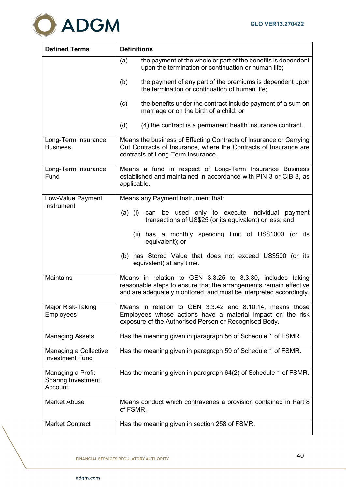

| <b>Defined Terms</b>                                      | <b>Definitions</b>                                                                                                                                                                                    |  |  |
|-----------------------------------------------------------|-------------------------------------------------------------------------------------------------------------------------------------------------------------------------------------------------------|--|--|
|                                                           | the payment of the whole or part of the benefits is dependent<br>(a)<br>upon the termination or continuation or human life;                                                                           |  |  |
|                                                           | (b)<br>the payment of any part of the premiums is dependent upon<br>the termination or continuation of human life;                                                                                    |  |  |
|                                                           | (c)<br>the benefits under the contract include payment of a sum on<br>marriage or on the birth of a child; or                                                                                         |  |  |
|                                                           | (d)<br>(4) the contract is a permanent health insurance contract.                                                                                                                                     |  |  |
| Long-Term Insurance<br><b>Business</b>                    | Means the business of Effecting Contracts of Insurance or Carrying<br>Out Contracts of Insurance, where the Contracts of Insurance are<br>contracts of Long-Term Insurance.                           |  |  |
| Long-Term Insurance<br>Fund                               | Means a fund in respect of Long-Term Insurance Business<br>established and maintained in accordance with PIN 3 or CIB 8, as<br>applicable.                                                            |  |  |
| Low-Value Payment                                         | Means any Payment Instrument that:                                                                                                                                                                    |  |  |
| Instrument                                                | can be used only to execute individual payment<br>$(a)$ (i)<br>transactions of US\$25 (or its equivalent) or less; and                                                                                |  |  |
|                                                           | (ii) has a monthly spending limit of US\$1000 (or its<br>equivalent); or                                                                                                                              |  |  |
|                                                           | (b) has Stored Value that does not exceed US\$500 (or its<br>equivalent) at any time.                                                                                                                 |  |  |
| <b>Maintains</b>                                          | Means in relation to GEN 3.3.25 to 3.3.30, includes taking<br>reasonable steps to ensure that the arrangements remain effective<br>and are adequately monitored, and must be interpreted accordingly. |  |  |
| Major Risk-Taking<br>Employees                            | Means in relation to GEN 3.3.42 and 8.10.14, means those<br>Employees whose actions have a material impact on the risk<br>exposure of the Authorised Person or Recognised Body.                       |  |  |
| <b>Managing Assets</b>                                    | Has the meaning given in paragraph 56 of Schedule 1 of FSMR.                                                                                                                                          |  |  |
| Managing a Collective<br><b>Investment Fund</b>           | Has the meaning given in paragraph 59 of Schedule 1 of FSMR.                                                                                                                                          |  |  |
| Managing a Profit<br><b>Sharing Investment</b><br>Account | Has the meaning given in paragraph 64(2) of Schedule 1 of FSMR.                                                                                                                                       |  |  |
| <b>Market Abuse</b>                                       | Means conduct which contravenes a provision contained in Part 8<br>of FSMR.                                                                                                                           |  |  |
| <b>Market Contract</b>                                    | Has the meaning given in section 258 of FSMR.                                                                                                                                                         |  |  |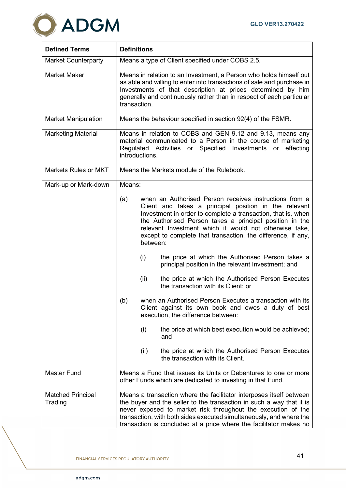

| <b>Defined Terms</b>                | <b>Definitions</b>                                                                                                                                                                                         |                 |                                                                                                                                                                                                                                                                                                                                                                                                                          |
|-------------------------------------|------------------------------------------------------------------------------------------------------------------------------------------------------------------------------------------------------------|-----------------|--------------------------------------------------------------------------------------------------------------------------------------------------------------------------------------------------------------------------------------------------------------------------------------------------------------------------------------------------------------------------------------------------------------------------|
| <b>Market Counterparty</b>          |                                                                                                                                                                                                            |                 | Means a type of Client specified under COBS 2.5.                                                                                                                                                                                                                                                                                                                                                                         |
| <b>Market Maker</b>                 | transaction.                                                                                                                                                                                               |                 | Means in relation to an Investment, a Person who holds himself out<br>as able and willing to enter into transactions of sale and purchase in<br>Investments of that description at prices determined by him<br>generally and continuously rather than in respect of each particular                                                                                                                                      |
| <b>Market Manipulation</b>          | Means the behaviour specified in section 92(4) of the FSMR.                                                                                                                                                |                 |                                                                                                                                                                                                                                                                                                                                                                                                                          |
| <b>Marketing Material</b>           | Means in relation to COBS and GEN 9.12 and 9.13, means any<br>material communicated to a Person in the course of marketing<br>Regulated Activities or Specified Investments or effecting<br>introductions. |                 |                                                                                                                                                                                                                                                                                                                                                                                                                          |
| <b>Markets Rules or MKT</b>         | Means the Markets module of the Rulebook.                                                                                                                                                                  |                 |                                                                                                                                                                                                                                                                                                                                                                                                                          |
| Mark-up or Mark-down                | Means:                                                                                                                                                                                                     |                 |                                                                                                                                                                                                                                                                                                                                                                                                                          |
|                                     | (a)                                                                                                                                                                                                        | between:<br>(i) | when an Authorised Person receives instructions from a<br>Client and takes a principal position in the relevant<br>Investment in order to complete a transaction, that is, when<br>the Authorised Person takes a principal position in the<br>relevant Investment which it would not otherwise take,<br>except to complete that transaction, the difference, if any,<br>the price at which the Authorised Person takes a |
|                                     |                                                                                                                                                                                                            | (ii)            | principal position in the relevant Investment; and<br>the price at which the Authorised Person Executes                                                                                                                                                                                                                                                                                                                  |
|                                     |                                                                                                                                                                                                            |                 | the transaction with its Client; or                                                                                                                                                                                                                                                                                                                                                                                      |
|                                     | (b)                                                                                                                                                                                                        |                 | when an Authorised Person Executes a transaction with its<br>Client against its own book and owes a duty of best<br>execution, the difference between:                                                                                                                                                                                                                                                                   |
|                                     |                                                                                                                                                                                                            | (i)             | the price at which best execution would be achieved;<br>and                                                                                                                                                                                                                                                                                                                                                              |
|                                     |                                                                                                                                                                                                            | (ii)            | the price at which the Authorised Person Executes<br>the transaction with its Client.                                                                                                                                                                                                                                                                                                                                    |
| <b>Master Fund</b>                  |                                                                                                                                                                                                            |                 | Means a Fund that issues its Units or Debentures to one or more<br>other Funds which are dedicated to investing in that Fund.                                                                                                                                                                                                                                                                                            |
| <b>Matched Principal</b><br>Trading |                                                                                                                                                                                                            |                 | Means a transaction where the facilitator interposes itself between<br>the buyer and the seller to the transaction in such a way that it is<br>never exposed to market risk throughout the execution of the<br>transaction, with both sides executed simultaneously, and where the<br>transaction is concluded at a price where the facilitator makes no                                                                 |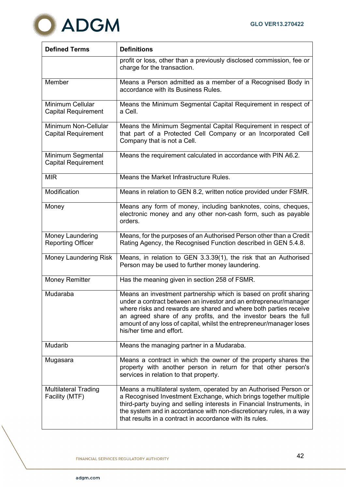

| <b>Defined Terms</b>                               | <b>Definitions</b>                                                                                                                                                                                                                                                                                                                                                               |  |  |
|----------------------------------------------------|----------------------------------------------------------------------------------------------------------------------------------------------------------------------------------------------------------------------------------------------------------------------------------------------------------------------------------------------------------------------------------|--|--|
|                                                    | profit or loss, other than a previously disclosed commission, fee or<br>charge for the transaction.                                                                                                                                                                                                                                                                              |  |  |
| Member                                             | Means a Person admitted as a member of a Recognised Body in<br>accordance with its Business Rules.                                                                                                                                                                                                                                                                               |  |  |
| Minimum Cellular<br><b>Capital Requirement</b>     | Means the Minimum Segmental Capital Requirement in respect of<br>a Cell.                                                                                                                                                                                                                                                                                                         |  |  |
| Minimum Non-Cellular<br><b>Capital Requirement</b> | Means the Minimum Segmental Capital Requirement in respect of<br>that part of a Protected Cell Company or an Incorporated Cell<br>Company that is not a Cell.                                                                                                                                                                                                                    |  |  |
| Minimum Segmental<br><b>Capital Requirement</b>    | Means the requirement calculated in accordance with PIN A6.2.                                                                                                                                                                                                                                                                                                                    |  |  |
| <b>MIR</b>                                         | Means the Market Infrastructure Rules.                                                                                                                                                                                                                                                                                                                                           |  |  |
| Modification                                       | Means in relation to GEN 8.2, written notice provided under FSMR.                                                                                                                                                                                                                                                                                                                |  |  |
| Money                                              | Means any form of money, including banknotes, coins, cheques,<br>electronic money and any other non-cash form, such as payable<br>orders.                                                                                                                                                                                                                                        |  |  |
| Money Laundering<br><b>Reporting Officer</b>       | Means, for the purposes of an Authorised Person other than a Credit<br>Rating Agency, the Recognised Function described in GEN 5.4.8.                                                                                                                                                                                                                                            |  |  |
| <b>Money Laundering Risk</b>                       | Means, in relation to GEN 3.3.39(1), the risk that an Authorised<br>Person may be used to further money laundering.                                                                                                                                                                                                                                                              |  |  |
| <b>Money Remitter</b>                              | Has the meaning given in section 258 of FSMR.                                                                                                                                                                                                                                                                                                                                    |  |  |
| Mudaraba                                           | Means an investment partnership which is based on profit sharing<br>under a contract between an investor and an entrepreneur/manager<br>where risks and rewards are shared and where both parties receive<br>an agreed share of any profits, and the investor bears the full<br>amount of any loss of capital, whilst the entrepreneur/manager loses<br>his/her time and effort. |  |  |
| Mudarib                                            | Means the managing partner in a Mudaraba.                                                                                                                                                                                                                                                                                                                                        |  |  |
| Mugasara                                           | Means a contract in which the owner of the property shares the<br>property with another person in return for that other person's<br>services in relation to that property.                                                                                                                                                                                                       |  |  |
| <b>Multilateral Trading</b><br>Facility (MTF)      | Means a multilateral system, operated by an Authorised Person or<br>a Recognised Investment Exchange, which brings together multiple<br>third-party buying and selling interests in Financial Instruments, in<br>the system and in accordance with non-discretionary rules, in a way<br>that results in a contract in accordance with its rules.                                 |  |  |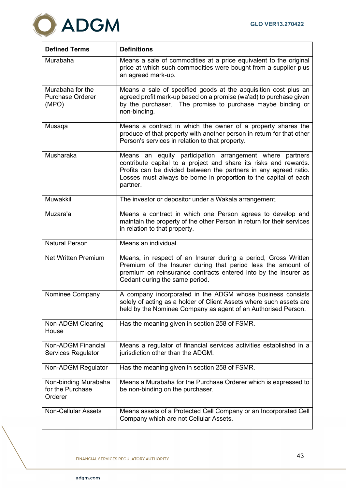

| <b>Defined Terms</b>                                 | <b>Definitions</b>                                                                                                                                                                                                                                                                  |
|------------------------------------------------------|-------------------------------------------------------------------------------------------------------------------------------------------------------------------------------------------------------------------------------------------------------------------------------------|
| Murabaha                                             | Means a sale of commodities at a price equivalent to the original<br>price at which such commodities were bought from a supplier plus<br>an agreed mark-up.                                                                                                                         |
| Murabaha for the<br><b>Purchase Orderer</b><br>(MPO) | Means a sale of specified goods at the acquisition cost plus an<br>agreed profit mark-up based on a promise (wa'ad) to purchase given<br>by the purchaser. The promise to purchase maybe binding or<br>non-binding.                                                                 |
| Musaqa                                               | Means a contract in which the owner of a property shares the<br>produce of that property with another person in return for that other<br>Person's services in relation to that property.                                                                                            |
| Musharaka                                            | Means an equity participation arrangement where<br>partners<br>contribute capital to a project and share its risks and rewards.<br>Profits can be divided between the partners in any agreed ratio.<br>Losses must always be borne in proportion to the capital of each<br>partner. |
| Muwakkil                                             | The investor or depositor under a Wakala arrangement.                                                                                                                                                                                                                               |
| Muzara'a                                             | Means a contract in which one Person agrees to develop and<br>maintain the property of the other Person in return for their services<br>in relation to that property.                                                                                                               |
| <b>Natural Person</b>                                | Means an individual.                                                                                                                                                                                                                                                                |
| <b>Net Written Premium</b>                           | Means, in respect of an Insurer during a period, Gross Written<br>Premium of the Insurer during that period less the amount of<br>premium on reinsurance contracts entered into by the Insurer as<br>Cedant during the same period.                                                 |
| Nominee Company                                      | A company incorporated in the ADGM whose business consists<br>solely of acting as a holder of Client Assets where such assets are<br>held by the Nominee Company as agent of an Authorised Person.                                                                                  |
| Non-ADGM Clearing<br>House                           | Has the meaning given in section 258 of FSMR.                                                                                                                                                                                                                                       |
| <b>Non-ADGM Financial</b><br>Services Regulator      | Means a regulator of financial services activities established in a<br>jurisdiction other than the ADGM.                                                                                                                                                                            |
| <b>Non-ADGM Regulator</b>                            | Has the meaning given in section 258 of FSMR.                                                                                                                                                                                                                                       |
| Non-binding Murabaha<br>for the Purchase<br>Orderer  | Means a Murabaha for the Purchase Orderer which is expressed to<br>be non-binding on the purchaser.                                                                                                                                                                                 |
| <b>Non-Cellular Assets</b>                           | Means assets of a Protected Cell Company or an Incorporated Cell<br>Company which are not Cellular Assets.                                                                                                                                                                          |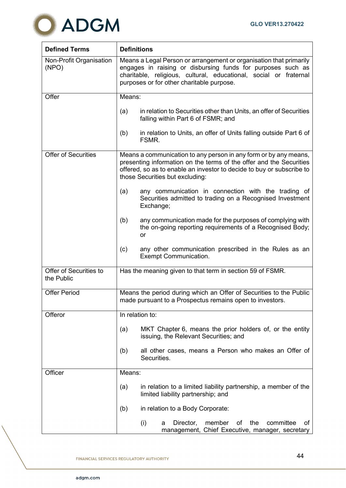

| <b>Defined Terms</b>                 | <b>Definitions</b>                                                                                                                                                                                                                                  |  |  |
|--------------------------------------|-----------------------------------------------------------------------------------------------------------------------------------------------------------------------------------------------------------------------------------------------------|--|--|
| Non-Profit Organisation<br>(NPO)     | Means a Legal Person or arrangement or organisation that primarily<br>engages in raising or disbursing funds for purposes such as<br>charitable, religious, cultural, educational, social or fraternal<br>purposes or for other charitable purpose. |  |  |
| Offer                                | Means:                                                                                                                                                                                                                                              |  |  |
|                                      | in relation to Securities other than Units, an offer of Securities<br>(a)<br>falling within Part 6 of FSMR; and                                                                                                                                     |  |  |
|                                      | in relation to Units, an offer of Units falling outside Part 6 of<br>(b)<br>FSMR.                                                                                                                                                                   |  |  |
| <b>Offer of Securities</b>           | Means a communication to any person in any form or by any means,<br>presenting information on the terms of the offer and the Securities<br>offered, so as to enable an investor to decide to buy or subscribe to<br>those Securities but excluding: |  |  |
|                                      | any communication in connection with the trading of<br>(a)<br>Securities admitted to trading on a Recognised Investment<br>Exchange;                                                                                                                |  |  |
|                                      | any communication made for the purposes of complying with<br>(b)<br>the on-going reporting requirements of a Recognised Body;<br>or                                                                                                                 |  |  |
|                                      | (c)<br>any other communication prescribed in the Rules as an<br><b>Exempt Communication.</b>                                                                                                                                                        |  |  |
| Offer of Securities to<br>the Public | Has the meaning given to that term in section 59 of FSMR.                                                                                                                                                                                           |  |  |
| <b>Offer Period</b>                  | Means the period during which an Offer of Securities to the Public<br>made pursuant to a Prospectus remains open to investors.                                                                                                                      |  |  |
| Offeror                              | In relation to:                                                                                                                                                                                                                                     |  |  |
|                                      | MKT Chapter 6, means the prior holders of, or the entity<br>(a)<br>issuing, the Relevant Securities; and                                                                                                                                            |  |  |
|                                      | all other cases, means a Person who makes an Offer of<br>(b)<br>Securities.                                                                                                                                                                         |  |  |
| Officer                              | Means:                                                                                                                                                                                                                                              |  |  |
|                                      | in relation to a limited liability partnership, a member of the<br>(a)<br>limited liability partnership; and                                                                                                                                        |  |  |
|                                      | in relation to a Body Corporate:<br>(b)                                                                                                                                                                                                             |  |  |
|                                      | (i)<br>member<br>οf<br>the<br>committee<br>Director,<br>οf<br>a<br>management, Chief Executive, manager, secretary                                                                                                                                  |  |  |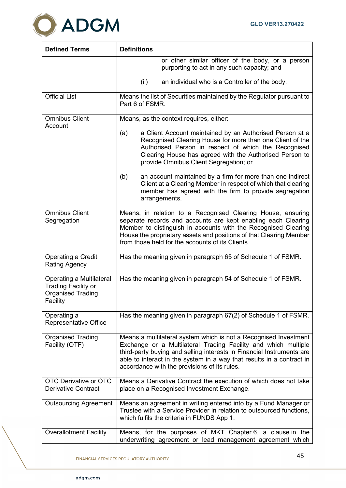

| <b>Defined Terms</b>                                                                                  | <b>Definitions</b>                                                                                                                                                                                                                                                                                                                   |
|-------------------------------------------------------------------------------------------------------|--------------------------------------------------------------------------------------------------------------------------------------------------------------------------------------------------------------------------------------------------------------------------------------------------------------------------------------|
|                                                                                                       | or other similar officer of the body, or a person<br>purporting to act in any such capacity; and                                                                                                                                                                                                                                     |
|                                                                                                       | an individual who is a Controller of the body.<br>(ii)                                                                                                                                                                                                                                                                               |
| <b>Official List</b>                                                                                  | Means the list of Securities maintained by the Regulator pursuant to<br>Part 6 of FSMR.                                                                                                                                                                                                                                              |
| <b>Omnibus Client</b><br>Account                                                                      | Means, as the context requires, either:                                                                                                                                                                                                                                                                                              |
|                                                                                                       | a Client Account maintained by an Authorised Person at a<br>(a)<br>Recognised Clearing House for more than one Client of the<br>Authorised Person in respect of which the Recognised<br>Clearing House has agreed with the Authorised Person to<br>provide Omnibus Client Segregation; or                                            |
|                                                                                                       | an account maintained by a firm for more than one indirect<br>(b)<br>Client at a Clearing Member in respect of which that clearing<br>member has agreed with the firm to provide segregation<br>arrangements.                                                                                                                        |
| <b>Omnibus Client</b><br>Segregation                                                                  | Means, in relation to a Recognised Clearing House, ensuring<br>separate records and accounts are kept enabling each Clearing<br>Member to distinguish in accounts with the Recognised Clearing<br>House the proprietary assets and positions of that Clearing Member<br>from those held for the accounts of its Clients.             |
| Operating a Credit<br><b>Rating Agency</b>                                                            | Has the meaning given in paragraph 65 of Schedule 1 of FSMR.                                                                                                                                                                                                                                                                         |
| <b>Operating a Multilateral</b><br><b>Trading Facility or</b><br><b>Organised Trading</b><br>Facility | Has the meaning given in paragraph 54 of Schedule 1 of FSMR.                                                                                                                                                                                                                                                                         |
| Operating a<br>Representative Office                                                                  | Has the meaning given in paragraph 67(2) of Schedule 1 of FSMR.                                                                                                                                                                                                                                                                      |
| <b>Organised Trading</b><br>Facility (OTF)                                                            | Means a multilateral system which is not a Recognised Investment<br>Exchange or a Multilateral Trading Facility and which multiple<br>third-party buying and selling interests in Financial Instruments are<br>able to interact in the system in a way that results in a contract in<br>accordance with the provisions of its rules. |
| <b>OTC Derivative or OTC</b><br><b>Derivative Contract</b>                                            | Means a Derivative Contract the execution of which does not take<br>place on a Recognised Investment Exchange.                                                                                                                                                                                                                       |
| <b>Outsourcing Agreement</b>                                                                          | Means an agreement in writing entered into by a Fund Manager or<br>Trustee with a Service Provider in relation to outsourced functions,<br>which fulfils the criteria in FUNDS App 1.                                                                                                                                                |
| <b>Overallotment Facility</b>                                                                         | Means, for the purposes of MKT Chapter 6, a clause in the<br>underwriting agreement or lead management agreement which                                                                                                                                                                                                               |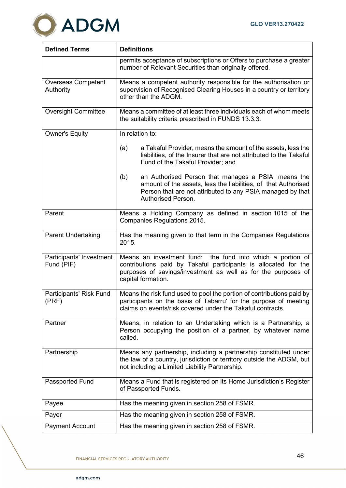

| <b>Defined Terms</b>                   | <b>Definitions</b>                                                                                                                                                                                                   |  |  |
|----------------------------------------|----------------------------------------------------------------------------------------------------------------------------------------------------------------------------------------------------------------------|--|--|
|                                        | permits acceptance of subscriptions or Offers to purchase a greater<br>number of Relevant Securities than originally offered.                                                                                        |  |  |
| <b>Overseas Competent</b><br>Authority | Means a competent authority responsible for the authorisation or<br>supervision of Recognised Clearing Houses in a country or territory<br>other than the ADGM.                                                      |  |  |
| <b>Oversight Committee</b>             | Means a committee of at least three individuals each of whom meets<br>the suitability criteria prescribed in FUNDS 13.3.3.                                                                                           |  |  |
| <b>Owner's Equity</b>                  | In relation to:                                                                                                                                                                                                      |  |  |
|                                        | a Takaful Provider, means the amount of the assets, less the<br>(a)<br>liabilities, of the Insurer that are not attributed to the Takaful<br>Fund of the Takaful Provider; and                                       |  |  |
|                                        | (b)<br>an Authorised Person that manages a PSIA, means the<br>amount of the assets, less the liabilities, of that Authorised<br>Person that are not attributed to any PSIA managed by that<br>Authorised Person.     |  |  |
| Parent                                 | Means a Holding Company as defined in section 1015 of the<br>Companies Regulations 2015.                                                                                                                             |  |  |
| <b>Parent Undertaking</b>              | Has the meaning given to that term in the Companies Regulations<br>2015.                                                                                                                                             |  |  |
| Participants' Investment<br>Fund (PIF) | Means an investment fund: the fund into which a portion of<br>contributions paid by Takaful participants is allocated for the<br>purposes of savings/investment as well as for the purposes of<br>capital formation. |  |  |
| Participants' Risk Fund<br>(PRF)       | Means the risk fund used to pool the portion of contributions paid by<br>participants on the basis of Tabarru' for the purpose of meeting<br>claims on events/risk covered under the Takaful contracts.              |  |  |
| Partner                                | Means, in relation to an Undertaking which is a Partnership, a<br>Person occupying the position of a partner, by whatever name<br>called.                                                                            |  |  |
| Partnership                            | Means any partnership, including a partnership constituted under<br>the law of a country, jurisdiction or territory outside the ADGM, but<br>not including a Limited Liability Partnership.                          |  |  |
| Passported Fund                        | Means a Fund that is registered on its Home Jurisdiction's Register<br>of Passported Funds.                                                                                                                          |  |  |
| Payee                                  | Has the meaning given in section 258 of FSMR.                                                                                                                                                                        |  |  |
| Payer                                  | Has the meaning given in section 258 of FSMR.                                                                                                                                                                        |  |  |
| <b>Payment Account</b>                 | Has the meaning given in section 258 of FSMR.                                                                                                                                                                        |  |  |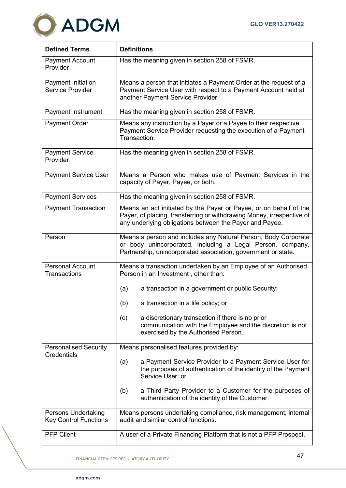

| <b>Defined Terms</b>                                       | <b>Definitions</b>                                                                                                                                                                                    |  |  |
|------------------------------------------------------------|-------------------------------------------------------------------------------------------------------------------------------------------------------------------------------------------------------|--|--|
| <b>Payment Account</b><br>Provider                         | Has the meaning given in section 258 of FSMR.                                                                                                                                                         |  |  |
| <b>Payment Initiation</b><br><b>Service Provider</b>       | Means a person that initiates a Payment Order at the request of a<br>Payment Service User with respect to a Payment Account held at<br>another Payment Service Provider.                              |  |  |
| <b>Payment Instrument</b>                                  | Has the meaning given in section 258 of FSMR.                                                                                                                                                         |  |  |
| Payment Order                                              | Means any instruction by a Payer or a Payee to their respective<br>Payment Service Provider requesting the execution of a Payment<br>Transaction.                                                     |  |  |
| <b>Payment Service</b><br>Provider                         | Has the meaning given in section 258 of FSMR.                                                                                                                                                         |  |  |
| <b>Payment Service User</b>                                | Means a Person who makes use of Payment Services in the<br>capacity of Payer, Payee, or both.                                                                                                         |  |  |
| <b>Payment Services</b>                                    | Has the meaning given in section 258 of FSMR.                                                                                                                                                         |  |  |
| <b>Payment Transaction</b>                                 | Means an act initiated by the Payer or Payee, or on behalf of the<br>Payer, of placing, transferring or withdrawing Money, irrespective of<br>any underlying obligations between the Payer and Payee. |  |  |
| Person                                                     | Means a person and includes any Natural Person, Body Corporate<br>or body unincorporated, including a Legal Person, company,<br>Partnership, unincorporated association, government or state.         |  |  |
| <b>Personal Account</b><br><b>Transactions</b>             | Means a transaction undertaken by an Employee of an Authorised<br>Person in an Investment, other than:                                                                                                |  |  |
|                                                            | a transaction in a government or public Security;<br>(a)                                                                                                                                              |  |  |
|                                                            | a transaction in a life policy; or<br>(b)                                                                                                                                                             |  |  |
|                                                            | a discretionary transaction if there is no prior<br>(c)<br>communication with the Employee and the discretion is not<br>exercised by the Authorised Person.                                           |  |  |
| <b>Personalised Security</b><br>Credentials                | Means personalised features provided by:                                                                                                                                                              |  |  |
|                                                            | a Payment Service Provider to a Payment Service User for<br>(a)<br>the purposes of authentication of the identity of the Payment<br>Service User; or                                                  |  |  |
|                                                            | a Third Party Provider to a Customer for the purposes of<br>(b)<br>authentication of the identity of the Customer.                                                                                    |  |  |
| <b>Persons Undertaking</b><br><b>Key Control Functions</b> | Means persons undertaking compliance, risk management, internal<br>audit and similar control functions.                                                                                               |  |  |
| <b>PFP Client</b>                                          | A user of a Private Financing Platform that is not a PFP Prospect.                                                                                                                                    |  |  |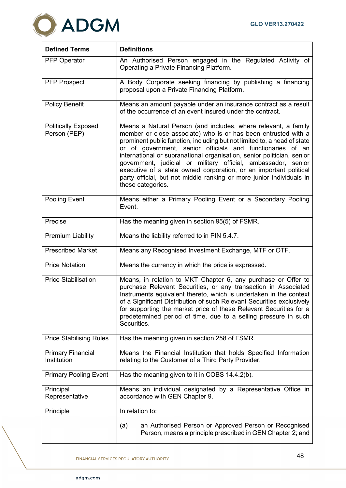

| <b>Defined Terms</b>                       | <b>Definitions</b>                                                                                                                                                                                                                                                                                                                                                                                                                                                                                                                                                                      |  |  |
|--------------------------------------------|-----------------------------------------------------------------------------------------------------------------------------------------------------------------------------------------------------------------------------------------------------------------------------------------------------------------------------------------------------------------------------------------------------------------------------------------------------------------------------------------------------------------------------------------------------------------------------------------|--|--|
| <b>PFP Operator</b>                        | An Authorised Person engaged in the Regulated Activity of<br>Operating a Private Financing Platform.                                                                                                                                                                                                                                                                                                                                                                                                                                                                                    |  |  |
| <b>PFP Prospect</b>                        | A Body Corporate seeking financing by publishing a financing<br>proposal upon a Private Financing Platform.                                                                                                                                                                                                                                                                                                                                                                                                                                                                             |  |  |
| <b>Policy Benefit</b>                      | Means an amount payable under an insurance contract as a result<br>of the occurrence of an event insured under the contract.                                                                                                                                                                                                                                                                                                                                                                                                                                                            |  |  |
| <b>Politically Exposed</b><br>Person (PEP) | Means a Natural Person (and includes, where relevant, a family<br>member or close associate) who is or has been entrusted with a<br>prominent public function, including but not limited to, a head of state<br>or of government, senior officials and functionaries of an<br>international or supranational organisation, senior politician, senior<br>government, judicial or military official, ambassador, senior<br>executive of a state owned corporation, or an important political<br>party official, but not middle ranking or more junior individuals in<br>these categories. |  |  |
| Pooling Event                              | Means either a Primary Pooling Event or a Secondary Pooling<br>Event.                                                                                                                                                                                                                                                                                                                                                                                                                                                                                                                   |  |  |
| Precise                                    | Has the meaning given in section 95(5) of FSMR.                                                                                                                                                                                                                                                                                                                                                                                                                                                                                                                                         |  |  |
| <b>Premium Liability</b>                   | Means the liability referred to in PIN 5.4.7.                                                                                                                                                                                                                                                                                                                                                                                                                                                                                                                                           |  |  |
| <b>Prescribed Market</b>                   | Means any Recognised Investment Exchange, MTF or OTF.                                                                                                                                                                                                                                                                                                                                                                                                                                                                                                                                   |  |  |
| <b>Price Notation</b>                      | Means the currency in which the price is expressed.                                                                                                                                                                                                                                                                                                                                                                                                                                                                                                                                     |  |  |
| <b>Price Stabilisation</b>                 | Means, in relation to MKT Chapter 6, any purchase or Offer to<br>purchase Relevant Securities, or any transaction in Associated<br>Instruments equivalent thereto, which is undertaken in the context<br>of a Significant Distribution of such Relevant Securities exclusively<br>for supporting the market price of these Relevant Securities for a<br>predetermined period of time, due to a selling pressure in such<br>Securities.                                                                                                                                                  |  |  |
| <b>Price Stabilising Rules</b>             | Has the meaning given in section 258 of FSMR.                                                                                                                                                                                                                                                                                                                                                                                                                                                                                                                                           |  |  |
| <b>Primary Financial</b><br>Institution    | Means the Financial Institution that holds Specified Information<br>relating to the Customer of a Third Party Provider.                                                                                                                                                                                                                                                                                                                                                                                                                                                                 |  |  |
| <b>Primary Pooling Event</b>               | Has the meaning given to it in COBS 14.4.2(b).                                                                                                                                                                                                                                                                                                                                                                                                                                                                                                                                          |  |  |
| Principal<br>Representative                | Means an individual designated by a Representative Office in<br>accordance with GEN Chapter 9.                                                                                                                                                                                                                                                                                                                                                                                                                                                                                          |  |  |
| Principle                                  | In relation to:                                                                                                                                                                                                                                                                                                                                                                                                                                                                                                                                                                         |  |  |
|                                            | an Authorised Person or Approved Person or Recognised<br>(a)<br>Person, means a principle prescribed in GEN Chapter 2; and                                                                                                                                                                                                                                                                                                                                                                                                                                                              |  |  |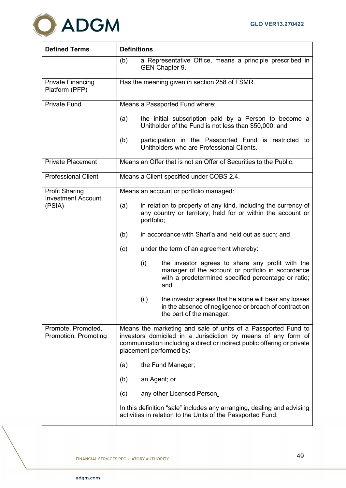

| <b>Defined Terms</b>                                         | <b>Definitions</b>                                                                                                                                                                                                                   |                                                                                                                                                                            |  |
|--------------------------------------------------------------|--------------------------------------------------------------------------------------------------------------------------------------------------------------------------------------------------------------------------------------|----------------------------------------------------------------------------------------------------------------------------------------------------------------------------|--|
|                                                              | (b)                                                                                                                                                                                                                                  | a Representative Office, means a principle prescribed in<br>GEN Chapter 9.                                                                                                 |  |
| <b>Private Financing</b><br>Platform (PFP)                   | Has the meaning given in section 258 of FSMR.                                                                                                                                                                                        |                                                                                                                                                                            |  |
| <b>Private Fund</b>                                          | Means a Passported Fund where:                                                                                                                                                                                                       |                                                                                                                                                                            |  |
|                                                              | (a)                                                                                                                                                                                                                                  | the initial subscription paid by a Person to become a<br>Unitholder of the Fund is not less than \$50,000; and                                                             |  |
|                                                              | (b)                                                                                                                                                                                                                                  | participation in the Passported Fund is restricted to<br>Unitholders who are Professional Clients.                                                                         |  |
| <b>Private Placement</b>                                     |                                                                                                                                                                                                                                      | Means an Offer that is not an Offer of Securities to the Public.                                                                                                           |  |
| <b>Professional Client</b>                                   | Means a Client specified under COBS 2.4.                                                                                                                                                                                             |                                                                                                                                                                            |  |
| <b>Profit Sharing</b><br><b>Investment Account</b><br>(PSIA) | Means an account or portfolio managed:                                                                                                                                                                                               |                                                                                                                                                                            |  |
|                                                              | (a)                                                                                                                                                                                                                                  | in relation to property of any kind, including the currency of<br>any country or territory, held for or within the account or<br>portfolio;                                |  |
|                                                              | (b)                                                                                                                                                                                                                                  | in accordance with Shari'a and held out as such; and                                                                                                                       |  |
|                                                              | (c)                                                                                                                                                                                                                                  | under the term of an agreement whereby:                                                                                                                                    |  |
|                                                              |                                                                                                                                                                                                                                      | (i)<br>the investor agrees to share any profit with the<br>manager of the account or portfolio in accordance<br>with a predetermined specified percentage or ratio;<br>and |  |
|                                                              |                                                                                                                                                                                                                                      | (ii)<br>the investor agrees that he alone will bear any losses<br>in the absence of negligence or breach of contract on<br>the part of the manager.                        |  |
| Promote, Promoted,<br>Promotion, Promoting                   | Means the marketing and sale of units of a Passported Fund to<br>investors domiciled in a Jurisdiction by means of any form of<br>communication including a direct or indirect public offering or private<br>placement performed by: |                                                                                                                                                                            |  |
|                                                              | (a)                                                                                                                                                                                                                                  | the Fund Manager;                                                                                                                                                          |  |
|                                                              | (b)                                                                                                                                                                                                                                  | an Agent; or                                                                                                                                                               |  |
|                                                              | (c)                                                                                                                                                                                                                                  | any other Licensed Person.                                                                                                                                                 |  |
|                                                              |                                                                                                                                                                                                                                      | In this definition "sale" includes any arranging, dealing and advising<br>activities in relation to the Units of the Passported Fund.                                      |  |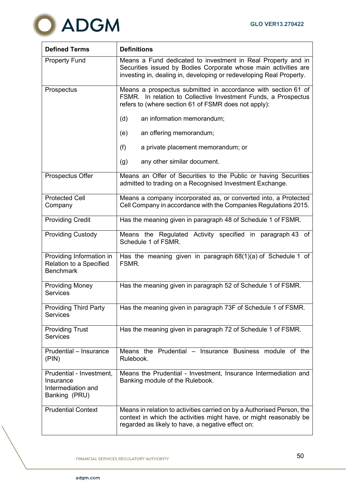

| <b>Defined Terms</b>                                                         | <b>Definitions</b>                                                                                                                                                                                     |
|------------------------------------------------------------------------------|--------------------------------------------------------------------------------------------------------------------------------------------------------------------------------------------------------|
| <b>Property Fund</b>                                                         | Means a Fund dedicated to investment in Real Property and in<br>Securities issued by Bodies Corporate whose main activities are<br>investing in, dealing in, developing or redeveloping Real Property. |
| Prospectus                                                                   | Means a prospectus submitted in accordance with section 61 of<br>FSMR. In relation to Collective Investment Funds, a Prospectus<br>refers to (where section 61 of FSMR does not apply):                |
|                                                                              | (d)<br>an information memorandum;                                                                                                                                                                      |
|                                                                              | (e)<br>an offering memorandum;                                                                                                                                                                         |
|                                                                              | (f)<br>a private placement memorandum; or                                                                                                                                                              |
|                                                                              | any other similar document.<br>(g)                                                                                                                                                                     |
| Prospectus Offer                                                             | Means an Offer of Securities to the Public or having Securities<br>admitted to trading on a Recognised Investment Exchange.                                                                            |
| <b>Protected Cell</b><br>Company                                             | Means a company incorporated as, or converted into, a Protected<br>Cell Company in accordance with the Companies Regulations 2015.                                                                     |
| <b>Providing Credit</b>                                                      | Has the meaning given in paragraph 48 of Schedule 1 of FSMR.                                                                                                                                           |
| <b>Providing Custody</b>                                                     | Means the Regulated Activity specified in paragraph 43 of<br>Schedule 1 of FSMR.                                                                                                                       |
| Providing Information in<br>Relation to a Specified<br><b>Benchmark</b>      | Has the meaning given in paragraph $68(1)(a)$ of Schedule 1 of<br>FSMR.                                                                                                                                |
| <b>Providing Money</b><br><b>Services</b>                                    | Has the meaning given in paragraph 52 of Schedule 1 of FSMR.                                                                                                                                           |
| <b>Providing Third Party</b><br><b>Services</b>                              | Has the meaning given in paragraph 73F of Schedule 1 of FSMR.                                                                                                                                          |
| <b>Providing Trust</b><br><b>Services</b>                                    | Has the meaning given in paragraph 72 of Schedule 1 of FSMR.                                                                                                                                           |
| Prudential - Insurance<br>(PIN)                                              | Means the Prudential – Insurance Business module of the<br>Rulebook.                                                                                                                                   |
| Prudential - Investment,<br>Insurance<br>Intermediation and<br>Banking (PRU) | Means the Prudential - Investment, Insurance Intermediation and<br>Banking module of the Rulebook.                                                                                                     |
| <b>Prudential Context</b>                                                    | Means in relation to activities carried on by a Authorised Person, the<br>context in which the activities might have, or might reasonably be<br>regarded as likely to have, a negative effect on:      |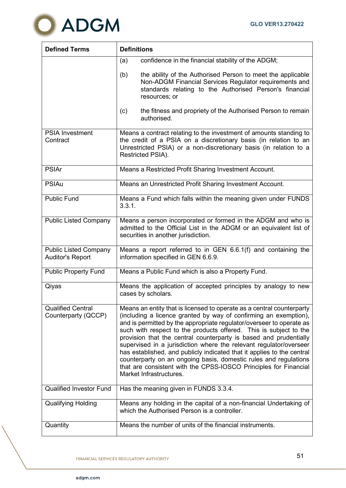

| <b>Defined Terms</b>                                    | <b>Definitions</b>                                                                                                                                                                                                                                                                                                                                                                                                                                                                                                                                                                                                                                                             |  |  |  |
|---------------------------------------------------------|--------------------------------------------------------------------------------------------------------------------------------------------------------------------------------------------------------------------------------------------------------------------------------------------------------------------------------------------------------------------------------------------------------------------------------------------------------------------------------------------------------------------------------------------------------------------------------------------------------------------------------------------------------------------------------|--|--|--|
|                                                         | confidence in the financial stability of the ADGM;<br>(a)                                                                                                                                                                                                                                                                                                                                                                                                                                                                                                                                                                                                                      |  |  |  |
|                                                         | (b)<br>the ability of the Authorised Person to meet the applicable<br>Non-ADGM Financial Services Regulator requirements and<br>standards relating to the Authorised Person's financial<br>resources; or                                                                                                                                                                                                                                                                                                                                                                                                                                                                       |  |  |  |
|                                                         | the fitness and propriety of the Authorised Person to remain<br>(c)<br>authorised.                                                                                                                                                                                                                                                                                                                                                                                                                                                                                                                                                                                             |  |  |  |
| <b>PSIA Investment</b><br>Contract                      | Means a contract relating to the investment of amounts standing to<br>the credit of a PSIA on a discretionary basis (in relation to an<br>Unrestricted PSIA) or a non-discretionary basis (in relation to a<br>Restricted PSIA).                                                                                                                                                                                                                                                                                                                                                                                                                                               |  |  |  |
| <b>PSIAr</b>                                            | Means a Restricted Profit Sharing Investment Account.                                                                                                                                                                                                                                                                                                                                                                                                                                                                                                                                                                                                                          |  |  |  |
| <b>PSIAu</b>                                            | Means an Unrestricted Profit Sharing Investment Account.                                                                                                                                                                                                                                                                                                                                                                                                                                                                                                                                                                                                                       |  |  |  |
| <b>Public Fund</b>                                      | Means a Fund which falls within the meaning given under FUNDS<br>3.3.1.                                                                                                                                                                                                                                                                                                                                                                                                                                                                                                                                                                                                        |  |  |  |
| <b>Public Listed Company</b>                            | Means a person incorporated or formed in the ADGM and who is<br>admitted to the Official List in the ADGM or an equivalent list of<br>securities in another jurisdiction.                                                                                                                                                                                                                                                                                                                                                                                                                                                                                                      |  |  |  |
| <b>Public Listed Company</b><br><b>Auditor's Report</b> | Means a report referred to in GEN 6.6.1(f) and containing the<br>information specified in GEN 6.6.9.                                                                                                                                                                                                                                                                                                                                                                                                                                                                                                                                                                           |  |  |  |
| <b>Public Property Fund</b>                             | Means a Public Fund which is also a Property Fund.                                                                                                                                                                                                                                                                                                                                                                                                                                                                                                                                                                                                                             |  |  |  |
| Qiyas                                                   | Means the application of accepted principles by analogy to new<br>cases by scholars.                                                                                                                                                                                                                                                                                                                                                                                                                                                                                                                                                                                           |  |  |  |
| <b>Qualified Central</b><br>Counterparty (QCCP)         | Means an entity that is licensed to operate as a central counterparty<br>(including a licence granted by way of confirming an exemption),<br>and is permitted by the appropriate regulator/overseer to operate as<br>such with respect to the products offered. This is subject to the<br>provision that the central counterparty is based and prudentially<br>supervised in a jurisdiction where the relevant regulator/overseer<br>has established, and publicly indicated that it applies to the central<br>counterparty on an ongoing basis, domestic rules and regulations<br>that are consistent with the CPSS-IOSCO Principles for Financial<br>Market Infrastructures. |  |  |  |
| <b>Qualified Investor Fund</b>                          | Has the meaning given in FUNDS 3.3.4.                                                                                                                                                                                                                                                                                                                                                                                                                                                                                                                                                                                                                                          |  |  |  |
| <b>Qualifying Holding</b>                               | Means any holding in the capital of a non-financial Undertaking of<br>which the Authorised Person is a controller.                                                                                                                                                                                                                                                                                                                                                                                                                                                                                                                                                             |  |  |  |
| Quantity                                                | Means the number of units of the financial instruments.                                                                                                                                                                                                                                                                                                                                                                                                                                                                                                                                                                                                                        |  |  |  |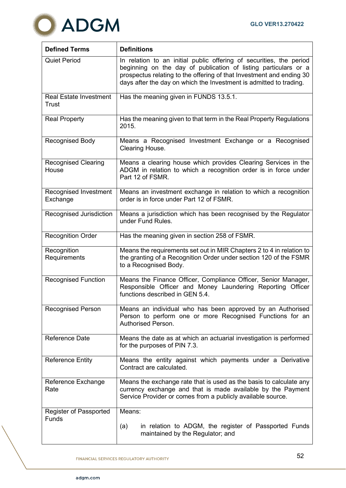

| <b>Defined Terms</b>                   | <b>Definitions</b>                                                                                                                                                                                                                                                                   |
|----------------------------------------|--------------------------------------------------------------------------------------------------------------------------------------------------------------------------------------------------------------------------------------------------------------------------------------|
| <b>Quiet Period</b>                    | In relation to an initial public offering of securities, the period<br>beginning on the day of publication of listing particulars or a<br>prospectus relating to the offering of that Investment and ending 30<br>days after the day on which the Investment is admitted to trading. |
| <b>Real Estate Investment</b><br>Trust | Has the meaning given in FUNDS 13.5.1.                                                                                                                                                                                                                                               |
| <b>Real Property</b>                   | Has the meaning given to that term in the Real Property Regulations<br>2015.                                                                                                                                                                                                         |
| <b>Recognised Body</b>                 | Means a Recognised Investment Exchange or a Recognised<br>Clearing House.                                                                                                                                                                                                            |
| <b>Recognised Clearing</b><br>House    | Means a clearing house which provides Clearing Services in the<br>ADGM in relation to which a recognition order is in force under<br>Part 12 of FSMR.                                                                                                                                |
| Recognised Investment<br>Exchange      | Means an investment exchange in relation to which a recognition<br>order is in force under Part 12 of FSMR.                                                                                                                                                                          |
| Recognised Jurisdiction                | Means a jurisdiction which has been recognised by the Regulator<br>under Fund Rules.                                                                                                                                                                                                 |
| <b>Recognition Order</b>               | Has the meaning given in section 258 of FSMR.                                                                                                                                                                                                                                        |
| Recognition<br>Requirements            | Means the requirements set out in MIR Chapters 2 to 4 in relation to<br>the granting of a Recognition Order under section 120 of the FSMR<br>to a Recognised Body.                                                                                                                   |
| <b>Recognised Function</b>             | Means the Finance Officer, Compliance Officer, Senior Manager,<br>Responsible Officer and Money Laundering Reporting Officer<br>functions described in GEN 5.4.                                                                                                                      |
| <b>Recognised Person</b>               | Means an individual who has been approved by an Authorised<br>Person to perform one or more Recognised Functions for an<br>Authorised Person.                                                                                                                                        |
| Reference Date                         | Means the date as at which an actuarial investigation is performed<br>for the purposes of PIN 7.3.                                                                                                                                                                                   |
| <b>Reference Entity</b>                | Means the entity against which payments under a Derivative<br>Contract are calculated.                                                                                                                                                                                               |
| Reference Exchange<br>Rate             | Means the exchange rate that is used as the basis to calculate any<br>currency exchange and that is made available by the Payment<br>Service Provider or comes from a publicly available source.                                                                                     |
| Register of Passported<br><b>Funds</b> | Means:                                                                                                                                                                                                                                                                               |
|                                        | in relation to ADGM, the register of Passported Funds<br>(a)<br>maintained by the Regulator; and                                                                                                                                                                                     |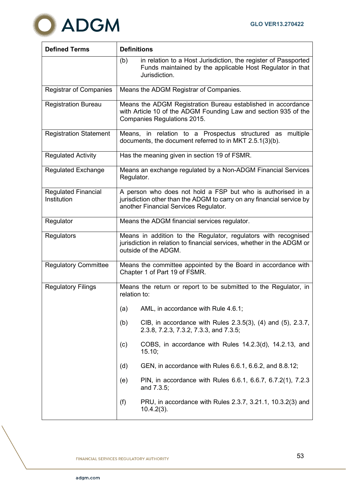

| <b>Defined Terms</b>                      | <b>Definitions</b>                                                                                                                                                            |  |  |
|-------------------------------------------|-------------------------------------------------------------------------------------------------------------------------------------------------------------------------------|--|--|
|                                           | (b)<br>in relation to a Host Jurisdiction, the register of Passported<br>Funds maintained by the applicable Host Regulator in that<br>Jurisdiction.                           |  |  |
| <b>Registrar of Companies</b>             | Means the ADGM Registrar of Companies.                                                                                                                                        |  |  |
| <b>Registration Bureau</b>                | Means the ADGM Registration Bureau established in accordance<br>with Article 10 of the ADGM Founding Law and section 935 of the<br>Companies Regulations 2015.                |  |  |
| <b>Registration Statement</b>             | Means, in relation to a Prospectus structured as multiple<br>documents, the document referred to in MKT 2.5.1(3)(b).                                                          |  |  |
| <b>Regulated Activity</b>                 | Has the meaning given in section 19 of FSMR.                                                                                                                                  |  |  |
| <b>Regulated Exchange</b>                 | Means an exchange regulated by a Non-ADGM Financial Services<br>Regulator.                                                                                                    |  |  |
| <b>Regulated Financial</b><br>Institution | A person who does not hold a FSP but who is authorised in a<br>jurisdiction other than the ADGM to carry on any financial service by<br>another Financial Services Regulator. |  |  |
| Regulator                                 | Means the ADGM financial services regulator.                                                                                                                                  |  |  |
| Regulators                                | Means in addition to the Regulator, regulators with recognised<br>jurisdiction in relation to financial services, whether in the ADGM or<br>outside of the ADGM.              |  |  |
| <b>Regulatory Committee</b>               | Means the committee appointed by the Board in accordance with<br>Chapter 1 of Part 19 of FSMR.                                                                                |  |  |
| <b>Regulatory Filings</b>                 | Means the return or report to be submitted to the Regulator, in<br>relation to:                                                                                               |  |  |
|                                           | AML, in accordance with Rule 4.6.1;<br>(a)                                                                                                                                    |  |  |
|                                           | CIB, in accordance with Rules 2.3.5(3), (4) and (5), 2.3.7,<br>(b)<br>2.3.8, 7.2.3, 7.3.2, 7.3.3, and 7.3.5;                                                                  |  |  |
|                                           | COBS, in accordance with Rules 14.2.3(d), 14.2.13, and<br>(c)<br>15.10;                                                                                                       |  |  |
|                                           | GEN, in accordance with Rules 6.6.1, 6.6.2, and 8.8.12;<br>(d)                                                                                                                |  |  |
|                                           | PIN, in accordance with Rules 6.6.1, 6.6.7, 6.7.2(1), 7.2.3<br>(e)<br>and 7.3.5;                                                                                              |  |  |
|                                           | (f)<br>PRU, in accordance with Rules 2.3.7, 3.21.1, 10.3.2(3) and<br>$10.4.2(3)$ .                                                                                            |  |  |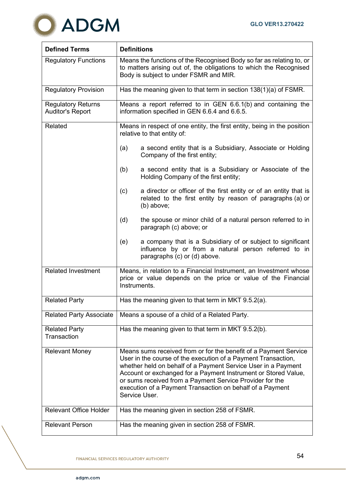

| <b>Defined Terms</b>                                 | <b>Definitions</b>                                                                                                                                                                                                                                                                                                                                                                                             |  |  |  |
|------------------------------------------------------|----------------------------------------------------------------------------------------------------------------------------------------------------------------------------------------------------------------------------------------------------------------------------------------------------------------------------------------------------------------------------------------------------------------|--|--|--|
| <b>Regulatory Functions</b>                          | Means the functions of the Recognised Body so far as relating to, or<br>to matters arising out of, the obligations to which the Recognised<br>Body is subject to under FSMR and MIR.                                                                                                                                                                                                                           |  |  |  |
| <b>Regulatory Provision</b>                          | Has the meaning given to that term in section 138(1)(a) of FSMR.                                                                                                                                                                                                                                                                                                                                               |  |  |  |
| <b>Regulatory Returns</b><br><b>Auditor's Report</b> | Means a report referred to in GEN 6.6.1(b) and containing the<br>information specified in GEN 6.6.4 and 6.6.5.                                                                                                                                                                                                                                                                                                 |  |  |  |
| Related                                              | Means in respect of one entity, the first entity, being in the position<br>relative to that entity of:                                                                                                                                                                                                                                                                                                         |  |  |  |
|                                                      | (a)<br>a second entity that is a Subsidiary, Associate or Holding<br>Company of the first entity;                                                                                                                                                                                                                                                                                                              |  |  |  |
|                                                      | (b)<br>a second entity that is a Subsidiary or Associate of the<br>Holding Company of the first entity;                                                                                                                                                                                                                                                                                                        |  |  |  |
|                                                      | a director or officer of the first entity or of an entity that is<br>(c)<br>related to the first entity by reason of paragraphs (a) or<br>(b) above;                                                                                                                                                                                                                                                           |  |  |  |
|                                                      | (d)<br>the spouse or minor child of a natural person referred to in<br>paragraph (c) above; or                                                                                                                                                                                                                                                                                                                 |  |  |  |
|                                                      | a company that is a Subsidiary of or subject to significant<br>(e)<br>influence by or from a natural person referred to in<br>paragraphs (c) or (d) above.                                                                                                                                                                                                                                                     |  |  |  |
| <b>Related Investment</b>                            | Means, in relation to a Financial Instrument, an Investment whose<br>price or value depends on the price or value of the Financial<br>Instruments.                                                                                                                                                                                                                                                             |  |  |  |
| <b>Related Party</b>                                 | Has the meaning given to that term in MKT 9.5.2(a).                                                                                                                                                                                                                                                                                                                                                            |  |  |  |
| <b>Related Party Associate</b>                       | Means a spouse of a child of a Related Party.                                                                                                                                                                                                                                                                                                                                                                  |  |  |  |
| <b>Related Party</b><br>Transaction                  | Has the meaning given to that term in MKT 9.5.2(b).                                                                                                                                                                                                                                                                                                                                                            |  |  |  |
| <b>Relevant Money</b>                                | Means sums received from or for the benefit of a Payment Service<br>User in the course of the execution of a Payment Transaction,<br>whether held on behalf of a Payment Service User in a Payment<br>Account or exchanged for a Payment Instrument or Stored Value,<br>or sums received from a Payment Service Provider for the<br>execution of a Payment Transaction on behalf of a Payment<br>Service User. |  |  |  |
| <b>Relevant Office Holder</b>                        | Has the meaning given in section 258 of FSMR.                                                                                                                                                                                                                                                                                                                                                                  |  |  |  |
| <b>Relevant Person</b>                               | Has the meaning given in section 258 of FSMR.                                                                                                                                                                                                                                                                                                                                                                  |  |  |  |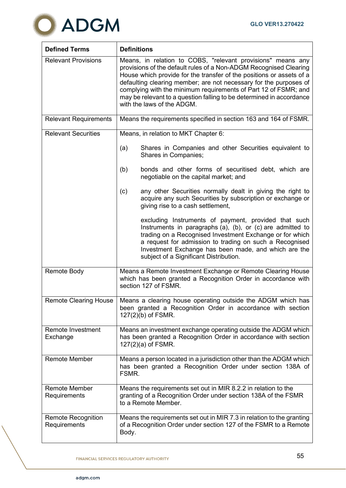

| <b>Defined Terms</b>                      | <b>Definitions</b>                                                                                                                                                                                                                                                                                                                                                                                                                                     |  |  |
|-------------------------------------------|--------------------------------------------------------------------------------------------------------------------------------------------------------------------------------------------------------------------------------------------------------------------------------------------------------------------------------------------------------------------------------------------------------------------------------------------------------|--|--|
| <b>Relevant Provisions</b>                | Means, in relation to COBS, "relevant provisions" means any<br>provisions of the default rules of a Non-ADGM Recognised Clearing<br>House which provide for the transfer of the positions or assets of a<br>defaulting clearing member; are not necessary for the purposes of<br>complying with the minimum requirements of Part 12 of FSMR; and<br>may be relevant to a question falling to be determined in accordance<br>with the laws of the ADGM. |  |  |
| <b>Relevant Requirements</b>              | Means the requirements specified in section 163 and 164 of FSMR.                                                                                                                                                                                                                                                                                                                                                                                       |  |  |
| <b>Relevant Securities</b>                | Means, in relation to MKT Chapter 6:                                                                                                                                                                                                                                                                                                                                                                                                                   |  |  |
|                                           | Shares in Companies and other Securities equivalent to<br>(a)<br>Shares in Companies;                                                                                                                                                                                                                                                                                                                                                                  |  |  |
|                                           | bonds and other forms of securitised debt, which are<br>(b)<br>negotiable on the capital market; and                                                                                                                                                                                                                                                                                                                                                   |  |  |
|                                           | (c)<br>any other Securities normally dealt in giving the right to<br>acquire any such Securities by subscription or exchange or<br>giving rise to a cash settlement,                                                                                                                                                                                                                                                                                   |  |  |
|                                           | excluding Instruments of payment, provided that such<br>Instruments in paragraphs (a), (b), or (c) are admitted to<br>trading on a Recognised Investment Exchange or for which<br>a request for admission to trading on such a Recognised<br>Investment Exchange has been made, and which are the<br>subject of a Significant Distribution.                                                                                                            |  |  |
| <b>Remote Body</b>                        | Means a Remote Investment Exchange or Remote Clearing House<br>which has been granted a Recognition Order in accordance with<br>section 127 of FSMR.                                                                                                                                                                                                                                                                                                   |  |  |
| <b>Remote Clearing House</b>              | Means a clearing house operating outside the ADGM which has<br>been granted a Recognition Order in accordance with section<br>$127(2)(b)$ of FSMR.                                                                                                                                                                                                                                                                                                     |  |  |
| <b>Remote Investment</b><br>Exchange      | Means an investment exchange operating outside the ADGM which<br>has been granted a Recognition Order in accordance with section<br>$127(2)(a)$ of FSMR.                                                                                                                                                                                                                                                                                               |  |  |
| <b>Remote Member</b>                      | Means a person located in a jurisdiction other than the ADGM which<br>has been granted a Recognition Order under section 138A of<br>FSMR.                                                                                                                                                                                                                                                                                                              |  |  |
| <b>Remote Member</b><br>Requirements      | Means the requirements set out in MIR 8.2.2 in relation to the<br>granting of a Recognition Order under section 138A of the FSMR<br>to a Remote Member.                                                                                                                                                                                                                                                                                                |  |  |
| <b>Remote Recognition</b><br>Requirements | Means the requirements set out in MIR 7.3 in relation to the granting<br>of a Recognition Order under section 127 of the FSMR to a Remote<br>Body.                                                                                                                                                                                                                                                                                                     |  |  |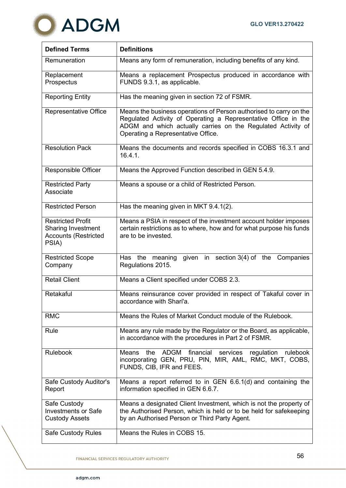

| <b>Defined Terms</b>                                                                          | <b>Definitions</b>                                                                                                                                                                                                                         |
|-----------------------------------------------------------------------------------------------|--------------------------------------------------------------------------------------------------------------------------------------------------------------------------------------------------------------------------------------------|
| Remuneration                                                                                  | Means any form of remuneration, including benefits of any kind.                                                                                                                                                                            |
| Replacement<br>Prospectus                                                                     | Means a replacement Prospectus produced in accordance with<br>FUNDS 9.3.1, as applicable.                                                                                                                                                  |
| <b>Reporting Entity</b>                                                                       | Has the meaning given in section 72 of FSMR.                                                                                                                                                                                               |
| Representative Office                                                                         | Means the business operations of Person authorised to carry on the<br>Regulated Activity of Operating a Representative Office in the<br>ADGM and which actually carries on the Regulated Activity of<br>Operating a Representative Office. |
| <b>Resolution Pack</b>                                                                        | Means the documents and records specified in COBS 16.3.1 and<br>16.4.1.                                                                                                                                                                    |
| <b>Responsible Officer</b>                                                                    | Means the Approved Function described in GEN 5.4.9.                                                                                                                                                                                        |
| <b>Restricted Party</b><br>Associate                                                          | Means a spouse or a child of Restricted Person.                                                                                                                                                                                            |
| <b>Restricted Person</b>                                                                      | Has the meaning given in MKT 9.4.1(2).                                                                                                                                                                                                     |
| <b>Restricted Profit</b><br><b>Sharing Investment</b><br><b>Accounts (Restricted</b><br>PSIA) | Means a PSIA in respect of the investment account holder imposes<br>certain restrictions as to where, how and for what purpose his funds<br>are to be invested.                                                                            |
| <b>Restricted Scope</b><br>Company                                                            | given in section 3(4) of the<br>Has the meaning<br>Companies<br>Regulations 2015.                                                                                                                                                          |
| <b>Retail Client</b>                                                                          | Means a Client specified under COBS 2.3.                                                                                                                                                                                                   |
| Retakaful                                                                                     | Means reinsurance cover provided in respect of Takaful cover in<br>accordance with Shari'a.                                                                                                                                                |
| <b>RMC</b>                                                                                    | Means the Rules of Market Conduct module of the Rulebook.                                                                                                                                                                                  |
| Rule                                                                                          | Means any rule made by the Regulator or the Board, as applicable,<br>in accordance with the procedures in Part 2 of FSMR.                                                                                                                  |
| <b>Rulebook</b>                                                                               | financial<br>the<br>ADGM<br>services<br>regulation rulebook<br><b>Means</b><br>incorporating GEN, PRU, PIN, MIR, AML, RMC, MKT, COBS,<br>FUNDS, CIB, IFR and FEES.                                                                         |
| Safe Custody Auditor's<br>Report                                                              | Means a report referred to in GEN 6.6.1(d) and containing the<br>information specified in GEN 6.6.7.                                                                                                                                       |
| Safe Custody<br><b>Investments or Safe</b><br><b>Custody Assets</b>                           | Means a designated Client Investment, which is not the property of<br>the Authorised Person, which is held or to be held for safekeeping<br>by an Authorised Person or Third Party Agent.                                                  |
| Safe Custody Rules                                                                            | Means the Rules in COBS 15.                                                                                                                                                                                                                |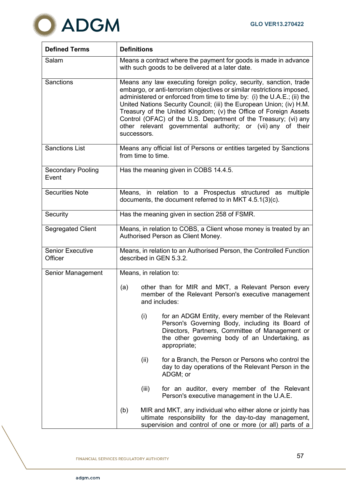

| <b>Defined Terms</b>               | <b>Definitions</b>                                                                                                                                                                                                                                                                                                                                                                                                                                                                                                   |                                                                                                                                                                                                                          |  |
|------------------------------------|----------------------------------------------------------------------------------------------------------------------------------------------------------------------------------------------------------------------------------------------------------------------------------------------------------------------------------------------------------------------------------------------------------------------------------------------------------------------------------------------------------------------|--------------------------------------------------------------------------------------------------------------------------------------------------------------------------------------------------------------------------|--|
| Salam                              | Means a contract where the payment for goods is made in advance<br>with such goods to be delivered at a later date.                                                                                                                                                                                                                                                                                                                                                                                                  |                                                                                                                                                                                                                          |  |
| <b>Sanctions</b>                   | Means any law executing foreign policy, security, sanction, trade<br>embargo, or anti-terrorism objectives or similar restrictions imposed,<br>administered or enforced from time to time by: (i) the U.A.E.; (ii) the<br>United Nations Security Council; (iii) the European Union; (iv) H.M.<br>Treasury of the United Kingdom; (v) the Office of Foreign Assets<br>Control (OFAC) of the U.S. Department of the Treasury; (vi) any<br>other relevant governmental authority; or (vii) any of their<br>successors. |                                                                                                                                                                                                                          |  |
| <b>Sanctions List</b>              | Means any official list of Persons or entities targeted by Sanctions<br>from time to time.                                                                                                                                                                                                                                                                                                                                                                                                                           |                                                                                                                                                                                                                          |  |
| <b>Secondary Pooling</b><br>Event  | Has the meaning given in COBS 14.4.5.                                                                                                                                                                                                                                                                                                                                                                                                                                                                                |                                                                                                                                                                                                                          |  |
| <b>Securities Note</b>             | Means, in relation to a Prospectus structured as<br>multiple<br>documents, the document referred to in MKT 4.5.1(3)(c).                                                                                                                                                                                                                                                                                                                                                                                              |                                                                                                                                                                                                                          |  |
| Security                           | Has the meaning given in section 258 of FSMR.                                                                                                                                                                                                                                                                                                                                                                                                                                                                        |                                                                                                                                                                                                                          |  |
| <b>Segregated Client</b>           | Means, in relation to COBS, a Client whose money is treated by an<br>Authorised Person as Client Money.                                                                                                                                                                                                                                                                                                                                                                                                              |                                                                                                                                                                                                                          |  |
| <b>Senior Executive</b><br>Officer | Means, in relation to an Authorised Person, the Controlled Function<br>described in GEN 5.3.2.                                                                                                                                                                                                                                                                                                                                                                                                                       |                                                                                                                                                                                                                          |  |
| Senior Management                  | Means, in relation to:                                                                                                                                                                                                                                                                                                                                                                                                                                                                                               |                                                                                                                                                                                                                          |  |
|                                    | (a)<br>and includes:                                                                                                                                                                                                                                                                                                                                                                                                                                                                                                 | other than for MIR and MKT, a Relevant Person every<br>member of the Relevant Person's executive management                                                                                                              |  |
|                                    | (i)                                                                                                                                                                                                                                                                                                                                                                                                                                                                                                                  | for an ADGM Entity, every member of the Relevant<br>Person's Governing Body, including its Board of<br>Directors, Partners, Committee of Management or<br>the other governing body of an Undertaking, as<br>appropriate; |  |
|                                    | (ii)                                                                                                                                                                                                                                                                                                                                                                                                                                                                                                                 | for a Branch, the Person or Persons who control the<br>day to day operations of the Relevant Person in the<br>ADGM; or                                                                                                   |  |
|                                    | (iii)                                                                                                                                                                                                                                                                                                                                                                                                                                                                                                                | for an auditor, every member of the Relevant<br>Person's executive management in the U.A.E.                                                                                                                              |  |
|                                    | (b)                                                                                                                                                                                                                                                                                                                                                                                                                                                                                                                  | MIR and MKT, any individual who either alone or jointly has<br>ultimate responsibility for the day-to-day management,<br>supervision and control of one or more (or all) parts of a                                      |  |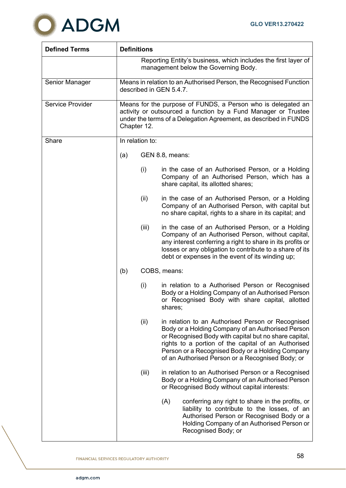

| <b>Defined Terms</b>    | <b>Definitions</b>                                                                                                                                                                                                |       |                                                                                                                                                                                                                                                                                                                                |
|-------------------------|-------------------------------------------------------------------------------------------------------------------------------------------------------------------------------------------------------------------|-------|--------------------------------------------------------------------------------------------------------------------------------------------------------------------------------------------------------------------------------------------------------------------------------------------------------------------------------|
|                         | Reporting Entity's business, which includes the first layer of<br>management below the Governing Body.                                                                                                            |       |                                                                                                                                                                                                                                                                                                                                |
| Senior Manager          | Means in relation to an Authorised Person, the Recognised Function<br>described in GEN 5.4.7.                                                                                                                     |       |                                                                                                                                                                                                                                                                                                                                |
| <b>Service Provider</b> | Means for the purpose of FUNDS, a Person who is delegated an<br>activity or outsourced a function by a Fund Manager or Trustee<br>under the terms of a Delegation Agreement, as described in FUNDS<br>Chapter 12. |       |                                                                                                                                                                                                                                                                                                                                |
| Share                   | In relation to:                                                                                                                                                                                                   |       |                                                                                                                                                                                                                                                                                                                                |
|                         | (a)                                                                                                                                                                                                               |       | GEN 8.8, means:                                                                                                                                                                                                                                                                                                                |
|                         |                                                                                                                                                                                                                   | (i)   | in the case of an Authorised Person, or a Holding<br>Company of an Authorised Person, which has a<br>share capital, its allotted shares;                                                                                                                                                                                       |
|                         |                                                                                                                                                                                                                   | (ii)  | in the case of an Authorised Person, or a Holding<br>Company of an Authorised Person, with capital but<br>no share capital, rights to a share in its capital; and                                                                                                                                                              |
|                         |                                                                                                                                                                                                                   | (iii) | in the case of an Authorised Person, or a Holding<br>Company of an Authorised Person, without capital,<br>any interest conferring a right to share in its profits or<br>losses or any obligation to contribute to a share of its<br>debt or expenses in the event of its winding up;                                           |
|                         | (b)                                                                                                                                                                                                               |       | COBS, means:                                                                                                                                                                                                                                                                                                                   |
|                         |                                                                                                                                                                                                                   | (i)   | in relation to a Authorised Person or Recognised<br>Body or a Holding Company of an Authorised Person<br>or Recognised Body with share capital, allotted<br>shares;                                                                                                                                                            |
|                         |                                                                                                                                                                                                                   | (ii)  | in relation to an Authorised Person or Recognised<br>Body or a Holding Company of an Authorised Person<br>or Recognised Body with capital but no share capital,<br>rights to a portion of the capital of an Authorised<br>Person or a Recognised Body or a Holding Company<br>of an Authorised Person or a Recognised Body; or |
|                         |                                                                                                                                                                                                                   | (iii) | in relation to an Authorised Person or a Recognised<br>Body or a Holding Company of an Authorised Person<br>or Recognised Body without capital interests:                                                                                                                                                                      |
|                         |                                                                                                                                                                                                                   |       | (A)<br>conferring any right to share in the profits, or<br>liability to contribute to the losses, of an<br>Authorised Person or Recognised Body or a<br>Holding Company of an Authorised Person or<br>Recognised Body; or                                                                                                      |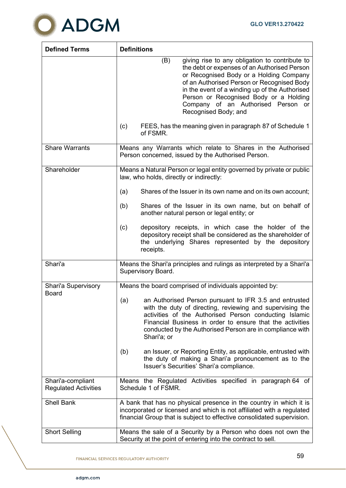

| <b>Defined Terms</b>                             | <b>Definitions</b>                                                                                                                                                                                                                                                                                                                                       |
|--------------------------------------------------|----------------------------------------------------------------------------------------------------------------------------------------------------------------------------------------------------------------------------------------------------------------------------------------------------------------------------------------------------------|
|                                                  | (B)<br>giving rise to any obligation to contribute to<br>the debt or expenses of an Authorised Person<br>or Recognised Body or a Holding Company<br>of an Authorised Person or Recognised Body<br>in the event of a winding up of the Authorised<br>Person or Recognised Body or a Holding<br>Company of an Authorised Person or<br>Recognised Body; and |
|                                                  | FEES, has the meaning given in paragraph 87 of Schedule 1<br>(c)<br>of FSMR.                                                                                                                                                                                                                                                                             |
| <b>Share Warrants</b>                            | Means any Warrants which relate to Shares in the Authorised<br>Person concerned, issued by the Authorised Person.                                                                                                                                                                                                                                        |
| Shareholder                                      | Means a Natural Person or legal entity governed by private or public<br>law, who holds, directly or indirectly:                                                                                                                                                                                                                                          |
|                                                  | (a)<br>Shares of the Issuer in its own name and on its own account;                                                                                                                                                                                                                                                                                      |
|                                                  | (b)<br>Shares of the Issuer in its own name, but on behalf of<br>another natural person or legal entity; or                                                                                                                                                                                                                                              |
|                                                  | (c)<br>depository receipts, in which case the holder of the<br>depository receipt shall be considered as the shareholder of<br>the underlying Shares represented by the depository<br>receipts.                                                                                                                                                          |
| Shari'a                                          | Means the Shari'a principles and rulings as interpreted by a Shari'a<br>Supervisory Board.                                                                                                                                                                                                                                                               |
| Shari'a Supervisory<br><b>Board</b>              | Means the board comprised of individuals appointed by:                                                                                                                                                                                                                                                                                                   |
|                                                  | an Authorised Person pursuant to IFR 3.5 and entrusted<br>(a)<br>with the duty of directing, reviewing and supervising the<br>activities of the Authorised Person conducting Islamic<br>Financial Business in order to ensure that the activities<br>conducted by the Authorised Person are in compliance with<br>Shari'a; or                            |
|                                                  | an Issuer, or Reporting Entity, as applicable, entrusted with<br>(b)<br>the duty of making a Shari'a pronouncement as to the<br>Issuer's Securities' Shari'a compliance.                                                                                                                                                                                 |
| Shari'a-compliant<br><b>Regulated Activities</b> | Means the Regulated Activities specified in paragraph 64 of<br>Schedule 1 of FSMR.                                                                                                                                                                                                                                                                       |
| <b>Shell Bank</b>                                | A bank that has no physical presence in the country in which it is<br>incorporated or licensed and which is not affiliated with a regulated<br>financial Group that is subject to effective consolidated supervision.                                                                                                                                    |
| <b>Short Selling</b>                             | Means the sale of a Security by a Person who does not own the<br>Security at the point of entering into the contract to sell.                                                                                                                                                                                                                            |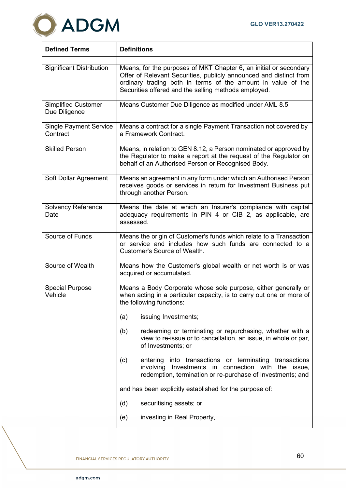

| <b>Defined Terms</b>                        | <b>Definitions</b>                                                                                                                                                                                                                                              |  |  |
|---------------------------------------------|-----------------------------------------------------------------------------------------------------------------------------------------------------------------------------------------------------------------------------------------------------------------|--|--|
| <b>Significant Distribution</b>             | Means, for the purposes of MKT Chapter 6, an initial or secondary<br>Offer of Relevant Securities, publicly announced and distinct from<br>ordinary trading both in terms of the amount in value of the<br>Securities offered and the selling methods employed. |  |  |
| <b>Simplified Customer</b><br>Due Diligence | Means Customer Due Diligence as modified under AML 8.5.                                                                                                                                                                                                         |  |  |
| <b>Single Payment Service</b><br>Contract   | Means a contract for a single Payment Transaction not covered by<br>a Framework Contract.                                                                                                                                                                       |  |  |
| <b>Skilled Person</b>                       | Means, in relation to GEN 8.12, a Person nominated or approved by<br>the Regulator to make a report at the request of the Regulator on<br>behalf of an Authorised Person or Recognised Body.                                                                    |  |  |
| Soft Dollar Agreement                       | Means an agreement in any form under which an Authorised Person<br>receives goods or services in return for Investment Business put<br>through another Person.                                                                                                  |  |  |
| <b>Solvency Reference</b><br>Date           | Means the date at which an Insurer's compliance with capital<br>adequacy requirements in PIN 4 or CIB 2, as applicable, are<br>assessed.                                                                                                                        |  |  |
| Source of Funds                             | Means the origin of Customer's funds which relate to a Transaction<br>or service and includes how such funds are connected to a<br><b>Customer's Source of Wealth.</b>                                                                                          |  |  |
| Source of Wealth                            | Means how the Customer's global wealth or net worth is or was<br>acquired or accumulated.                                                                                                                                                                       |  |  |
| <b>Special Purpose</b><br>Vehicle           | Means a Body Corporate whose sole purpose, either generally or<br>when acting in a particular capacity, is to carry out one or more of<br>the following functions:                                                                                              |  |  |
|                                             | issuing Investments;<br>(a)                                                                                                                                                                                                                                     |  |  |
|                                             | (b)<br>redeeming or terminating or repurchasing, whether with a<br>view to re-issue or to cancellation, an issue, in whole or par,<br>of Investments; or                                                                                                        |  |  |
|                                             | into transactions or terminating<br>(c)<br>entering<br>transactions<br>in connection with<br>involving<br>Investments<br>the<br>issue,<br>redemption, termination or re-purchase of Investments; and                                                            |  |  |
|                                             | and has been explicitly established for the purpose of:                                                                                                                                                                                                         |  |  |
|                                             | (d)<br>securitising assets; or                                                                                                                                                                                                                                  |  |  |
|                                             | investing in Real Property,<br>(e)                                                                                                                                                                                                                              |  |  |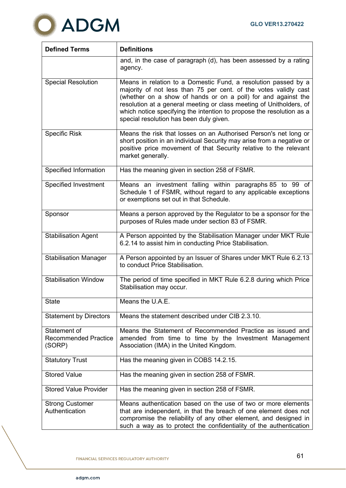

| <b>Defined Terms</b>                                  | <b>Definitions</b>                                                                                                                                                                                                                                                                                                                                                                            |
|-------------------------------------------------------|-----------------------------------------------------------------------------------------------------------------------------------------------------------------------------------------------------------------------------------------------------------------------------------------------------------------------------------------------------------------------------------------------|
|                                                       | and, in the case of paragraph (d), has been assessed by a rating<br>agency.                                                                                                                                                                                                                                                                                                                   |
| <b>Special Resolution</b>                             | Means in relation to a Domestic Fund, a resolution passed by a<br>majority of not less than 75 per cent. of the votes validly cast<br>(whether on a show of hands or on a poll) for and against the<br>resolution at a general meeting or class meeting of Unitholders, of<br>which notice specifying the intention to propose the resolution as a<br>special resolution has been duly given. |
| <b>Specific Risk</b>                                  | Means the risk that losses on an Authorised Person's net long or<br>short position in an individual Security may arise from a negative or<br>positive price movement of that Security relative to the relevant<br>market generally.                                                                                                                                                           |
| Specified Information                                 | Has the meaning given in section 258 of FSMR.                                                                                                                                                                                                                                                                                                                                                 |
| <b>Specified Investment</b>                           | Means an investment falling within paragraphs 85 to 99 of<br>Schedule 1 of FSMR, without regard to any applicable exceptions<br>or exemptions set out in that Schedule.                                                                                                                                                                                                                       |
| Sponsor                                               | Means a person approved by the Regulator to be a sponsor for the<br>purposes of Rules made under section 83 of FSMR.                                                                                                                                                                                                                                                                          |
| <b>Stabilisation Agent</b>                            | A Person appointed by the Stabilisation Manager under MKT Rule<br>6.2.14 to assist him in conducting Price Stabilisation.                                                                                                                                                                                                                                                                     |
| <b>Stabilisation Manager</b>                          | A Person appointed by an Issuer of Shares under MKT Rule 6.2.13<br>to conduct Price Stabilisation.                                                                                                                                                                                                                                                                                            |
| <b>Stabilisation Window</b>                           | The period of time specified in MKT Rule 6.2.8 during which Price<br>Stabilisation may occur.                                                                                                                                                                                                                                                                                                 |
| <b>State</b>                                          | Means the U.A.E                                                                                                                                                                                                                                                                                                                                                                               |
| <b>Statement by Directors</b>                         | Means the statement described under CIB 2.3.10.                                                                                                                                                                                                                                                                                                                                               |
| Statement of<br><b>Recommended Practice</b><br>(SORP) | Means the Statement of Recommended Practice as issued and<br>amended from time to time by the Investment Management<br>Association (IMA) in the United Kingdom.                                                                                                                                                                                                                               |
| <b>Statutory Trust</b>                                | Has the meaning given in COBS 14.2.15.                                                                                                                                                                                                                                                                                                                                                        |
| <b>Stored Value</b>                                   | Has the meaning given in section 258 of FSMR.                                                                                                                                                                                                                                                                                                                                                 |
| <b>Stored Value Provider</b>                          | Has the meaning given in section 258 of FSMR.                                                                                                                                                                                                                                                                                                                                                 |
| <b>Strong Customer</b><br>Authentication              | Means authentication based on the use of two or more elements<br>that are independent, in that the breach of one element does not<br>compromise the reliability of any other element, and designed in<br>such a way as to protect the confidentiality of the authentication                                                                                                                   |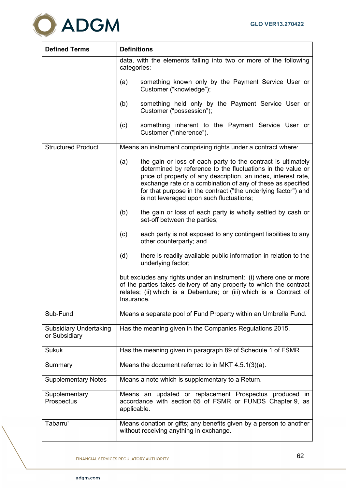

| <b>Defined Terms</b>                           | <b>Definitions</b>                                                                                                                                                                                                                                                                                                                                                                |
|------------------------------------------------|-----------------------------------------------------------------------------------------------------------------------------------------------------------------------------------------------------------------------------------------------------------------------------------------------------------------------------------------------------------------------------------|
|                                                | data, with the elements falling into two or more of the following<br>categories:                                                                                                                                                                                                                                                                                                  |
|                                                | something known only by the Payment Service User or<br>(a)<br>Customer ("knowledge");                                                                                                                                                                                                                                                                                             |
|                                                | (b)<br>something held only by the Payment Service User or<br>Customer ("possession");                                                                                                                                                                                                                                                                                             |
|                                                | something inherent to the Payment Service User or<br>(c)<br>Customer ("inherence").                                                                                                                                                                                                                                                                                               |
| <b>Structured Product</b>                      | Means an instrument comprising rights under a contract where:                                                                                                                                                                                                                                                                                                                     |
|                                                | (a)<br>the gain or loss of each party to the contract is ultimately<br>determined by reference to the fluctuations in the value or<br>price of property of any description, an index, interest rate,<br>exchange rate or a combination of any of these as specified<br>for that purpose in the contract ("the underlying factor") and<br>is not leveraged upon such fluctuations; |
|                                                | (b)<br>the gain or loss of each party is wholly settled by cash or<br>set-off between the parties;                                                                                                                                                                                                                                                                                |
|                                                | (c)<br>each party is not exposed to any contingent liabilities to any<br>other counterparty; and                                                                                                                                                                                                                                                                                  |
|                                                | (d)<br>there is readily available public information in relation to the<br>underlying factor;                                                                                                                                                                                                                                                                                     |
|                                                | but excludes any rights under an instrument: (i) where one or more<br>of the parties takes delivery of any property to which the contract<br>relates; (ii) which is a Debenture; or (iii) which is a Contract of<br>Insurance.                                                                                                                                                    |
| Sub-Fund                                       | Means a separate pool of Fund Property within an Umbrella Fund.                                                                                                                                                                                                                                                                                                                   |
| <b>Subsidiary Undertaking</b><br>or Subsidiary | Has the meaning given in the Companies Regulations 2015.                                                                                                                                                                                                                                                                                                                          |
| <b>Sukuk</b>                                   | Has the meaning given in paragraph 89 of Schedule 1 of FSMR.                                                                                                                                                                                                                                                                                                                      |
| Summary                                        | Means the document referred to in MKT $4.5.1(3)(a)$ .                                                                                                                                                                                                                                                                                                                             |
| <b>Supplementary Notes</b>                     | Means a note which is supplementary to a Return.                                                                                                                                                                                                                                                                                                                                  |
| Supplementary<br>Prospectus                    | Means an updated or replacement Prospectus produced in<br>accordance with section 65 of FSMR or FUNDS Chapter 9, as<br>applicable.                                                                                                                                                                                                                                                |
| Tabarru'                                       | Means donation or gifts; any benefits given by a person to another<br>without receiving anything in exchange.                                                                                                                                                                                                                                                                     |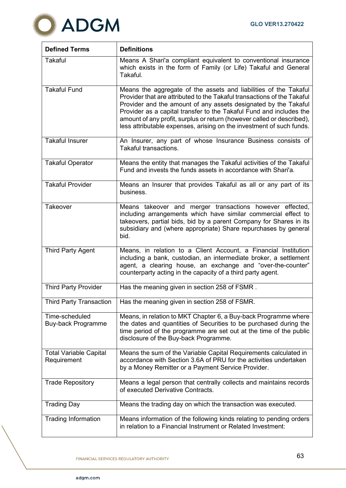

| <b>Defined Terms</b>                         | <b>Definitions</b>                                                                                                                                                                                                                                                                                                                                                                                                                      |
|----------------------------------------------|-----------------------------------------------------------------------------------------------------------------------------------------------------------------------------------------------------------------------------------------------------------------------------------------------------------------------------------------------------------------------------------------------------------------------------------------|
| <b>Takaful</b>                               | Means A Shari'a compliant equivalent to conventional insurance<br>which exists in the form of Family (or Life) Takaful and General<br>Takaful.                                                                                                                                                                                                                                                                                          |
| <b>Takaful Fund</b>                          | Means the aggregate of the assets and liabilities of the Takaful<br>Provider that are attributed to the Takaful transactions of the Takaful<br>Provider and the amount of any assets designated by the Takaful<br>Provider as a capital transfer to the Takaful Fund and includes the<br>amount of any profit, surplus or return (however called or described),<br>less attributable expenses, arising on the investment of such funds. |
| <b>Takaful Insurer</b>                       | An Insurer, any part of whose Insurance Business consists of<br>Takaful transactions.                                                                                                                                                                                                                                                                                                                                                   |
| <b>Takaful Operator</b>                      | Means the entity that manages the Takaful activities of the Takaful<br>Fund and invests the funds assets in accordance with Shari'a.                                                                                                                                                                                                                                                                                                    |
| <b>Takaful Provider</b>                      | Means an Insurer that provides Takaful as all or any part of its<br>business.                                                                                                                                                                                                                                                                                                                                                           |
| <b>Takeover</b>                              | Means takeover and merger transactions however effected,<br>including arrangements which have similar commercial effect to<br>takeovers, partial bids, bid by a parent Company for Shares in its<br>subsidiary and (where appropriate) Share repurchases by general<br>bid.                                                                                                                                                             |
| <b>Third Party Agent</b>                     | Means, in relation to a Client Account, a Financial Institution<br>including a bank, custodian, an intermediate broker, a settlement<br>agent, a clearing house, an exchange and "over-the-counter"<br>counterparty acting in the capacity of a third party agent.                                                                                                                                                                      |
| <b>Third Party Provider</b>                  | Has the meaning given in section 258 of FSMR.                                                                                                                                                                                                                                                                                                                                                                                           |
| <b>Third Party Transaction</b>               | Has the meaning given in section 258 of FSMR.                                                                                                                                                                                                                                                                                                                                                                                           |
| Time-scheduled<br><b>Buy-back Programme</b>  | Means, in relation to MKT Chapter 6, a Buy-back Programme where<br>the dates and quantities of Securities to be purchased during the<br>time period of the programme are set out at the time of the public<br>disclosure of the Buy-back Programme.                                                                                                                                                                                     |
| <b>Total Variable Capital</b><br>Requirement | Means the sum of the Variable Capital Requirements calculated in<br>accordance with Section 3.6A of PRU for the activities undertaken<br>by a Money Remitter or a Payment Service Provider.                                                                                                                                                                                                                                             |
| <b>Trade Repository</b>                      | Means a legal person that centrally collects and maintains records<br>of executed Derivative Contracts.                                                                                                                                                                                                                                                                                                                                 |
| <b>Trading Day</b>                           | Means the trading day on which the transaction was executed.                                                                                                                                                                                                                                                                                                                                                                            |
| <b>Trading Information</b>                   | Means information of the following kinds relating to pending orders<br>in relation to a Financial Instrument or Related Investment:                                                                                                                                                                                                                                                                                                     |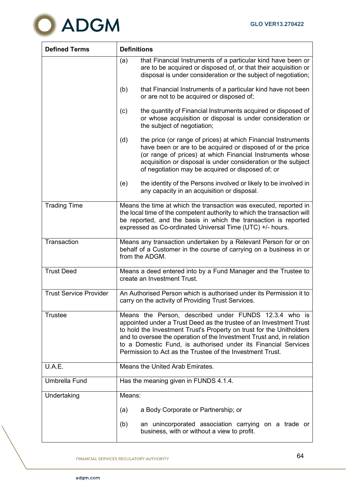

| <b>Defined Terms</b>          | <b>Definitions</b>                                                                                                                                                                                                                                                                                                                                                                                          |
|-------------------------------|-------------------------------------------------------------------------------------------------------------------------------------------------------------------------------------------------------------------------------------------------------------------------------------------------------------------------------------------------------------------------------------------------------------|
|                               | that Financial Instruments of a particular kind have been or<br>(a)<br>are to be acquired or disposed of, or that their acquisition or<br>disposal is under consideration or the subject of negotiation;                                                                                                                                                                                                    |
|                               | that Financial Instruments of a particular kind have not been<br>(b)<br>or are not to be acquired or disposed of;                                                                                                                                                                                                                                                                                           |
|                               | the quantity of Financial Instruments acquired or disposed of<br>(c)<br>or whose acquisition or disposal is under consideration or<br>the subject of negotiation;                                                                                                                                                                                                                                           |
|                               | the price (or range of prices) at which Financial Instruments<br>(d)<br>have been or are to be acquired or disposed of or the price<br>(or range of prices) at which Financial Instruments whose<br>acquisition or disposal is under consideration or the subject<br>of negotiation may be acquired or disposed of; or                                                                                      |
|                               | the identity of the Persons involved or likely to be involved in<br>(e)<br>any capacity in an acquisition or disposal.                                                                                                                                                                                                                                                                                      |
| <b>Trading Time</b>           | Means the time at which the transaction was executed, reported in<br>the local time of the competent authority to which the transaction will<br>be reported, and the basis in which the transaction is reported<br>expressed as Co-ordinated Universal Time (UTC) +/- hours.                                                                                                                                |
| Transaction                   | Means any transaction undertaken by a Relevant Person for or on<br>behalf of a Customer in the course of carrying on a business in or<br>from the ADGM.                                                                                                                                                                                                                                                     |
| <b>Trust Deed</b>             | Means a deed entered into by a Fund Manager and the Trustee to<br>create an Investment Trust.                                                                                                                                                                                                                                                                                                               |
| <b>Trust Service Provider</b> | An Authorised Person which is authorised under its Permission it to<br>carry on the activity of Providing Trust Services                                                                                                                                                                                                                                                                                    |
| <b>Trustee</b>                | Means the Person, described under FUNDS 12.3.4 who is<br>appointed under a Trust Deed as the trustee of an Investment Trust<br>to hold the Investment Trust's Property on trust for the Unitholders<br>and to oversee the operation of the Investment Trust and, in relation<br>to a Domestic Fund, is authorised under its Financial Services<br>Permission to Act as the Trustee of the Investment Trust. |
| U.A.E.                        | Means the United Arab Emirates.                                                                                                                                                                                                                                                                                                                                                                             |
| <b>Umbrella Fund</b>          | Has the meaning given in FUNDS 4.1.4.                                                                                                                                                                                                                                                                                                                                                                       |
| Undertaking                   | Means:                                                                                                                                                                                                                                                                                                                                                                                                      |
|                               | a Body Corporate or Partnership; or<br>(a)                                                                                                                                                                                                                                                                                                                                                                  |
|                               | an unincorporated association carrying on a trade or<br>(b)<br>business, with or without a view to profit.                                                                                                                                                                                                                                                                                                  |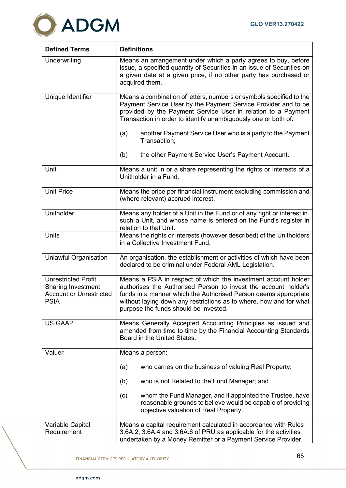

| <b>Defined Terms</b>                                                                                     | <b>Definitions</b>                                                                                                                                                                                                                                                                                                  |
|----------------------------------------------------------------------------------------------------------|---------------------------------------------------------------------------------------------------------------------------------------------------------------------------------------------------------------------------------------------------------------------------------------------------------------------|
| Underwriting                                                                                             | Means an arrangement under which a party agrees to buy, before<br>issue, a specified quantity of Securities in an issue of Securities on<br>a given date at a given price, if no other party has purchased or<br>acquired them.                                                                                     |
| Unique Identifier                                                                                        | Means a combination of letters, numbers or symbols specified to the<br>Payment Service User by the Payment Service Provider and to be<br>provided by the Payment Service User in relation to a Payment<br>Transaction in order to identify unambiguously one or both of:                                            |
|                                                                                                          | another Payment Service User who is a party to the Payment<br>(a)<br>Transaction;                                                                                                                                                                                                                                   |
|                                                                                                          | the other Payment Service User's Payment Account.<br>(b)                                                                                                                                                                                                                                                            |
| Unit                                                                                                     | Means a unit in or a share representing the rights or interests of a<br>Unitholder in a Fund.                                                                                                                                                                                                                       |
| <b>Unit Price</b>                                                                                        | Means the price per financial instrument excluding commission and<br>(where relevant) accrued interest.                                                                                                                                                                                                             |
| Unitholder                                                                                               | Means any holder of a Unit in the Fund or of any right or interest in<br>such a Unit, and whose name is entered on the Fund's register in<br>relation to that Unit.                                                                                                                                                 |
| <b>Units</b>                                                                                             | Means the rights or interests (however described) of the Unitholders<br>in a Collective Investment Fund.                                                                                                                                                                                                            |
| <b>Unlawful Organisation</b>                                                                             | An organisation, the establishment or activities of which have been<br>declared to be criminal under Federal AML Legislation.                                                                                                                                                                                       |
| <b>Unrestricted Profit</b><br><b>Sharing Investment</b><br><b>Account or Unrestricted</b><br><b>PSIA</b> | Means a PSIA in respect of which the investment account holder<br>authorises the Authorised Person to invest the account holder's<br>funds in a manner which the Authorised Person deems appropriate<br>without laying down any restrictions as to where, how and for what<br>purpose the funds should be invested. |
| <b>US GAAP</b>                                                                                           | Means Generally Accepted Accounting Principles as issued and<br>amended from time to time by the Financial Accounting Standards<br>Board in the United States.                                                                                                                                                      |
| Valuer                                                                                                   | Means a person:                                                                                                                                                                                                                                                                                                     |
|                                                                                                          | who carries on the business of valuing Real Property;<br>(a)                                                                                                                                                                                                                                                        |
|                                                                                                          | who is not Related to the Fund Manager; and<br>(b)                                                                                                                                                                                                                                                                  |
|                                                                                                          | whom the Fund Manager, and if appointed the Trustee, have<br>(c)<br>reasonable grounds to believe would be capable of providing<br>objective valuation of Real Property.                                                                                                                                            |
| Variable Capital<br>Requirement                                                                          | Means a capital requirement calculated in accordance with Rules<br>3.6A.2, 3.6A.4 and 3.6A.6 of PRU as applicable for the activities                                                                                                                                                                                |
|                                                                                                          | undertaken by a Money Remitter or a Payment Service Provider.                                                                                                                                                                                                                                                       |